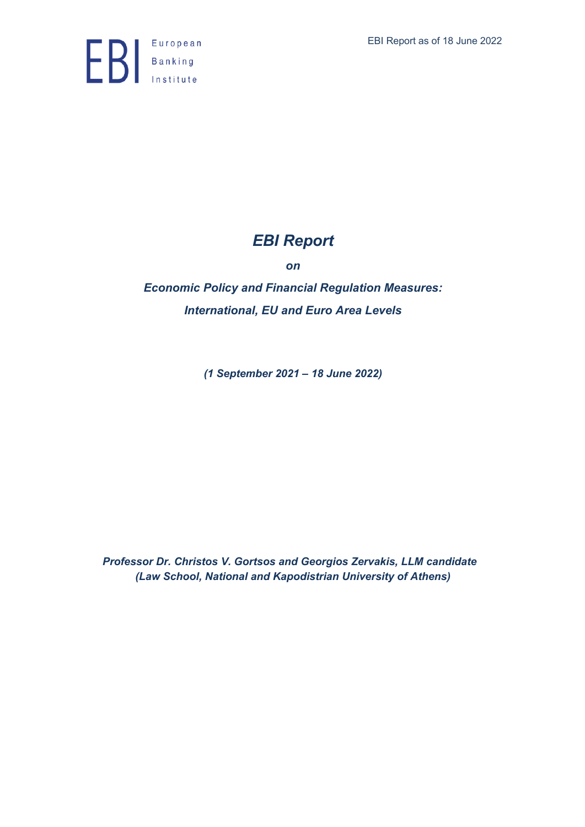

# *EBI Report*

*on*

*Economic Policy and Financial Regulation Measures: International, EU and Euro Area Levels*

*(1 September 2021 – 18 June 2022)*

*Professor Dr. Christos V. Gortsos and Georgios Zervakis, LLM candidate (Law School, National and Kapodistrian University of Athens)*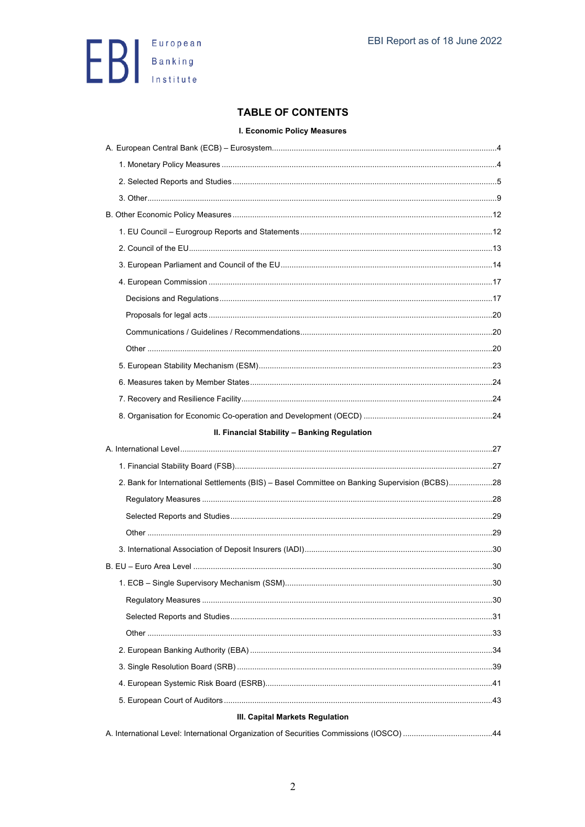

## **TABLE OF CONTENTS**

#### I. Economic Policy Measures

| II. Financial Stability - Banking Regulation                                                  |  |
|-----------------------------------------------------------------------------------------------|--|
|                                                                                               |  |
|                                                                                               |  |
| 2. Bank for International Settlements (BIS) - Basel Committee on Banking Supervision (BCBS)28 |  |
|                                                                                               |  |
|                                                                                               |  |
|                                                                                               |  |
|                                                                                               |  |
|                                                                                               |  |
|                                                                                               |  |
|                                                                                               |  |
|                                                                                               |  |
|                                                                                               |  |
|                                                                                               |  |
|                                                                                               |  |
|                                                                                               |  |
|                                                                                               |  |
| III. Capital Markets Regulation                                                               |  |
|                                                                                               |  |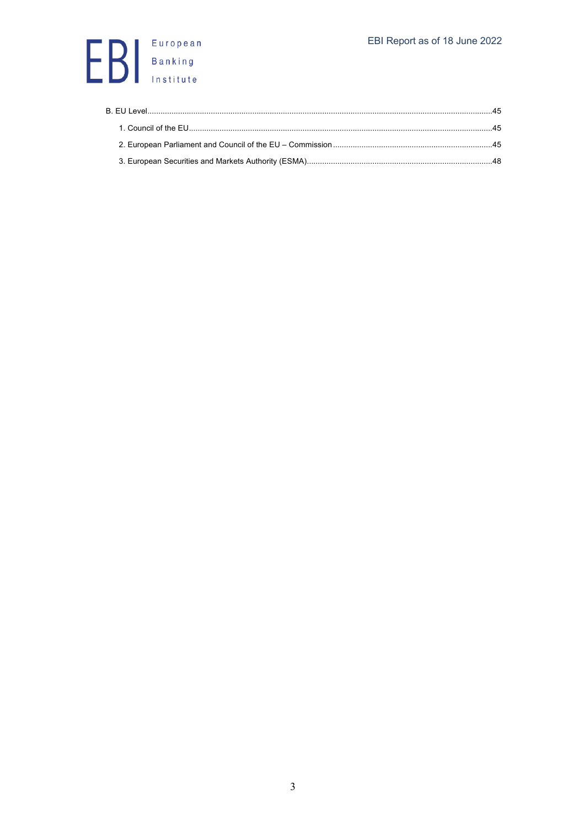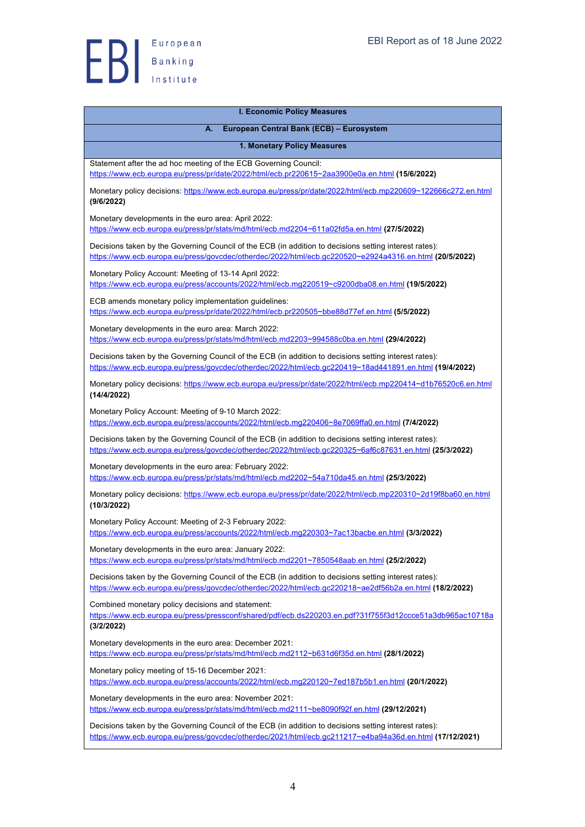

| <b>I. Economic Policy Measures</b>                                                                                                                                                                                |
|-------------------------------------------------------------------------------------------------------------------------------------------------------------------------------------------------------------------|
| European Central Bank (ECB) - Eurosystem<br>А.                                                                                                                                                                    |
| 1. Monetary Policy Measures                                                                                                                                                                                       |
| Statement after the ad hoc meeting of the ECB Governing Council:<br>https://www.ecb.europa.eu/press/pr/date/2022/html/ecb.pr220615~2aa3900e0a.en.html (15/6/2022)                                                 |
| Monetary policy decisions: https://www.ecb.europa.eu/press/pr/date/2022/html/ecb.mp220609~122666c272.en.html<br>(9/6/2022)                                                                                        |
| Monetary developments in the euro area: April 2022:<br>https://www.ecb.europa.eu/press/pr/stats/md/html/ecb.md2204~611a02fd5a.en.html (27/5/2022)                                                                 |
| Decisions taken by the Governing Council of the ECB (in addition to decisions setting interest rates):<br>https://www.ecb.europa.eu/press/govcdec/otherdec/2022/html/ecb.gc220520~e2924a4316.en.html (20/5/2022)  |
| Monetary Policy Account: Meeting of 13-14 April 2022:<br>https://www.ecb.europa.eu/press/accounts/2022/html/ecb.mg220519~c9200dba08.en.html (19/5/2022)                                                           |
| ECB amends monetary policy implementation guidelines:<br>https://www.ecb.europa.eu/press/pr/date/2022/html/ecb.pr220505~bbe88d77ef.en.html (5/5/2022)                                                             |
| Monetary developments in the euro area: March 2022:<br>https://www.ecb.europa.eu/press/pr/stats/md/html/ecb.md2203~994588c0ba.en.html (29/4/2022)                                                                 |
| Decisions taken by the Governing Council of the ECB (in addition to decisions setting interest rates):<br>https://www.ecb.europa.eu/press/govcdec/otherdec/2022/html/ecb.gc220419~18ad441891.en.html (19/4/2022)  |
| Monetary policy decisions: https://www.ecb.europa.eu/press/pr/date/2022/html/ecb.mp220414~d1b76520c6.en.html<br>(14/4/2022)                                                                                       |
| Monetary Policy Account: Meeting of 9-10 March 2022:<br>https://www.ecb.europa.eu/press/accounts/2022/html/ecb.mq220406~8e7069ffa0.en.html (7/4/2022)                                                             |
| Decisions taken by the Governing Council of the ECB (in addition to decisions setting interest rates):<br>https://www.ecb.europa.eu/press/govcdec/otherdec/2022/html/ecb.gc220325~6af6c87631.en.html (25/3/2022)  |
| Monetary developments in the euro area: February 2022:<br>https://www.ecb.europa.eu/press/pr/stats/md/html/ecb.md2202~54a710da45.en.html (25/3/2022)                                                              |
| Monetary policy decisions: https://www.ecb.europa.eu/press/pr/date/2022/html/ecb.mp220310~2d19f8ba60.en.html<br>(10/3/2022)                                                                                       |
| Monetary Policy Account: Meeting of 2-3 February 2022:<br>https://www.ecb.europa.eu/press/accounts/2022/html/ecb.mg220303~7ac13bacbe.en.html (3/3/2022)                                                           |
| Monetary developments in the euro area: January 2022:<br>https://www.ecb.europa.eu/press/pr/stats/md/html/ecb.md2201~7850548aab.en.html (25/2/2022)                                                               |
| Decisions taken by the Governing Council of the ECB (in addition to decisions setting interest rates):<br>https://www.ecb.europa.eu/press/govcdec/otherdec/2022/html/ecb.gc220218~ae2df56b2a.en.html (18/2/2022)  |
| Combined monetary policy decisions and statement:<br>https://www.ecb.europa.eu/press/pressconf/shared/pdf/ecb.ds220203.en.pdf?31f755f3d12ccce51a3db965ac10718a<br>(3/2/2022)                                      |
| Monetary developments in the euro area: December 2021:<br>https://www.ecb.europa.eu/press/pr/stats/md/html/ecb.md2112~b631d6f35d.en.html (28/1/2022)                                                              |
| Monetary policy meeting of 15-16 December 2021:<br>https://www.ecb.europa.eu/press/accounts/2022/html/ecb.mg220120~7ed187b5b1.en.html (20/1/2022)                                                                 |
| Monetary developments in the euro area: November 2021:<br>https://www.ecb.europa.eu/press/pr/stats/md/html/ecb.md2111~be8090f92f.en.html (29/12/2021)                                                             |
| Decisions taken by the Governing Council of the ECB (in addition to decisions setting interest rates):<br>https://www.ecb.europa.eu/press/govcdec/otherdec/2021/html/ecb.gc211217~e4ba94a36d.en.html (17/12/2021) |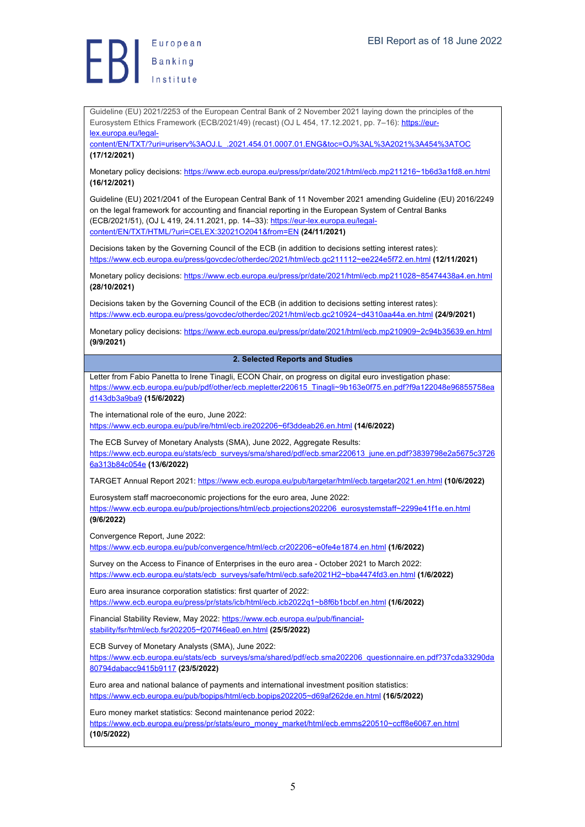Guideline (EU) 2021/2253 of the European Central Bank of 2 November 2021 laying down the principles of the Eurosystem Ethics Framework (ECB/2021/49) (recast) (OJ L 454, 17.12.2021, pp. 7-16): https://eurlex.europa.eu/legal-

content/EN/TXT/?uri=uriserv%3AOJ.L\_.2021.454.01.0007.01.ENG&toc=OJ%3AL%3A2021%3A454%3ATOC **(17/12/2021)**

Monetary policy decisions: https://www.ecb.europa.eu/press/pr/date/2021/html/ecb.mp211216~1b6d3a1fd8.en.html **(16/12/2021)**

Guideline (EU) 2021/2041 of the European Central Bank of 11 November 2021 amending Guideline (EU) 2016/2249 on the legal framework for accounting and financial reporting in the European System of Central Banks (ECB/2021/51), (OJ L 419, 24.11.2021, pp. 14–33): https://eur-lex.europa.eu/legalcontent/EN/TXT/HTML/?uri=CELEX:32021O2041&from=EN **(24/11/2021)**

Decisions taken by the Governing Council of the ECB (in addition to decisions setting interest rates): https://www.ecb.europa.eu/press/govcdec/otherdec/2021/html/ecb.gc211112~ee224e5f72.en.html **(12/11/2021)**

Monetary policy decisions: https://www.ecb.europa.eu/press/pr/date/2021/html/ecb.mp211028~85474438a4.en.html **(28/10/2021)**

Decisions taken by the Governing Council of the ECB (in addition to decisions setting interest rates): https://www.ecb.europa.eu/press/govcdec/otherdec/2021/html/ecb.gc210924~d4310aa44a.en.html **(24/9/2021)**

Monetary policy decisions: https://www.ecb.europa.eu/press/pr/date/2021/html/ecb.mp210909~2c94b35639.en.html **(9/9/2021)**

#### **2. Selected Reports and Studies**

Letter from Fabio Panetta to Irene Tinagli, ECON Chair, on progress on digital euro investigation phase: https://www.ecb.europa.eu/pub/pdf/other/ecb.mepletter220615\_Tinagli~9b163e0f75.en.pdf?f9a122048e96855758ea d143db3a9ba9 **(15/6/2022)**

The international role of the euro, June 2022:

https://www.ecb.europa.eu/pub/ire/html/ecb.ire202206~6f3ddeab26.en.html **(14/6/2022)**

The ECB Survey of Monetary Analysts (SMA), June 2022, Aggregate Results: https://www.ecb.europa.eu/stats/ecb\_surveys/sma/shared/pdf/ecb.smar220613\_june.en.pdf?3839798e2a5675c3726 6a313b84c054e **(13/6/2022)**

TARGET Annual Report 2021: https://www.ecb.europa.eu/pub/targetar/html/ecb.targetar2021.en.html **(10/6/2022)**

Eurosystem staff macroeconomic projections for the euro area, June 2022: https://www.ecb.europa.eu/pub/projections/html/ecb.projections202206\_eurosystemstaff~2299e41f1e.en.html **(9/6/2022)**

Convergence Report, June 2022:

https://www.ecb.europa.eu/pub/convergence/html/ecb.cr202206~e0fe4e1874.en.html **(1/6/2022)**

Survey on the Access to Finance of Enterprises in the euro area - October 2021 to March 2022: https://www.ecb.europa.eu/stats/ecb\_surveys/safe/html/ecb.safe2021H2~bba4474fd3.en.html **(1/6/2022)**

Euro area insurance corporation statistics: first quarter of 2022: https://www.ecb.europa.eu/press/pr/stats/icb/html/ecb.icb2022q1~b8f6b1bcbf.en.html **(1/6/2022)**

Financial Stability Review, May 2022: https://www.ecb.europa.eu/pub/financialstability/fsr/html/ecb.fsr202205~f207f46ea0.en.html **(25/5/2022)**

ECB Survey of Monetary Analysts (SMA), June 2022:

https://www.ecb.europa.eu/stats/ecb\_surveys/sma/shared/pdf/ecb.sma202206\_questionnaire.en.pdf?37cda33290da 80794dabacc9415b9117 **(23/5/2022)**

Euro area and national balance of payments and international investment position statistics: https://www.ecb.europa.eu/pub/bopips/html/ecb.bopips202205~d69af262de.en.html **(16/5/2022)**

Euro money market statistics: Second maintenance period 2022:

https://www.ecb.europa.eu/press/pr/stats/euro\_money\_market/html/ecb.emms220510~ccff8e6067.en.html **(10/5/2022)**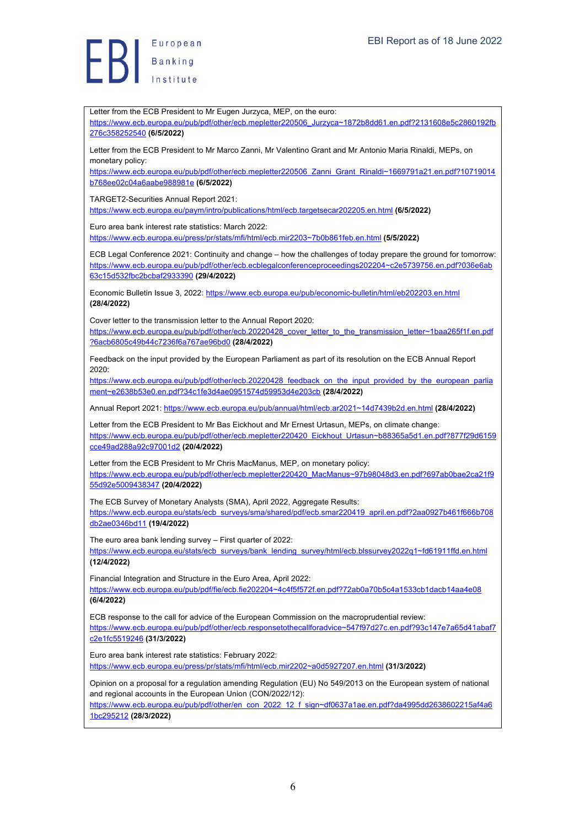Letter from the ECB President to Mr Eugen Jurzyca, MEP, on the euro: https://www.ecb.europa.eu/pub/pdf/other/ecb.mepletter220506\_Jurzyca~1872b8dd61.en.pdf?2131608e5c2860192fb 276c358252540 **(6/5/2022)** Letter from the ECB President to Mr Marco Zanni, Mr Valentino Grant and Mr Antonio Maria Rinaldi, MEPs, on monetary policy: https://www.ecb.europa.eu/pub/pdf/other/ecb.mepletter220506\_Zanni\_Grant\_Rinaldi~1669791a21.en.pdf?10719014 b768ee02c04a6aabe988981e **(6/5/2022)** TARGET2-Securities Annual Report 2021: https://www.ecb.europa.eu/paym/intro/publications/html/ecb.targetsecar202205.en.html **(6/5/2022)** Euro area bank interest rate statistics: March 2022: https://www.ecb.europa.eu/press/pr/stats/mfi/html/ecb.mir2203~7b0b861feb.en.html **(5/5/2022)** ECB Legal Conference 2021: Continuity and change – how the challenges of today prepare the ground for tomorrow: https://www.ecb.europa.eu/pub/pdf/other/ecb.ecblegalconferenceproceedings202204~c2e5739756.en.pdf?036e6ab 63c15d532fbc2bcbaf2933390 **(29/4/2022)** Economic Bulletin Issue 3, 2022: https://www.ecb.europa.eu/pub/economic-bulletin/html/eb202203.en.html **(28/4/2022)** Cover letter to the transmission letter to the Annual Report 2020: https://www.ecb.europa.eu/pub/pdf/other/ecb.20220428\_cover\_letter\_to\_the\_transmission\_letter~1baa265f1f.en.pdf ?6acb6805c49b44c7236f6a767ae96bd0 **(28/4/2022)** Feedback on the input provided by the European Parliament as part of its resolution on the ECB Annual Report 2020: https://www.ecb.europa.eu/pub/pdf/other/ecb.20220428\_feedback\_on\_the\_input\_provided\_by\_the\_european\_parlia ment~e2638b53e0.en.pdf?34c1fe3d4ae0951574d59953d4e203cb **(28/4/2022)** Annual Report 2021: https://www.ecb.europa.eu/pub/annual/html/ecb.ar2021~14d7439b2d.en.html **(28/4/2022)** Letter from the ECB President to Mr Bas Eickhout and Mr Ernest Urtasun, MEPs, on climate change: https://www.ecb.europa.eu/pub/pdf/other/ecb.mepletter220420\_Eickhout\_Urtasun~b88365a5d1.en.pdf?877f29d6159 cce49ad288a92c97001d2 **(20/4/2022)** Letter from the ECB President to Mr Chris MacManus, MEP, on monetary policy: https://www.ecb.europa.eu/pub/pdf/other/ecb.mepletter220420\_MacManus~97b98048d3.en.pdf?697ab0bae2ca21f9 55d92e5009438347 **(20/4/2022)** The ECB Survey of Monetary Analysts (SMA), April 2022, Aggregate Results: https://www.ecb.europa.eu/stats/ecb\_surveys/sma/shared/pdf/ecb.smar220419\_april.en.pdf?2aa0927b461f666b708 db2ae0346bd11 **(19/4/2022)** The euro area bank lending survey – First quarter of 2022: https://www.ecb.europa.eu/stats/ecb\_surveys/bank\_lending\_survey/html/ecb.blssurvey2022q1~fd61911ffd.en.html **(12/4/2022)** Financial Integration and Structure in the Euro Area, April 2022: https://www.ecb.europa.eu/pub/pdf/fie/ecb.fie202204~4c4f5f572f.en.pdf?72ab0a70b5c4a1533cb1dacb14aa4e08 **(6/4/2022)** ECB response to the call for advice of the European Commission on the macroprudential review: https://www.ecb.europa.eu/pub/pdf/other/ecb.responsetothecallforadvice~547f97d27c.en.pdf?93c147e7a65d41abaf7 c2e1fc5519246 **(31/3/2022)** Euro area bank interest rate statistics: February 2022: https://www.ecb.europa.eu/press/pr/stats/mfi/html/ecb.mir2202~a0d5927207.en.html **(31/3/2022)** Opinion on a proposal for a regulation amending Regulation (EU) No 549/2013 on the European system of national and regional accounts in the European Union (CON/2022/12): https://www.ecb.europa.eu/pub/pdf/other/en\_con\_2022\_12\_f\_sign~df0637a1ae.en.pdf?da4995dd2638602215af4a6 1bc295212 **(28/3/2022)**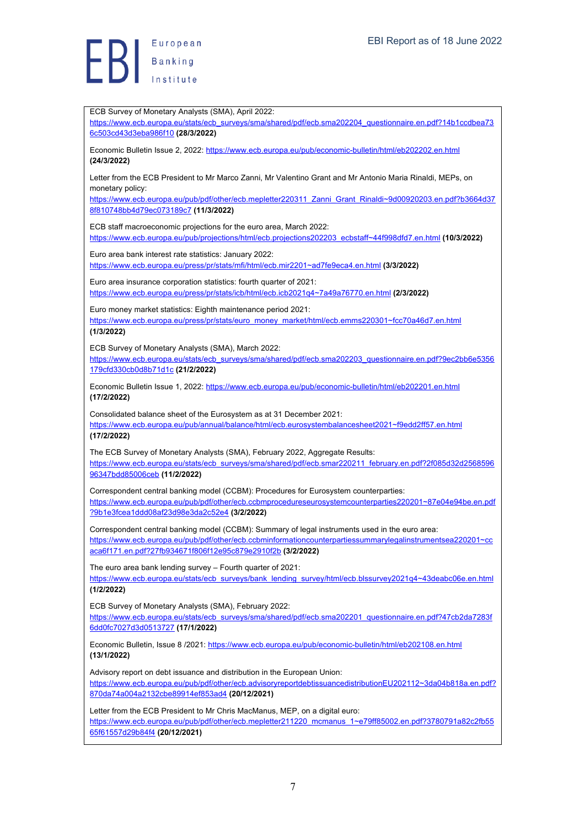European  $\left\{\right\}$  Banking

ECB Survey of Monetary Analysts (SMA), April 2022: https://www.ecb.europa.eu/stats/ecb\_surveys/sma/shared/pdf/ecb.sma202204\_questionnaire.en.pdf?14b1ccdbea73 6c503cd43d3eba986f10 **(28/3/2022)** Economic Bulletin Issue 2, 2022: https://www.ecb.europa.eu/pub/economic-bulletin/html/eb202202.en.html **(24/3/2022)** Letter from the ECB President to Mr Marco Zanni, Mr Valentino Grant and Mr Antonio Maria Rinaldi, MEPs, on monetary policy: https://www.ecb.europa.eu/pub/pdf/other/ecb.mepletter220311\_Zanni\_Grant\_Rinaldi~9d00920203.en.pdf?b3664d37 8f810748bb4d79ec073189c7 **(11/3/2022)** ECB staff macroeconomic projections for the euro area, March 2022: https://www.ecb.europa.eu/pub/projections/html/ecb.projections202203\_ecbstaff~44f998dfd7.en.html **(10/3/2022)** Euro area bank interest rate statistics: January 2022: https://www.ecb.europa.eu/press/pr/stats/mfi/html/ecb.mir2201~ad7fe9eca4.en.html **(3/3/2022)** Euro area insurance corporation statistics: fourth quarter of 2021: https://www.ecb.europa.eu/press/pr/stats/icb/html/ecb.icb2021q4~7a49a76770.en.html **(2/3/2022)** Euro money market statistics: Eighth maintenance period 2021: https://www.ecb.europa.eu/press/pr/stats/euro\_money\_market/html/ecb.emms220301~fcc70a46d7.en.html **(1/3/2022)** ECB Survey of Monetary Analysts (SMA), March 2022: https://www.ecb.europa.eu/stats/ecb\_surveys/sma/shared/pdf/ecb.sma202203\_questionnaire.en.pdf?9ec2bb6e5356 179cfd330cb0d8b71d1c **(21/2/2022)** Economic Bulletin Issue 1, 2022: https://www.ecb.europa.eu/pub/economic-bulletin/html/eb202201.en.html **(17/2/2022)** Consolidated balance sheet of the Eurosystem as at 31 December 2021: https://www.ecb.europa.eu/pub/annual/balance/html/ecb.eurosystembalancesheet2021~f9edd2ff57.en.html **(17/2/2022)** The ECB Survey of Monetary Analysts (SMA), February 2022, Aggregate Results: https://www.ecb.europa.eu/stats/ecb\_surveys/sma/shared/pdf/ecb.smar220211\_february.en.pdf?2f085d32d2568596 96347bdd85006ceb **(11/2/2022)** Correspondent central banking model (CCBM): Procedures for Eurosystem counterparties: https://www.ecb.europa.eu/pub/pdf/other/ecb.ccbmprocedureseurosystemcounterparties220201~87e04e94be.en.pdf ?9b1e3fcea1ddd08af23d98e3da2c52e4 **(3/2/2022)** Correspondent central banking model (CCBM): Summary of legal instruments used in the euro area: https://www.ecb.europa.eu/pub/pdf/other/ecb.ccbminformationcounterpartiessummarylegalinstrumentsea220201~cc aca6f171.en.pdf?27fb934671f806f12e95c879e2910f2b **(3/2/2022)** The euro area bank lending survey – Fourth quarter of 2021: https://www.ecb.europa.eu/stats/ecb\_surveys/bank\_lending\_survey/html/ecb.blssurvey2021q4~43deabc06e.en.html **(1/2/2022)** ECB Survey of Monetary Analysts (SMA), February 2022: https://www.ecb.europa.eu/stats/ecb\_surveys/sma/shared/pdf/ecb.sma202201\_questionnaire.en.pdf?47cb2da7283f 6dd0fc7027d3d0513727 **(17/1/2022)** Economic Bulletin, Issue 8 /2021: https://www.ecb.europa.eu/pub/economic-bulletin/html/eb202108.en.html **(13/1/2022)** Advisory report on debt issuance and distribution in the European Union: https://www.ecb.europa.eu/pub/pdf/other/ecb.advisoryreportdebtissuancedistributionEU202112~3da04b818a.en.pdf? 870da74a004a2132cbe89914ef853ad4 **(20/12/2021)** Letter from the ECB President to Mr Chris MacManus, MEP, on a digital euro: https://www.ecb.europa.eu/pub/pdf/other/ecb.mepletter211220\_mcmanus\_1~e79ff85002.en.pdf?3780791a82c2fb55 65f61557d29b84f4 **(20/12/2021)**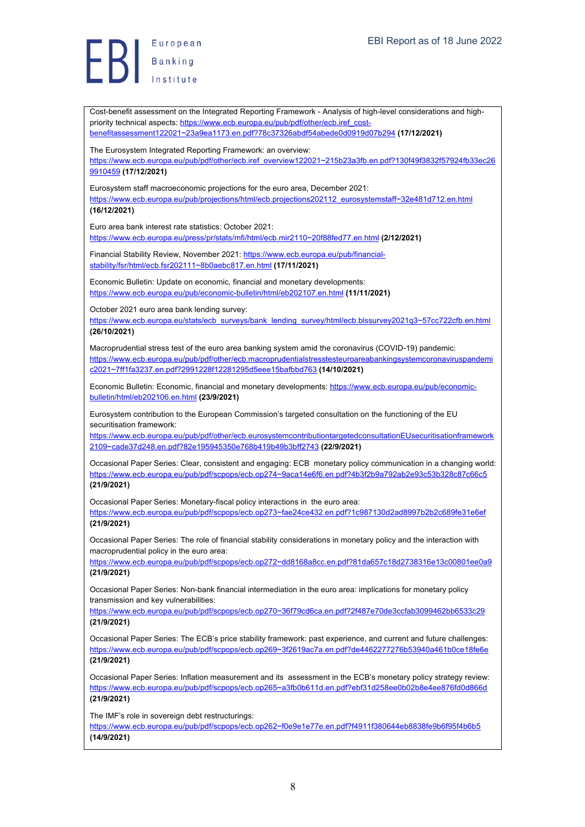Cost-benefit assessment on the Integrated Reporting Framework - Analysis of high-level considerations and highpriority technical aspects: https://www.ecb.europa.eu/pub/pdf/other/ecb.iref\_costbenefitassessment122021~23a9ea1173.en.pdf?78c37326abdf54abede0d0919d07b294 **(17/12/2021)** The Eurosystem Integrated Reporting Framework: an overview: https://www.ecb.europa.eu/pub/pdf/other/ecb.iref\_overview122021~215b23a3fb.en.pdf?130f49f3832f57924fb33ec26 9910459 **(17/12/2021)** Eurosystem staff macroeconomic projections for the euro area, December 2021: https://www.ecb.europa.eu/pub/projections/html/ecb.projections202112\_eurosystemstaff~32e481d712.en.html **(16/12/2021)** Euro area bank interest rate statistics: October 2021: https://www.ecb.europa.eu/press/pr/stats/mfi/html/ecb.mir2110~20f88fed77.en.html **(2/12/2021)** Financial Stability Review, November 2021: https://www.ecb.europa.eu/pub/financialstability/fsr/html/ecb.fsr202111~8b0aebc817.en.html **(17/11/2021)** Economic Bulletin: Update on economic, financial and monetary developments: https://www.ecb.europa.eu/pub/economic-bulletin/html/eb202107.en.html **(11/11/2021)** October 2021 euro area bank lending survey: https://www.ecb.europa.eu/stats/ecb\_surveys/bank\_lending\_survey/html/ecb.blssurvey2021q3~57cc722cfb.en.html **(26/10/2021)** Macroprudential stress test of the euro area banking system amid the coronavirus (COVID-19) pandemic: https://www.ecb.europa.eu/pub/pdf/other/ecb.macroprudentialstresstesteuroareabankingsystemcoronaviruspandemi c2021~7ff1fa3237.en.pdf?2991228f12281295d5eee15bafbbd763 **(14/10/2021)** Economic Bulletin: Economic, financial and monetary developments: https://www.ecb.europa.eu/pub/economicbulletin/html/eb202106.en.html **(23/9/2021)** Eurosystem contribution to the European Commission's targeted consultation on the functioning of the EU securitisation framework: https://www.ecb.europa.eu/pub/pdf/other/ecb.eurosystemcontributiontargetedconsultationEUsecuritisationframework 2109~cade37d248.en.pdf?82e195945350e768b419b49b3bff2743 **(22/9/2021)** Occasional Paper Series: Clear, consistent and engaging: ECB monetary policy communication in a changing world: https://www.ecb.europa.eu/pub/pdf/scpops/ecb.op274~9aca14e6f6.en.pdf?4b3f2b9a792ab2e93c53b328c87c66c5 **(21/9/2021)** Occasional Paper Series: Monetary-fiscal policy interactions in the euro area: https://www.ecb.europa.eu/pub/pdf/scpops/ecb.op273~fae24ce432.en.pdf?1c987130d2ad8997b2b2c689fe31e6ef **(21/9/2021)** Occasional Paper Series: The role of financial stability considerations in monetary policy and the interaction with macroprudential policy in the euro area: https://www.ecb.europa.eu/pub/pdf/scpops/ecb.op272~dd8168a8cc.en.pdf?81da657c18d2738316e13c00801ee0a9 **(21/9/2021)** Occasional Paper Series: Non-bank financial intermediation in the euro area: implications for monetary policy transmission and key vulnerabilities: https://www.ecb.europa.eu/pub/pdf/scpops/ecb.op270~36f79cd6ca.en.pdf?2f487e70de3ccfab3099462bb6533c29 **(21/9/2021)** Occasional Paper Series: The ECB's price stability framework: past experience, and current and future challenges: https://www.ecb.europa.eu/pub/pdf/scpops/ecb.op269~3f2619ac7a.en.pdf?de4462277276b53940a461b0ce18fe6e **(21/9/2021)** Occasional Paper Series: Inflation measurement and its assessment in the ECB's monetary policy strategy review: https://www.ecb.europa.eu/pub/pdf/scpops/ecb.op265~a3fb0b611d.en.pdf?ebf31d258ee0b02b8e4ee876fd0d866d **(21/9/2021)** The IMF's role in sovereign debt restructurings: https://www.ecb.europa.eu/pub/pdf/scpops/ecb.op262~f0e9e1e77e.en.pdf?f4911f380644eb8838fe9b6f95f4b6b5 **(14/9/2021)**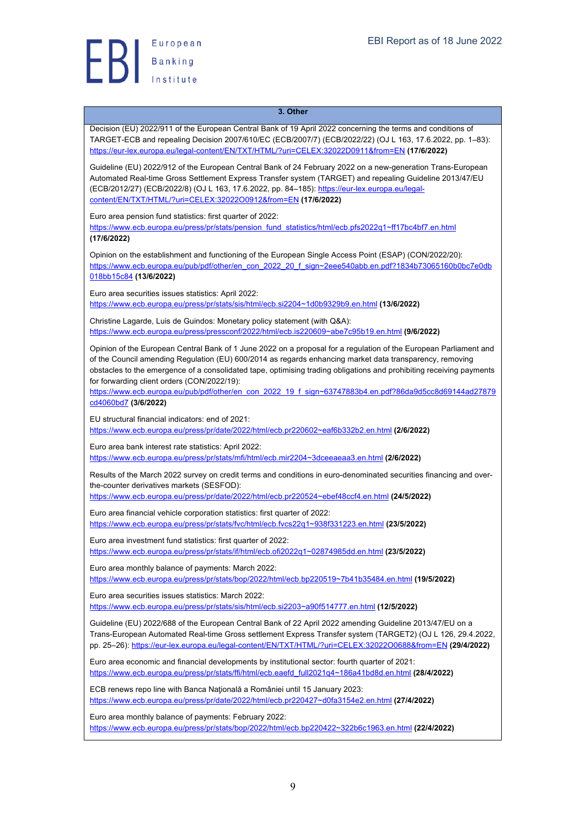

#### **3. Other**

Decision (EU) 2022/911 of the European Central Bank of 19 April 2022 concerning the terms and conditions of TARGET-ECB and repealing Decision 2007/610/EC (ECB/2007/7) (ECB/2022/22) (OJ L 163, 17.6.2022, pp. 1–83): https://eur-lex.europa.eu/legal-content/EN/TXT/HTML/?uri=CELEX:32022D0911&from=EN **(17/6/2022)**

Guideline (EU) 2022/912 of the European Central Bank of 24 February 2022 on a new-generation Trans-European Automated Real-time Gross Settlement Express Transfer system (TARGET) and repealing Guideline 2013/47/EU (ECB/2012/27) (ECB/2022/8) (OJ L 163, 17.6.2022, pp. 84–185): https://eur-lex.europa.eu/legalcontent/EN/TXT/HTML/?uri=CELEX:32022O0912&from=EN **(17/6/2022)**

Euro area pension fund statistics: first quarter of 2022:

https://www.ecb.europa.eu/press/pr/stats/pension\_fund\_statistics/html/ecb.pfs2022q1~ff17bc4bf7.en.html **(17/6/2022)**

Opinion on the establishment and functioning of the European Single Access Point (ESAP) (CON/2022/20): https://www.ecb.europa.eu/pub/pdf/other/en\_con\_2022\_20\_f\_sign~2eee540abb.en.pdf?1834b73065160b0bc7e0db 018bb15c84 **(13/6/2022)**

Euro area securities issues statistics: April 2022: https://www.ecb.europa.eu/press/pr/stats/sis/html/ecb.si2204~1d0b9329b9.en.html **(13/6/2022)**

Christine Lagarde, Luis de Guindos: Monetary policy statement (with Q&A): https://www.ecb.europa.eu/press/pressconf/2022/html/ecb.is220609~abe7c95b19.en.html **(9/6/2022)**

Opinion of the European Central Bank of 1 June 2022 on a proposal for a regulation of the European Parliament and of the Council amending Regulation (EU) 600/2014 as regards enhancing market data transparency, removing obstacles to the emergence of a consolidated tape, optimising trading obligations and prohibiting receiving payments for forwarding client orders (CON/2022/19):

https://www.ecb.europa.eu/pub/pdf/other/en\_con\_2022\_19\_f\_sign~63747883b4.en.pdf?86da9d5cc8d69144ad27879 cd4060bd7 **(3/6/2022)**

EU structural financial indicators: end of 2021: https://www.ecb.europa.eu/press/pr/date/2022/html/ecb.pr220602~eaf6b332b2.en.html **(2/6/2022)**

Euro area bank interest rate statistics: April 2022: https://www.ecb.europa.eu/press/pr/stats/mfi/html/ecb.mir2204~3dceeaeaa3.en.html **(2/6/2022)**

Results of the March 2022 survey on credit terms and conditions in euro-denominated securities financing and overthe-counter derivatives markets (SESFOD):

https://www.ecb.europa.eu/press/pr/date/2022/html/ecb.pr220524~ebef48ccf4.en.html **(24/5/2022)**

Euro area financial vehicle corporation statistics: first quarter of 2022: https://www.ecb.europa.eu/press/pr/stats/fvc/html/ecb.fvcs22q1~938f331223.en.html **(23/5/2022)**

Euro area investment fund statistics: first quarter of 2022:

https://www.ecb.europa.eu/press/pr/stats/if/html/ecb.ofi2022q1~02874985dd.en.html **(23/5/2022)**

Euro area monthly balance of payments: March 2022: https://www.ecb.europa.eu/press/pr/stats/bop/2022/html/ecb.bp220519~7b41b35484.en.html **(19/5/2022)**

Euro area securities issues statistics: March 2022:

https://www.ecb.europa.eu/press/pr/stats/sis/html/ecb.si2203~a90f514777.en.html **(12/5/2022)**

Guideline (EU) 2022/688 of the European Central Bank of 22 April 2022 amending Guideline 2013/47/EU on a Trans-European Automated Real-time Gross settlement Express Transfer system (TARGET2) (OJ L 126, 29.4.2022, pp. 25–26): https://eur-lex.europa.eu/legal-content/EN/TXT/HTML/?uri=CELEX:32022O0688&from=EN **(29/4/2022)**

Euro area economic and financial developments by institutional sector: fourth quarter of 2021: https://www.ecb.europa.eu/press/pr/stats/ffi/html/ecb.eaefd\_full2021q4~186a41bd8d.en.html **(28/4/2022)**

ECB renews repo line with Banca Naţională a României until 15 January 2023: https://www.ecb.europa.eu/press/pr/date/2022/html/ecb.pr220427~d0fa3154e2.en.html **(27/4/2022)**

Euro area monthly balance of payments: February 2022: https://www.ecb.europa.eu/press/pr/stats/bop/2022/html/ecb.bp220422~322b6c1963.en.html **(22/4/2022)**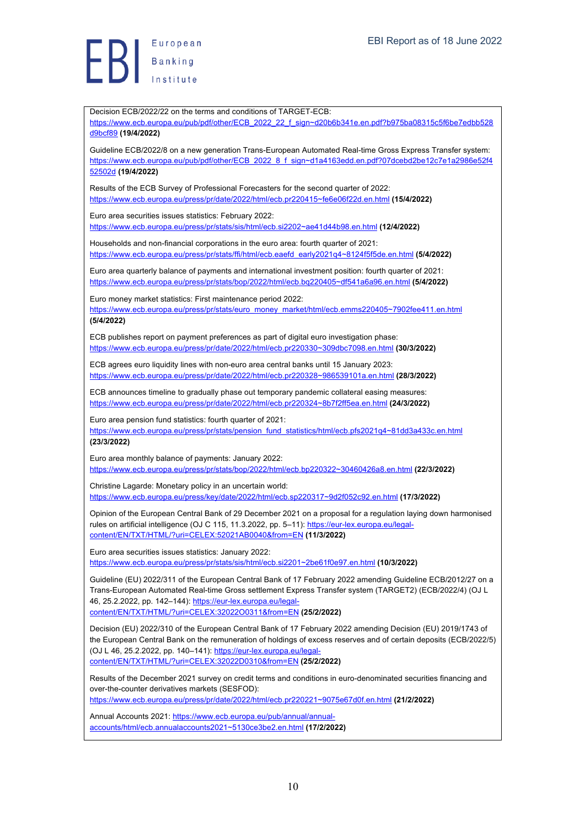Europea<br>Banking<br>Institute European

Decision ECB/2022/22 on the terms and conditions of TARGET-ECB: https://www.ecb.europa.eu/pub/pdf/other/ECB\_2022\_22\_f\_sign~d20b6b341e.en.pdf?b975ba08315c5f6be7edbb528 d9bcf89 **(19/4/2022)** Guideline ECB/2022/8 on a new generation Trans-European Automated Real-time Gross Express Transfer system: https://www.ecb.europa.eu/pub/pdf/other/ECB\_2022\_8\_f\_sign~d1a4163edd.en.pdf?07dcebd2be12c7e1a2986e52f4 52502d **(19/4/2022)** Results of the ECB Survey of Professional Forecasters for the second quarter of 2022: https://www.ecb.europa.eu/press/pr/date/2022/html/ecb.pr220415~fe6e06f22d.en.html **(15/4/2022)** Euro area securities issues statistics: February 2022: https://www.ecb.europa.eu/press/pr/stats/sis/html/ecb.si2202~ae41d44b98.en.html **(12/4/2022)** Households and non-financial corporations in the euro area: fourth quarter of 2021: https://www.ecb.europa.eu/press/pr/stats/ffi/html/ecb.eaefd\_early2021q4~8124f5f5de.en.html **(5/4/2022)** Euro area quarterly balance of payments and international investment position: fourth quarter of 2021: https://www.ecb.europa.eu/press/pr/stats/bop/2022/html/ecb.bq220405~df541a6a96.en.html **(5/4/2022)** Euro money market statistics: First maintenance period 2022: https://www.ecb.europa.eu/press/pr/stats/euro\_money\_market/html/ecb.emms220405~7902fee411.en.html **(5/4/2022)** ECB publishes report on payment preferences as part of digital euro investigation phase: https://www.ecb.europa.eu/press/pr/date/2022/html/ecb.pr220330~309dbc7098.en.html **(30/3/2022)** ECB agrees euro liquidity lines with non-euro area central banks until 15 January 2023: https://www.ecb.europa.eu/press/pr/date/2022/html/ecb.pr220328~986539101a.en.html **(28/3/2022)** ECB announces timeline to gradually phase out temporary pandemic collateral easing measures: https://www.ecb.europa.eu/press/pr/date/2022/html/ecb.pr220324~8b7f2ff5ea.en.html **(24/3/2022)** Euro area pension fund statistics: fourth quarter of 2021: https://www.ecb.europa.eu/press/pr/stats/pension\_fund\_statistics/html/ecb.pfs2021q4~81dd3a433c.en.html **(23/3/2022)** Euro area monthly balance of payments: January 2022: https://www.ecb.europa.eu/press/pr/stats/bop/2022/html/ecb.bp220322~30460426a8.en.html **(22/3/2022)** Christine Lagarde: Monetary policy in an uncertain world: https://www.ecb.europa.eu/press/key/date/2022/html/ecb.sp220317~9d2f052c92.en.html **(17/3/2022)** Opinion of the European Central Bank of 29 December 2021 on a proposal for a regulation laying down harmonised rules on artificial intelligence (OJ C 115, 11.3.2022, pp. 5–11): https://eur-lex.europa.eu/legalcontent/EN/TXT/HTML/?uri=CELEX:52021AB0040&from=EN **(11/3/2022)** Euro area securities issues statistics: January 2022: https://www.ecb.europa.eu/press/pr/stats/sis/html/ecb.si2201~2be61f0e97.en.html **(10/3/2022)** Guideline (EU) 2022/311 of the European Central Bank of 17 February 2022 amending Guideline ECB/2012/27 on a Trans-European Automated Real-time Gross settlement Express Transfer system (TARGET2) (ECB/2022/4) (OJ L 46, 25.2.2022, pp. 142–144): https://eur-lex.europa.eu/legalcontent/EN/TXT/HTML/?uri=CELEX:32022O0311&from=EN **(25/2/2022)** Decision (EU) 2022/310 of the European Central Bank of 17 February 2022 amending Decision (EU) 2019/1743 of the European Central Bank on the remuneration of holdings of excess reserves and of certain deposits (ECB/2022/5) (OJ L 46, 25.2.2022, pp. 140–141): https://eur-lex.europa.eu/legalcontent/EN/TXT/HTML/?uri=CELEX:32022D0310&from=EN **(25/2/2022)** Results of the December 2021 survey on credit terms and conditions in euro-denominated securities financing and over-the-counter derivatives markets (SESFOD): https://www.ecb.europa.eu/press/pr/date/2022/html/ecb.pr220221~9075e67d0f.en.html **(21/2/2022)** Annual Accounts 2021: https://www.ecb.europa.eu/pub/annual/annualaccounts/html/ecb.annualaccounts2021~5130ce3be2.en.html **(17/2/2022)**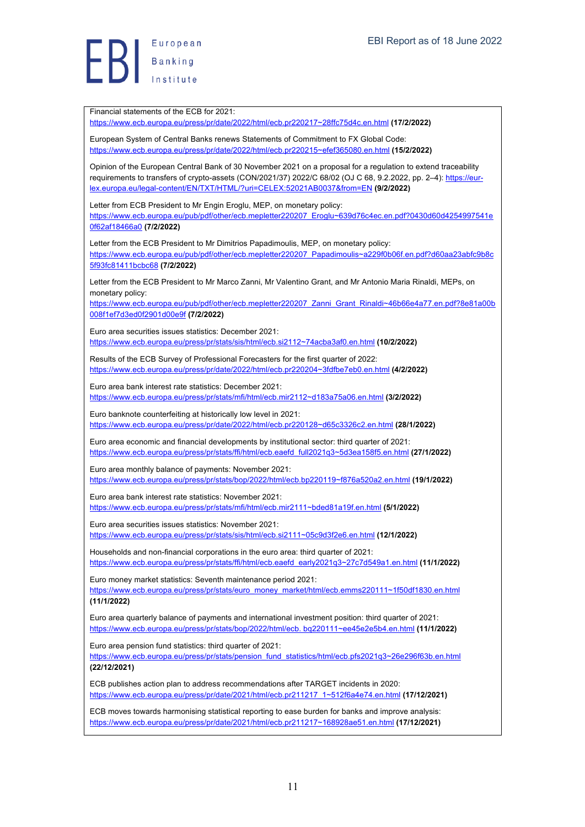Europea<br>Banking European

Financial statements of the ECB for 2021: https://www.ecb.europa.eu/press/pr/date/2022/html/ecb.pr220217~28ffc75d4c.en.html **(17/2/2022)** European System of Central Banks renews Statements of Commitment to FX Global Code: https://www.ecb.europa.eu/press/pr/date/2022/html/ecb.pr220215~efef365080.en.html **(15/2/2022)** Opinion of the European Central Bank of 30 November 2021 on a proposal for a regulation to extend traceability requirements to transfers of crypto-assets (CON/2021/37) 2022/C 68/02 (OJ C 68, 9.2.2022, pp. 2-4): https://eurlex.europa.eu/legal-content/EN/TXT/HTML/?uri=CELEX:52021AB0037&from=EN **(9/2/2022)** Letter from ECB President to Mr Engin Eroglu, MEP, on monetary policy: https://www.ecb.europa.eu/pub/pdf/other/ecb.mepletter220207\_Eroglu~639d76c4ec.en.pdf?0430d60d4254997541e 0f62af18466a0 **(7/2/2022)** Letter from the ECB President to Mr Dimitrios Papadimoulis, MEP, on monetary policy: https://www.ecb.europa.eu/pub/pdf/other/ecb.mepletter220207\_Papadimoulis~a229f0b06f.en.pdf?d60aa23abfc9b8c 5f93fc81411bcbc68 **(7/2/2022)** Letter from the ECB President to Mr Marco Zanni, Mr Valentino Grant, and Mr Antonio Maria Rinaldi, MEPs, on monetary policy: https://www.ecb.europa.eu/pub/pdf/other/ecb.mepletter220207\_Zanni\_Grant\_Rinaldi~46b66e4a77.en.pdf?8e81a00b 008f1ef7d3ed0f2901d00e9f **(7/2/2022)** Euro area securities issues statistics: December 2021: https://www.ecb.europa.eu/press/pr/stats/sis/html/ecb.si2112~74acba3af0.en.html **(10/2/2022)** Results of the ECB Survey of Professional Forecasters for the first quarter of 2022: https://www.ecb.europa.eu/press/pr/date/2022/html/ecb.pr220204~3fdfbe7eb0.en.html **(4/2/2022)** Euro area bank interest rate statistics: December 2021: https://www.ecb.europa.eu/press/pr/stats/mfi/html/ecb.mir2112~d183a75a06.en.html **(3/2/2022)** Euro banknote counterfeiting at historically low level in 2021: https://www.ecb.europa.eu/press/pr/date/2022/html/ecb.pr220128~d65c3326c2.en.html **(28/1/2022)** Euro area economic and financial developments by institutional sector: third quarter of 2021: https://www.ecb.europa.eu/press/pr/stats/ffi/html/ecb.eaefd\_full2021q3~5d3ea158f5.en.html **(27/1/2022)** Euro area monthly balance of payments: November 2021: https://www.ecb.europa.eu/press/pr/stats/bop/2022/html/ecb.bp220119~f876a520a2.en.html **(19/1/2022)** Euro area bank interest rate statistics: November 2021: https://www.ecb.europa.eu/press/pr/stats/mfi/html/ecb.mir2111~bded81a19f.en.html **(5/1/2022)** Euro area securities issues statistics: November 2021: https://www.ecb.europa.eu/press/pr/stats/sis/html/ecb.si2111~05c9d3f2e6.en.html **(12/1/2022)** Households and non-financial corporations in the euro area: third quarter of 2021: https://www.ecb.europa.eu/press/pr/stats/ffi/html/ecb.eaefd\_early2021q3~27c7d549a1.en.html **(11/1/2022)** Euro money market statistics: Seventh maintenance period 2021: https://www.ecb.europa.eu/press/pr/stats/euro\_money\_market/html/ecb.emms220111~1f50df1830.en.html **(11/1/2022)** Euro area quarterly balance of payments and international investment position: third quarter of 2021: https://www.ecb.europa.eu/press/pr/stats/bop/2022/html/ecb. bq220111~ee45e2e5b4.en.html **(11/1/2022)** Euro area pension fund statistics: third quarter of 2021: https://www.ecb.europa.eu/press/pr/stats/pension\_fund\_statistics/html/ecb.pfs2021q3~26e296f63b.en.html **(22/12/2021)** ECB publishes action plan to address recommendations after TARGET incidents in 2020: https://www.ecb.europa.eu/press/pr/date/2021/html/ecb.pr211217\_1~512f6a4e74.en.html **(17/12/2021)** ECB moves towards harmonising statistical reporting to ease burden for banks and improve analysis: https://www.ecb.europa.eu/press/pr/date/2021/html/ecb.pr211217~168928ae51.en.html **(17/12/2021)**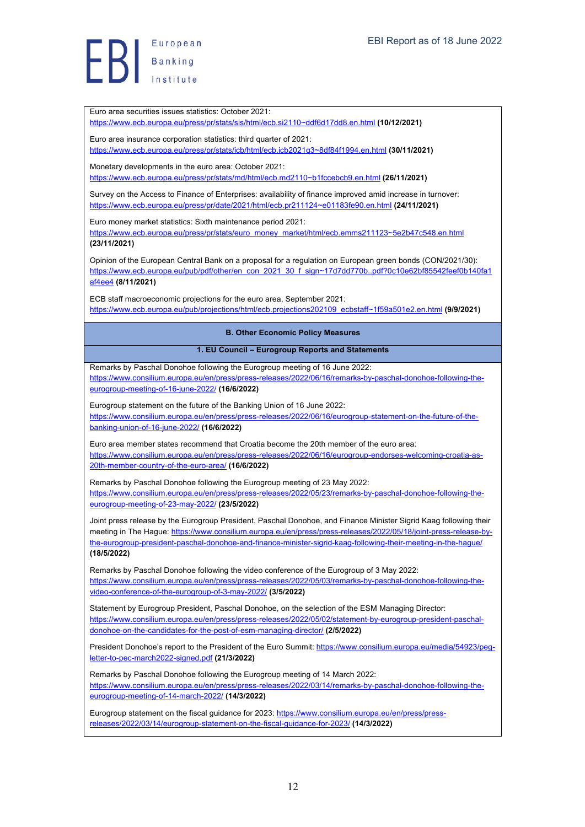Euro area securities issues statistics: October 2021:

https://www.ecb.europa.eu/press/pr/stats/sis/html/ecb.si2110~ddf6d17dd8.en.html **(10/12/2021)**

Euro area insurance corporation statistics: third quarter of 2021:

https://www.ecb.europa.eu/press/pr/stats/icb/html/ecb.icb2021q3~8df84f1994.en.html **(30/11/2021)**

Monetary developments in the euro area: October 2021:

https://www.ecb.europa.eu/press/pr/stats/md/html/ecb.md2110~b1fccebcb9.en.html **(26/11/2021)**

Survey on the Access to Finance of Enterprises: availability of finance improved amid increase in turnover: https://www.ecb.europa.eu/press/pr/date/2021/html/ecb.pr211124~e01183fe90.en.html **(24/11/2021)**

Euro money market statistics: Sixth maintenance period 2021:

https://www.ecb.europa.eu/press/pr/stats/euro\_money\_market/html/ecb.emms211123~5e2b47c548.en.html **(23/11/2021)**

Opinion of the European Central Bank on a proposal for a regulation on European green bonds (CON/2021/30): https://www.ecb.europa.eu/pub/pdf/other/en\_con\_2021\_30\_f\_sign~17d7dd770b..pdf?0c10e62bf85542feef0b140fa1 af4ee4 **(8/11/2021)**

ECB staff macroeconomic projections for the euro area, September 2021: https://www.ecb.europa.eu/pub/projections/html/ecb.projections202109\_ecbstaff~1f59a501e2.en.html **(9/9/2021)**

#### **B. Other Economic Policy Measures**

#### **1. EU Council – Eurogroup Reports and Statements**

Remarks by Paschal Donohoe following the Eurogroup meeting of 16 June 2022: https://www.consilium.europa.eu/en/press/press-releases/2022/06/16/remarks-by-paschal-donohoe-following-theeurogroup-meeting-of-16-june-2022/ **(16/6/2022)**

Eurogroup statement on the future of the Banking Union of 16 June 2022: https://www.consilium.europa.eu/en/press/press-releases/2022/06/16/eurogroup-statement-on-the-future-of-thebanking-union-of-16-june-2022/ **(16/6/2022)**

Euro area member states recommend that Croatia become the 20th member of the euro area: https://www.consilium.europa.eu/en/press/press-releases/2022/06/16/eurogroup-endorses-welcoming-croatia-as-20th-member-country-of-the-euro-area/ **(16/6/2022)**

Remarks by Paschal Donohoe following the Eurogroup meeting of 23 May 2022: https://www.consilium.europa.eu/en/press/press-releases/2022/05/23/remarks-by-paschal-donohoe-following-theeurogroup-meeting-of-23-may-2022/ **(23/5/2022)**

Joint press release by the Eurogroup President, Paschal Donohoe, and Finance Minister Sigrid Kaag following their meeting in The Hague: https://www.consilium.europa.eu/en/press/press-releases/2022/05/18/joint-press-release-bythe-eurogroup-president-paschal-donohoe-and-finance-minister-sigrid-kaag-following-their-meeting-in-the-hague/ **(18/5/2022)**

Remarks by Paschal Donohoe following the video conference of the Eurogroup of 3 May 2022: https://www.consilium.europa.eu/en/press/press-releases/2022/05/03/remarks-by-paschal-donohoe-following-thevideo-conference-of-the-eurogroup-of-3-may-2022/ **(3/5/2022)**

Statement by Eurogroup President, Paschal Donohoe, on the selection of the ESM Managing Director: https://www.consilium.europa.eu/en/press/press-releases/2022/05/02/statement-by-eurogroup-president-paschaldonohoe-on-the-candidates-for-the-post-of-esm-managing-director/ **(2/5/2022)**

President Donohoe's report to the President of the Euro Summit: https://www.consilium.europa.eu/media/54923/pegletter-to-pec-march2022-signed.pdf **(21/3/2022)**

Remarks by Paschal Donohoe following the Eurogroup meeting of 14 March 2022: https://www.consilium.europa.eu/en/press/press-releases/2022/03/14/remarks-by-paschal-donohoe-following-theeurogroup-meeting-of-14-march-2022/ **(14/3/2022)**

Eurogroup statement on the fiscal guidance for 2023: https://www.consilium.europa.eu/en/press/pressreleases/2022/03/14/eurogroup-statement-on-the-fiscal-guidance-for-2023/ **(14/3/2022)**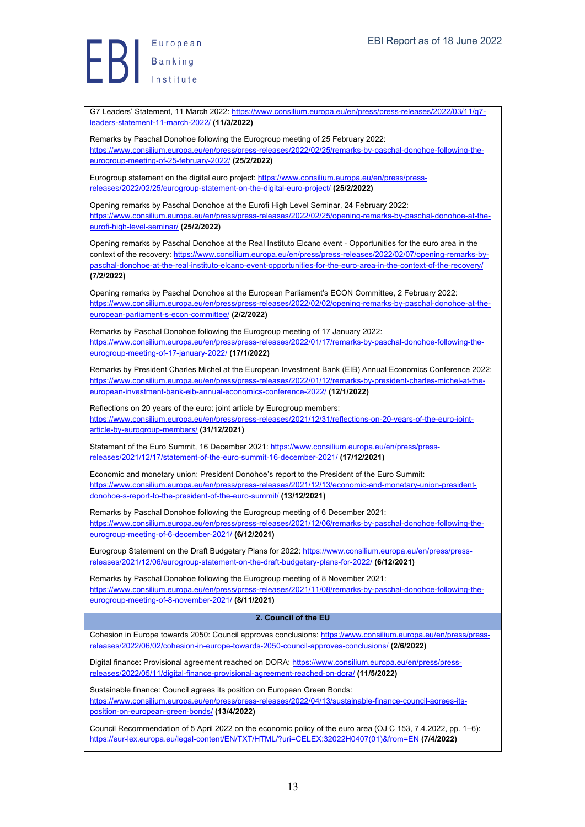European Europea<br>Banking<br>Landerstock

G7 Leaders' Statement, 11 March 2022: https://www.consilium.europa.eu/en/press/press-releases/2022/03/11/q7leaders-statement-11-march-2022/ **(11/3/2022)**

Remarks by Paschal Donohoe following the Eurogroup meeting of 25 February 2022: https://www.consilium.europa.eu/en/press/press-releases/2022/02/25/remarks-by-paschal-donohoe-following-theeurogroup-meeting-of-25-february-2022/ **(25/2/2022)**

Eurogroup statement on the digital euro project: https://www.consilium.europa.eu/en/press/pressreleases/2022/02/25/eurogroup-statement-on-the-digital-euro-project/ **(25/2/2022)**

Opening remarks by Paschal Donohoe at the Eurofi High Level Seminar, 24 February 2022: https://www.consilium.europa.eu/en/press/press-releases/2022/02/25/opening-remarks-by-paschal-donohoe-at-theeurofi-high-level-seminar/ **(25/2/2022)**

Opening remarks by Paschal Donohoe at the Real Instituto Elcano event - Opportunities for the euro area in the context of the recovery: https://www.consilium.europa.eu/en/press/press-releases/2022/02/07/opening-remarks-bypaschal-donohoe-at-the-real-instituto-elcano-event-opportunities-for-the-euro-area-in-the-context-of-the-recovery/ **(7/2/2022)**

Opening remarks by Paschal Donohoe at the European Parliament's ECON Committee, 2 February 2022: https://www.consilium.europa.eu/en/press/press-releases/2022/02/02/opening-remarks-by-paschal-donohoe-at-theeuropean-parliament-s-econ-committee/ **(2/2/2022)**

Remarks by Paschal Donohoe following the Eurogroup meeting of 17 January 2022: https://www.consilium.europa.eu/en/press/press-releases/2022/01/17/remarks-by-paschal-donohoe-following-theeurogroup-meeting-of-17-january-2022/ **(17/1/2022)**

Remarks by President Charles Michel at the European Investment Bank (EIB) Annual Economics Conference 2022: https://www.consilium.europa.eu/en/press/press-releases/2022/01/12/remarks-by-president-charles-michel-at-theeuropean-investment-bank-eib-annual-economics-conference-2022/ **(12/1/2022)**

Reflections on 20 years of the euro: joint article by Eurogroup members: https://www.consilium.europa.eu/en/press/press-releases/2021/12/31/reflections-on-20-years-of-the-euro-jointarticle-by-eurogroup-members/ **(31/12/2021)**

Statement of the Euro Summit, 16 December 2021: https://www.consilium.europa.eu/en/press/pressreleases/2021/12/17/statement-of-the-euro-summit-16-december-2021/ **(17/12/2021)**

Economic and monetary union: President Donohoe's report to the President of the Euro Summit: https://www.consilium.europa.eu/en/press/press-releases/2021/12/13/economic-and-monetary-union-presidentdonohoe-s-report-to-the-president-of-the-euro-summit/ **(13/12/2021)**

Remarks by Paschal Donohoe following the Eurogroup meeting of 6 December 2021: https://www.consilium.europa.eu/en/press/press-releases/2021/12/06/remarks-by-paschal-donohoe-following-theeurogroup-meeting-of-6-december-2021/ **(6/12/2021)**

Eurogroup Statement on the Draft Budgetary Plans for 2022: https://www.consilium.europa.eu/en/press/pressreleases/2021/12/06/eurogroup-statement-on-the-draft-budgetary-plans-for-2022/ **(6/12/2021)**

Remarks by Paschal Donohoe following the Eurogroup meeting of 8 November 2021: https://www.consilium.europa.eu/en/press/press-releases/2021/11/08/remarks-by-paschal-donohoe-following-theeurogroup-meeting-of-8-november-2021/ **(8/11/2021)**

#### **2. Council of the EU**

Cohesion in Europe towards 2050: Council approves conclusions: https://www.consilium.europa.eu/en/press/pressreleases/2022/06/02/cohesion-in-europe-towards-2050-council-approves-conclusions/ **(2/6/2022)**

Digital finance: Provisional agreement reached on DORA: https://www.consilium.europa.eu/en/press/pressreleases/2022/05/11/digital-finance-provisional-agreement-reached-on-dora/ **(11/5/2022)**

Sustainable finance: Council agrees its position on European Green Bonds: https://www.consilium.europa.eu/en/press/press-releases/2022/04/13/sustainable-finance-council-agrees-itsposition-on-european-green-bonds/ **(13/4/2022)**

Council Recommendation of 5 April 2022 on the economic policy of the euro area (OJ C 153, 7.4.2022, pp. 1–6): https://eur-lex.europa.eu/legal-content/EN/TXT/HTML/?uri=CELEX:32022H0407(01)&from=EN **(7/4/2022)**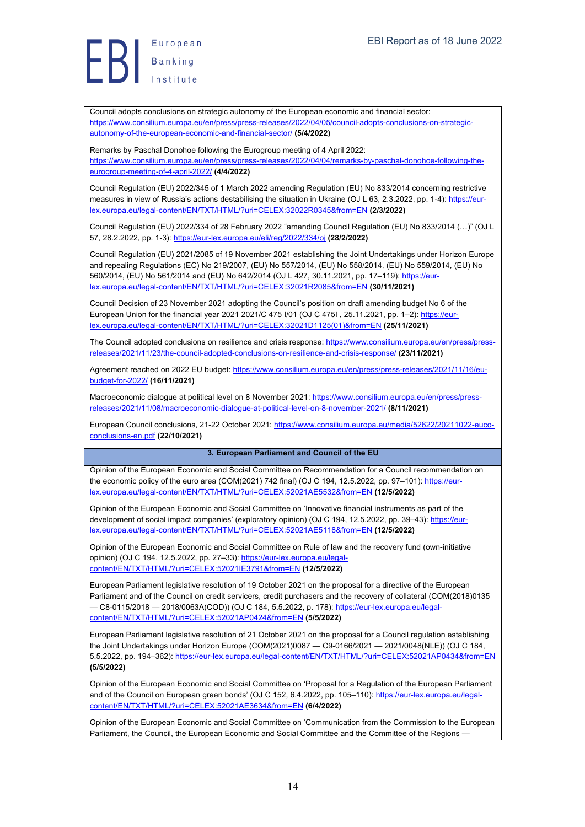Europea<br>Banking<br>Institute European

Council adopts conclusions on strategic autonomy of the European economic and financial sector: https://www.consilium.europa.eu/en/press/press-releases/2022/04/05/council-adopts-conclusions-on-strategicautonomy-of-the-european-economic-and-financial-sector/ **(5/4/2022)**

Remarks by Paschal Donohoe following the Eurogroup meeting of 4 April 2022: https://www.consilium.europa.eu/en/press/press-releases/2022/04/04/remarks-by-paschal-donohoe-following-theeurogroup-meeting-of-4-april-2022/ **(4/4/2022)**

Council Regulation (EU) 2022/345 of 1 March 2022 amending Regulation (EU) No 833/2014 concerning restrictive measures in view of Russia's actions destabilising the situation in Ukraine (OJ L 63, 2.3.2022, pp. 1-4); https://eurlex.europa.eu/legal-content/EN/TXT/HTML/?uri=CELEX:32022R0345&from=EN **(2/3/2022)**

Council Regulation (EU) 2022/334 of 28 February 2022 "amending Council Regulation (EU) No 833/2014 (…)" (OJ L 57, 28.2.2022, pp. 1-3): https://eur-lex.europa.eu/eli/reg/2022/334/oj **(28/2/2022)**

Council Regulation (EU) 2021/2085 of 19 November 2021 establishing the Joint Undertakings under Horizon Europe and repealing Regulations (EC) No 219/2007, (EU) No 557/2014, (EU) No 558/2014, (EU) No 559/2014, (EU) No 560/2014, (EU) No 561/2014 and (EU) No 642/2014 (OJ L 427, 30.11.2021, pp. 17–119): https://eurlex.europa.eu/legal-content/EN/TXT/HTML/?uri=CELEX:32021R2085&from=EN **(30/11/2021)**

Council Decision of 23 November 2021 adopting the Council's position on draft amending budget No 6 of the European Union for the financial year 2021 2021/C 475 I/01 (OJ C 475I , 25.11.2021, pp. 1–2): https://eurlex.europa.eu/legal-content/EN/TXT/HTML/?uri=CELEX:32021D1125(01)&from=EN **(25/11/2021)**

The Council adopted conclusions on resilience and crisis response: https://www.consilium.europa.eu/en/press/pressreleases/2021/11/23/the-council-adopted-conclusions-on-resilience-and-crisis-response/ **(23/11/2021)**

Agreement reached on 2022 EU budget: https://www.consilium.europa.eu/en/press/press-releases/2021/11/16/eubudget-for-2022/ **(16/11/2021)**

Macroeconomic dialogue at political level on 8 November 2021: https://www.consilium.europa.eu/en/press/pressreleases/2021/11/08/macroeconomic-dialogue-at-political-level-on-8-november-2021/ **(8/11/2021)**

European Council conclusions, 21-22 October 2021: https://www.consilium.europa.eu/media/52622/20211022-eucoconclusions-en.pdf **(22/10/2021)**

#### **3. European Parliament and Council of the EU**

Opinion of the European Economic and Social Committee on Recommendation for a Council recommendation on the economic policy of the euro area (COM(2021) 742 final) (OJ C 194, 12.5.2022, pp. 97-101): https://eurlex.europa.eu/legal-content/EN/TXT/HTML/?uri=CELEX:52021AE5532&from=EN **(12/5/2022)**

Opinion of the European Economic and Social Committee on 'Innovative financial instruments as part of the development of social impact companies' (exploratory opinion) (OJ C 194, 12.5.2022, pp. 39-43): https://eurlex.europa.eu/legal-content/EN/TXT/HTML/?uri=CELEX:52021AE5118&from=EN **(12/5/2022)**

Opinion of the European Economic and Social Committee on Rule of law and the recovery fund (own-initiative opinion) (OJ C 194, 12.5.2022, pp. 27-33): https://eur-lex.europa.eu/legalcontent/EN/TXT/HTML/?uri=CELEX:52021IE3791&from=EN **(12/5/2022)**

European Parliament legislative resolution of 19 October 2021 on the proposal for a directive of the European Parliament and of the Council on credit servicers, credit purchasers and the recovery of collateral (COM(2018)0135 — C8-0115/2018 — 2018/0063A(COD)) (OJ C 184, 5.5.2022, p. 178): https://eur-lex.europa.eu/legalcontent/EN/TXT/HTML/?uri=CELEX:52021AP0424&from=EN **(5/5/2022)**

European Parliament legislative resolution of 21 October 2021 on the proposal for a Council regulation establishing the Joint Undertakings under Horizon Europe (COM(2021)0087 — C9-0166/2021 — 2021/0048(NLE)) (OJ C 184, 5.5.2022, pp. 194–362): https://eur-lex.europa.eu/legal-content/EN/TXT/HTML/?uri=CELEX:52021AP0434&from=EN **(5/5/2022)**

Opinion of the European Economic and Social Committee on 'Proposal for a Regulation of the European Parliament and of the Council on European green bonds' (OJ C 152, 6.4.2022, pp. 105–110): https://eur-lex.europa.eu/legalcontent/EN/TXT/HTML/?uri=CELEX:52021AE3634&from=EN **(6/4/2022)**

Opinion of the European Economic and Social Committee on 'Communication from the Commission to the European Parliament, the Council, the European Economic and Social Committee and the Committee of the Regions -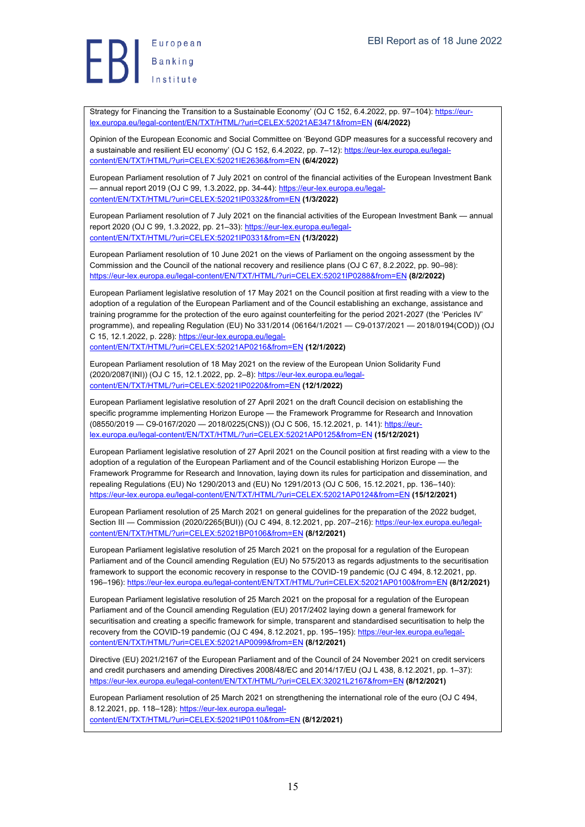Strategy for Financing the Transition to a Sustainable Economy' (OJ C 152, 6.4.2022, pp. 97-104): https://eurlex.europa.eu/legal-content/EN/TXT/HTML/?uri=CELEX:52021AE3471&from=EN **(6/4/2022)**

Opinion of the European Economic and Social Committee on 'Beyond GDP measures for a successful recovery and a sustainable and resilient EU economy' (OJ C 152, 6.4.2022, pp. 7-12): https://eur-lex.europa.eu/legalcontent/EN/TXT/HTML/?uri=CELEX:52021IE2636&from=EN **(6/4/2022)**

European Parliament resolution of 7 July 2021 on control of the financial activities of the European Investment Bank — annual report 2019 (OJ C 99, 1.3.2022, pp. 34-44): https://eur-lex.europa.eu/legalcontent/EN/TXT/HTML/?uri=CELEX:52021IP0332&from=EN **(1/3/2022)**

European Parliament resolution of 7 July 2021 on the financial activities of the European Investment Bank — annual report 2020 (OJ C 99, 1.3.2022, pp. 21–33): https://eur-lex.europa.eu/legalcontent/EN/TXT/HTML/?uri=CELEX:52021IP0331&from=EN **(1/3/2022)**

European Parliament resolution of 10 June 2021 on the views of Parliament on the ongoing assessment by the Commission and the Council of the national recovery and resilience plans (OJ C 67, 8.2.2022, pp. 90–98): https://eur-lex.europa.eu/legal-content/EN/TXT/HTML/?uri=CELEX:52021IP0288&from=EN **(8/2/2022)**

European Parliament legislative resolution of 17 May 2021 on the Council position at first reading with a view to the adoption of a regulation of the European Parliament and of the Council establishing an exchange, assistance and training programme for the protection of the euro against counterfeiting for the period 2021-2027 (the 'Pericles IV' programme), and repealing Regulation (EU) No 331/2014 (06164/1/2021 — C9-0137/2021 — 2018/0194(COD)) (OJ C 15, 12.1.2022, p. 228): https://eur-lex.europa.eu/legal-

content/EN/TXT/HTML/?uri=CELEX:52021AP0216&from=EN **(12/1/2022)**

European Parliament resolution of 18 May 2021 on the review of the European Union Solidarity Fund (2020/2087(INI)) (OJ C 15, 12.1.2022, pp. 2–8): https://eur-lex.europa.eu/legalcontent/EN/TXT/HTML/?uri=CELEX:52021IP0220&from=EN **(12/1/2022)**

European Parliament legislative resolution of 27 April 2021 on the draft Council decision on establishing the specific programme implementing Horizon Europe - the Framework Programme for Research and Innovation (08550/2019 — C9-0167/2020 — 2018/0225(CNS)) (OJ C 506, 15.12.2021, p. 141): https://eurlex.europa.eu/legal-content/EN/TXT/HTML/?uri=CELEX:52021AP0125&from=EN **(15/12/2021)**

European Parliament legislative resolution of 27 April 2021 on the Council position at first reading with a view to the adoption of a regulation of the European Parliament and of the Council establishing Horizon Europe — the Framework Programme for Research and Innovation, laying down its rules for participation and dissemination, and repealing Regulations (EU) No 1290/2013 and (EU) No 1291/2013 (OJ C 506, 15.12.2021, pp. 136–140): https://eur-lex.europa.eu/legal-content/EN/TXT/HTML/?uri=CELEX:52021AP0124&from=EN **(15/12/2021)**

European Parliament resolution of 25 March 2021 on general guidelines for the preparation of the 2022 budget, Section III — Commission (2020/2265(BUI)) (OJ C 494, 8.12.2021, pp. 207–216): https://eur-lex.europa.eu/legalcontent/EN/TXT/HTML/?uri=CELEX:52021BP0106&from=EN **(8/12/2021)**

European Parliament legislative resolution of 25 March 2021 on the proposal for a regulation of the European Parliament and of the Council amending Regulation (EU) No 575/2013 as regards adjustments to the securitisation framework to support the economic recovery in response to the COVID-19 pandemic (OJ C 494, 8.12.2021, pp. 196–196): https://eur-lex.europa.eu/legal-content/EN/TXT/HTML/?uri=CELEX:52021AP0100&from=EN **(8/12/2021)**

European Parliament legislative resolution of 25 March 2021 on the proposal for a regulation of the European Parliament and of the Council amending Regulation (EU) 2017/2402 laying down a general framework for securitisation and creating a specific framework for simple, transparent and standardised securitisation to help the recovery from the COVID-19 pandemic (OJ C 494, 8.12.2021, pp. 195–195): https://eur-lex.europa.eu/legalcontent/EN/TXT/HTML/?uri=CELEX:52021AP0099&from=EN **(8/12/2021)**

Directive (EU) 2021/2167 of the European Parliament and of the Council of 24 November 2021 on credit servicers and credit purchasers and amending Directives 2008/48/EC and 2014/17/EU (OJ L 438, 8.12.2021, pp. 1–37): https://eur-lex.europa.eu/legal-content/EN/TXT/HTML/?uri=CELEX:32021L2167&from=EN **(8/12/2021)**

European Parliament resolution of 25 March 2021 on strengthening the international role of the euro (OJ C 494, 8.12.2021, pp. 118–128): https://eur-lex.europa.eu/legalcontent/EN/TXT/HTML/?uri=CELEX:52021IP0110&from=EN **(8/12/2021)**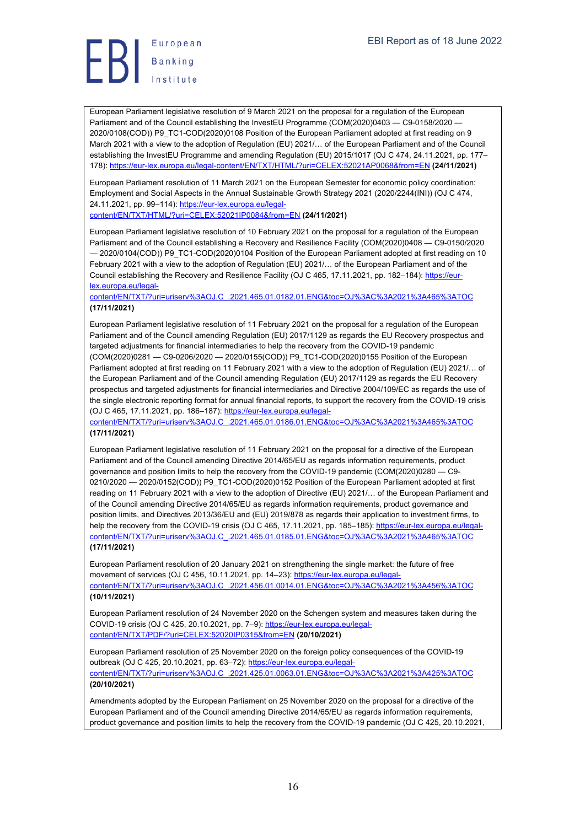

European Parliament legislative resolution of 9 March 2021 on the proposal for a regulation of the European Parliament and of the Council establishing the InvestEU Programme (COM(2020)0403 - C9-0158/2020 -2020/0108(COD)) P9\_TC1-COD(2020)0108 Position of the European Parliament adopted at first reading on 9 March 2021 with a view to the adoption of Regulation (EU) 2021/… of the European Parliament and of the Council establishing the InvestEU Programme and amending Regulation (EU) 2015/1017 (OJ C 474, 24.11.2021, pp. 177– 178): https://eur-lex.europa.eu/legal-content/EN/TXT/HTML/?uri=CELEX:52021AP0068&from=EN **(24/11/2021)**

European Parliament resolution of 11 March 2021 on the European Semester for economic policy coordination: Employment and Social Aspects in the Annual Sustainable Growth Strategy 2021 (2020/2244(INI)) (OJ C 474, 24.11.2021, pp. 99–114): https://eur-lex.europa.eu/legalcontent/EN/TXT/HTML/?uri=CELEX:52021IP0084&from=EN **(24/11/2021)**

European Parliament legislative resolution of 10 February 2021 on the proposal for a regulation of the European Parliament and of the Council establishing a Recovery and Resilience Facility (COM(2020)0408 — C9-0150/2020 — 2020/0104(COD)) P9\_TC1-COD(2020)0104 Position of the European Parliament adopted at first reading on 10 February 2021 with a view to the adoption of Regulation (EU) 2021/… of the European Parliament and of the Council establishing the Recovery and Resilience Facility (OJ C 465, 17.11.2021, pp. 182–184): https://eurlex.europa.eu/legal-

content/EN/TXT/?uri=uriserv%3AOJ.C\_.2021.465.01.0182.01.ENG&toc=OJ%3AC%3A2021%3A465%3ATOC **(17/11/2021)**

European Parliament legislative resolution of 11 February 2021 on the proposal for a regulation of the European Parliament and of the Council amending Regulation (EU) 2017/1129 as regards the EU Recovery prospectus and targeted adjustments for financial intermediaries to help the recovery from the COVID-19 pandemic (COM(2020)0281 — C9-0206/2020 — 2020/0155(COD)) P9\_TC1-COD(2020)0155 Position of the European Parliament adopted at first reading on 11 February 2021 with a view to the adoption of Regulation (EU) 2021/... of the European Parliament and of the Council amending Regulation (EU) 2017/1129 as regards the EU Recovery prospectus and targeted adjustments for financial intermediaries and Directive 2004/109/EC as regards the use of the single electronic reporting format for annual financial reports, to support the recovery from the COVID-19 crisis (OJ C 465, 17.11.2021, pp. 186–187): https://eur-lex.europa.eu/legal-

content/EN/TXT/?uri=uriserv%3AOJ.C\_.2021.465.01.0186.01.ENG&toc=OJ%3AC%3A2021%3A465%3ATOC **(17/11/2021)**

European Parliament legislative resolution of 11 February 2021 on the proposal for a directive of the European Parliament and of the Council amending Directive 2014/65/EU as regards information requirements, product governance and position limits to help the recovery from the COVID-19 pandemic (COM(2020)0280 — C9- 0210/2020 - 2020/0152(COD)) P9\_TC1-COD(2020)0152 Position of the European Parliament adopted at first reading on 11 February 2021 with a view to the adoption of Directive (EU) 2021/… of the European Parliament and of the Council amending Directive 2014/65/EU as regards information requirements, product governance and position limits, and Directives 2013/36/EU and (EU) 2019/878 as regards their application to investment firms, to help the recovery from the COVID-19 crisis (OJ C 465, 17.11.2021, pp. 185-185): https://eur-lex.europa.eu/legalcontent/EN/TXT/?uri=uriserv%3AOJ.C\_.2021.465.01.0185.01.ENG&toc=OJ%3AC%3A2021%3A465%3ATOC **(17/11/2021)**

European Parliament resolution of 20 January 2021 on strengthening the single market: the future of free movement of services (OJ C 456, 10.11.2021, pp. 14-23): https://eur-lex.europa.eu/legalcontent/EN/TXT/?uri=uriserv%3AOJ.C\_.2021.456.01.0014.01.ENG&toc=OJ%3AC%3A2021%3A456%3ATOC **(10/11/2021)**

European Parliament resolution of 24 November 2020 on the Schengen system and measures taken during the COVID-19 crisis (OJ C 425, 20.10.2021, pp. 7–9): https://eur-lex.europa.eu/legalcontent/EN/TXT/PDF/?uri=CELEX:52020IP0315&from=EN **(20/10/2021)**

European Parliament resolution of 25 November 2020 on the foreign policy consequences of the COVID-19 outbreak (OJ C 425, 20.10.2021, pp. 63-72): https://eur-lex.europa.eu/legalcontent/EN/TXT/?uri=uriserv%3AOJ.C\_.2021.425.01.0063.01.ENG&toc=OJ%3AC%3A2021%3A425%3ATOC **(20/10/2021)**

Amendments adopted by the European Parliament on 25 November 2020 on the proposal for a directive of the European Parliament and of the Council amending Directive 2014/65/EU as regards information requirements, product governance and position limits to help the recovery from the COVID-19 pandemic (OJ C 425, 20.10.2021,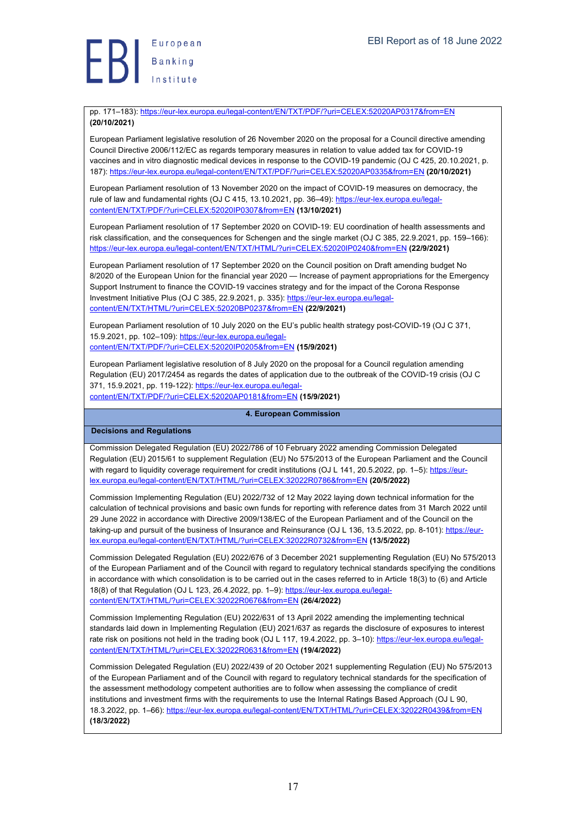pp. 171–183): https://eur-lex.europa.eu/legal-content/EN/TXT/PDF/?uri=CELEX:52020AP0317&from=EN **(20/10/2021)**

European Parliament legislative resolution of 26 November 2020 on the proposal for a Council directive amending Council Directive 2006/112/EC as regards temporary measures in relation to value added tax for COVID-19 vaccines and in vitro diagnostic medical devices in response to the COVID-19 pandemic (OJ C 425, 20.10.2021, p. 187): https://eur-lex.europa.eu/legal-content/EN/TXT/PDF/?uri=CELEX:52020AP0335&from=EN **(20/10/2021)**

European Parliament resolution of 13 November 2020 on the impact of COVID-19 measures on democracy, the rule of law and fundamental rights (OJ C 415, 13.10.2021, pp. 36–49): https://eur-lex.europa.eu/legalcontent/EN/TXT/PDF/?uri=CELEX:52020IP0307&from=EN **(13/10/2021)**

European Parliament resolution of 17 September 2020 on COVID-19: EU coordination of health assessments and risk classification, and the consequences for Schengen and the single market (OJ C 385, 22.9.2021, pp. 159–166): https://eur-lex.europa.eu/legal-content/EN/TXT/HTML/?uri=CELEX:52020IP0240&from=EN **(22/9/2021)**

European Parliament resolution of 17 September 2020 on the Council position on Draft amending budget No 8/2020 of the European Union for the financial year 2020 — Increase of payment appropriations for the Emergency Support Instrument to finance the COVID-19 vaccines strategy and for the impact of the Corona Response Investment Initiative Plus (OJ C 385, 22.9.2021, p. 335): https://eur-lex.europa.eu/legalcontent/EN/TXT/HTML/?uri=CELEX:52020BP0237&from=EN **(22/9/2021)**

European Parliament resolution of 10 July 2020 on the EU's public health strategy post-COVID-19 (OJ C 371, 15.9.2021, pp. 102–109): https://eur-lex.europa.eu/legalcontent/EN/TXT/PDF/?uri=CELEX:52020IP0205&from=EN **(15/9/2021)**

European Parliament legislative resolution of 8 July 2020 on the proposal for a Council regulation amending Regulation (EU) 2017/2454 as regards the dates of application due to the outbreak of the COVID-19 crisis (OJ C 371, 15.9.2021, pp. 119-122): https://eur-lex.europa.eu/legalcontent/EN/TXT/PDF/?uri=CELEX:52020AP0181&from=EN **(15/9/2021)**

**4. European Commission**

**Decisions and Regulations**

Commission Delegated Regulation (EU) 2022/786 of 10 February 2022 amending Commission Delegated Regulation (EU) 2015/61 to supplement Regulation (EU) No 575/2013 of the European Parliament and the Council with regard to liquidity coverage requirement for credit institutions (OJ L 141, 20.5.2022, pp. 1-5): https://eurlex.europa.eu/legal-content/EN/TXT/HTML/?uri=CELEX:32022R0786&from=EN **(20/5/2022)**

Commission Implementing Regulation (EU) 2022/732 of 12 May 2022 laying down technical information for the calculation of technical provisions and basic own funds for reporting with reference dates from 31 March 2022 until 29 June 2022 in accordance with Directive 2009/138/EC of the European Parliament and of the Council on the taking-up and pursuit of the business of Insurance and Reinsurance (OJ L 136, 13.5.2022, pp. 8-101): https://eurlex.europa.eu/legal-content/EN/TXT/HTML/?uri=CELEX:32022R0732&from=EN **(13/5/2022)**

Commission Delegated Regulation (EU) 2022/676 of 3 December 2021 supplementing Regulation (EU) No 575/2013 of the European Parliament and of the Council with regard to regulatory technical standards specifying the conditions in accordance with which consolidation is to be carried out in the cases referred to in Article 18(3) to (6) and Article 18(8) of that Regulation (OJ L 123, 26.4.2022, pp. 1–9): https://eur-lex.europa.eu/legalcontent/EN/TXT/HTML/?uri=CELEX:32022R0676&from=EN **(26/4/2022)**

Commission Implementing Regulation (EU) 2022/631 of 13 April 2022 amending the implementing technical standards laid down in Implementing Regulation (EU) 2021/637 as regards the disclosure of exposures to interest rate risk on positions not held in the trading book (OJ L 117, 19.4.2022, pp. 3-10): https://eur-lex.europa.eu/legalcontent/EN/TXT/HTML/?uri=CELEX:32022R0631&from=EN **(19/4/2022)**

Commission Delegated Regulation (EU) 2022/439 of 20 October 2021 supplementing Regulation (EU) No 575/2013 of the European Parliament and of the Council with regard to regulatory technical standards for the specification of the assessment methodology competent authorities are to follow when assessing the compliance of credit institutions and investment firms with the requirements to use the Internal Ratings Based Approach (OJ L 90, 18.3.2022, pp. 1–66): https://eur-lex.europa.eu/legal-content/EN/TXT/HTML/?uri=CELEX:32022R0439&from=EN **(18/3/2022)**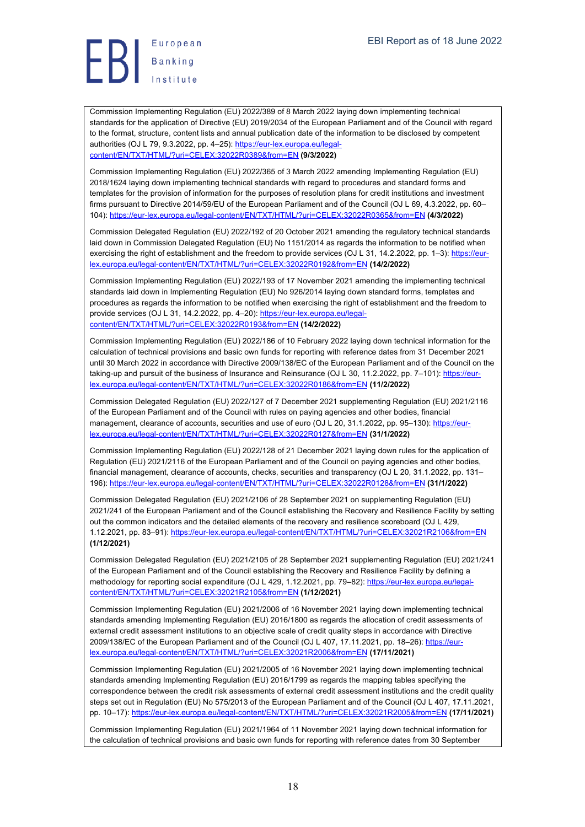

Commission Implementing Regulation (EU) 2022/389 of 8 March 2022 laying down implementing technical standards for the application of Directive (EU) 2019/2034 of the European Parliament and of the Council with regard to the format, structure, content lists and annual publication date of the information to be disclosed by competent authorities (OJ L 79, 9.3.2022, pp. 4-25): https://eur-lex.europa.eu/legalcontent/EN/TXT/HTML/?uri=CELEX:32022R0389&from=EN **(9/3/2022)**

Commission Implementing Regulation (EU) 2022/365 of 3 March 2022 amending Implementing Regulation (EU) 2018/1624 laying down implementing technical standards with regard to procedures and standard forms and templates for the provision of information for the purposes of resolution plans for credit institutions and investment firms pursuant to Directive 2014/59/EU of the European Parliament and of the Council (OJ L 69, 4.3.2022, pp. 60– 104): https://eur-lex.europa.eu/legal-content/EN/TXT/HTML/?uri=CELEX:32022R0365&from=EN **(4/3/2022)**

Commission Delegated Regulation (EU) 2022/192 of 20 October 2021 amending the regulatory technical standards laid down in Commission Delegated Regulation (EU) No 1151/2014 as regards the information to be notified when exercising the right of establishment and the freedom to provide services (OJ L 31, 14.2.2022, pp. 1-3): https://eurlex.europa.eu/legal-content/EN/TXT/HTML/?uri=CELEX:32022R0192&from=EN **(14/2/2022)**

Commission Implementing Regulation (EU) 2022/193 of 17 November 2021 amending the implementing technical standards laid down in Implementing Regulation (EU) No 926/2014 laying down standard forms, templates and procedures as regards the information to be notified when exercising the right of establishment and the freedom to provide services (OJ L 31, 14.2.2022, pp. 4–20): https://eur-lex.europa.eu/legalcontent/EN/TXT/HTML/?uri=CELEX:32022R0193&from=EN **(14/2/2022)**

Commission Implementing Regulation (EU) 2022/186 of 10 February 2022 laying down technical information for the calculation of technical provisions and basic own funds for reporting with reference dates from 31 December 2021 until 30 March 2022 in accordance with Directive 2009/138/EC of the European Parliament and of the Council on the taking-up and pursuit of the business of Insurance and Reinsurance (OJ L 30, 11.2.2022, pp. 7–101); https://eurlex.europa.eu/legal-content/EN/TXT/HTML/?uri=CELEX:32022R0186&from=EN **(11/2/2022)**

Commission Delegated Regulation (EU) 2022/127 of 7 December 2021 supplementing Regulation (EU) 2021/2116 of the European Parliament and of the Council with rules on paying agencies and other bodies, financial management, clearance of accounts, securities and use of euro (OJ L 20, 31.1.2022, pp. 95-130): https://eurlex.europa.eu/legal-content/EN/TXT/HTML/?uri=CELEX:32022R0127&from=EN **(31/1/2022)**

Commission Implementing Regulation (EU) 2022/128 of 21 December 2021 laying down rules for the application of Regulation (EU) 2021/2116 of the European Parliament and of the Council on paying agencies and other bodies, financial management, clearance of accounts, checks, securities and transparency (OJ L 20, 31.1.2022, pp. 131– 196): https://eur-lex.europa.eu/legal-content/EN/TXT/HTML/?uri=CELEX:32022R0128&from=EN **(31/1/2022)**

Commission Delegated Regulation (EU) 2021/2106 of 28 September 2021 on supplementing Regulation (EU) 2021/241 of the European Parliament and of the Council establishing the Recovery and Resilience Facility by setting out the common indicators and the detailed elements of the recovery and resilience scoreboard (OJ L 429, 1.12.2021, pp. 83–91): https://eur-lex.europa.eu/legal-content/EN/TXT/HTML/?uri=CELEX:32021R2106&from=EN **(1/12/2021)**

Commission Delegated Regulation (EU) 2021/2105 of 28 September 2021 supplementing Regulation (EU) 2021/241 of the European Parliament and of the Council establishing the Recovery and Resilience Facility by defining a methodology for reporting social expenditure (OJ L 429, 1.12.2021, pp. 79–82): https://eur-lex.europa.eu/legalcontent/EN/TXT/HTML/?uri=CELEX:32021R2105&from=EN **(1/12/2021)**

Commission Implementing Regulation (EU) 2021/2006 of 16 November 2021 laying down implementing technical standards amending Implementing Regulation (EU) 2016/1800 as regards the allocation of credit assessments of external credit assessment institutions to an objective scale of credit quality steps in accordance with Directive 2009/138/EC of the European Parliament and of the Council (OJ L 407, 17.11.2021, pp. 18–26): https://eurlex.europa.eu/legal-content/EN/TXT/HTML/?uri=CELEX:32021R2006&from=EN **(17/11/2021)**

Commission Implementing Regulation (EU) 2021/2005 of 16 November 2021 laying down implementing technical standards amending Implementing Regulation (EU) 2016/1799 as regards the mapping tables specifying the correspondence between the credit risk assessments of external credit assessment institutions and the credit quality steps set out in Regulation (EU) No 575/2013 of the European Parliament and of the Council (OJ L 407, 17.11.2021, pp. 10–17): https://eur-lex.europa.eu/legal-content/EN/TXT/HTML/?uri=CELEX:32021R2005&from=EN **(17/11/2021)**

Commission Implementing Regulation (EU) 2021/1964 of 11 November 2021 laying down technical information for the calculation of technical provisions and basic own funds for reporting with reference dates from 30 September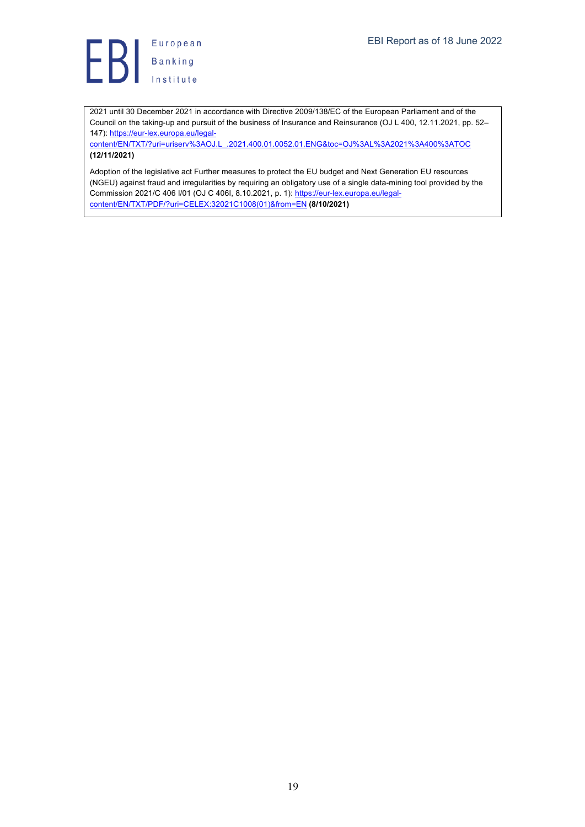**B**<br>
B<br>
B<br>
Institute

2021 until 30 December 2021 in accordance with Directive 2009/138/EC of the European Parliament and of the Council on the taking-up and pursuit of the business of Insurance and Reinsurance (OJ L 400, 12.11.2021, pp. 52– 147): https://eur-lex.europa.eu/legal-

content/EN/TXT/?uri=uriserv%3AOJ.L\_.2021.400.01.0052.01.ENG&toc=OJ%3AL%3A2021%3A400%3ATOC **(12/11/2021)**

Adoption of the legislative act Further measures to protect the EU budget and Next Generation EU resources (NGEU) against fraud and irregularities by requiring an obligatory use of a single data-mining tool provided by the Commission 2021/C 406 I/01 (OJ C 406I, 8.10.2021, p. 1): https://eur-lex.europa.eu/legalcontent/EN/TXT/PDF/?uri=CELEX:32021C1008(01)&from=EN **(8/10/2021)**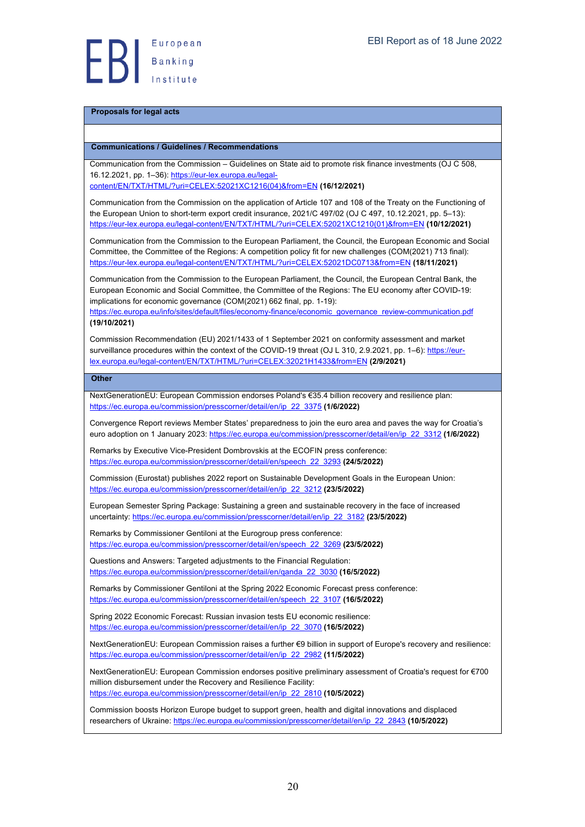#### **Proposals for legal acts**

#### **Communications / Guidelines / Recommendations**

Communication from the Commission – Guidelines on State aid to promote risk finance investments (OJ C 508, 16.12.2021, pp. 1-36): https://eur-lex.europa.eu/legal-

content/EN/TXT/HTML/?uri=CELEX:52021XC1216(04)&from=EN **(16/12/2021)**

Communication from the Commission on the application of Article 107 and 108 of the Treaty on the Functioning of the European Union to short-term export credit insurance, 2021/C 497/02 (OJ C 497, 10.12.2021, pp. 5–13): https://eur-lex.europa.eu/legal-content/EN/TXT/HTML/?uri=CELEX:52021XC1210(01)&from=EN **(10/12/2021)**

Communication from the Commission to the European Parliament, the Council, the European Economic and Social Committee, the Committee of the Regions: A competition policy fit for new challenges (COM(2021) 713 final): https://eur-lex.europa.eu/legal-content/EN/TXT/HTML/?uri=CELEX:52021DC0713&from=EN **(18/11/2021)**

Communication from the Commission to the European Parliament, the Council, the European Central Bank, the European Economic and Social Committee, the Committee of the Regions: The EU economy after COVID-19: implications for economic governance (COM(2021) 662 final, pp. 1-19):

https://ec.europa.eu/info/sites/default/files/economy-finance/economic\_governance\_review-communication.pdf **(19/10/2021)**

Commission Recommendation (EU) 2021/1433 of 1 September 2021 on conformity assessment and market surveillance procedures within the context of the COVID-19 threat (OJ L 310, 2.9.2021, pp. 1–6): https://eurlex.europa.eu/legal-content/EN/TXT/HTML/?uri=CELEX:32021H1433&from=EN **(2/9/2021)**

**Other**

NextGenerationEU: European Commission endorses Poland's €35.4 billion recovery and resilience plan: https://ec.europa.eu/commission/presscorner/detail/en/ip\_22\_3375 **(1/6/2022)**

Convergence Report reviews Member States' preparedness to join the euro area and paves the way for Croatia's euro adoption on 1 January 2023: https://ec.europa.eu/commission/presscorner/detail/en/ip\_22\_3312 **(1/6/2022)**

Remarks by Executive Vice-President Dombrovskis at the ECOFIN press conference: https://ec.europa.eu/commission/presscorner/detail/en/speech\_22\_3293 **(24/5/2022)**

Commission (Eurostat) publishes 2022 report on Sustainable Development Goals in the European Union: https://ec.europa.eu/commission/presscorner/detail/en/ip\_22\_3212 **(23/5/2022)**

European Semester Spring Package: Sustaining a green and sustainable recovery in the face of increased uncertainty: https://ec.europa.eu/commission/presscorner/detail/en/ip\_22\_3182 **(23/5/2022)**

Remarks by Commissioner Gentiloni at the Eurogroup press conference: https://ec.europa.eu/commission/presscorner/detail/en/speech\_22\_3269 **(23/5/2022)**

Questions and Answers: Targeted adjustments to the Financial Regulation: https://ec.europa.eu/commission/presscorner/detail/en/qanda\_22\_3030 **(16/5/2022)**

Remarks by Commissioner Gentiloni at the Spring 2022 Economic Forecast press conference: https://ec.europa.eu/commission/presscorner/detail/en/speech\_22\_3107 **(16/5/2022)**

Spring 2022 Economic Forecast: Russian invasion tests EU economic resilience: https://ec.europa.eu/commission/presscorner/detail/en/ip\_22\_3070 **(16/5/2022)**

NextGenerationEU: European Commission raises a further €9 billion in support of Europe's recovery and resilience: https://ec.europa.eu/commission/presscorner/detail/en/ip\_22\_2982 **(11/5/2022)**

NextGenerationEU: European Commission endorses positive preliminary assessment of Croatia's request for €700 million disbursement under the Recovery and Resilience Facility: https://ec.europa.eu/commission/presscorner/detail/en/ip\_22\_2810 **(10/5/2022)**

Commission boosts Horizon Europe budget to support green, health and digital innovations and displaced researchers of Ukraine: https://ec.europa.eu/commission/presscorner/detail/en/ip\_22\_2843 **(10/5/2022)**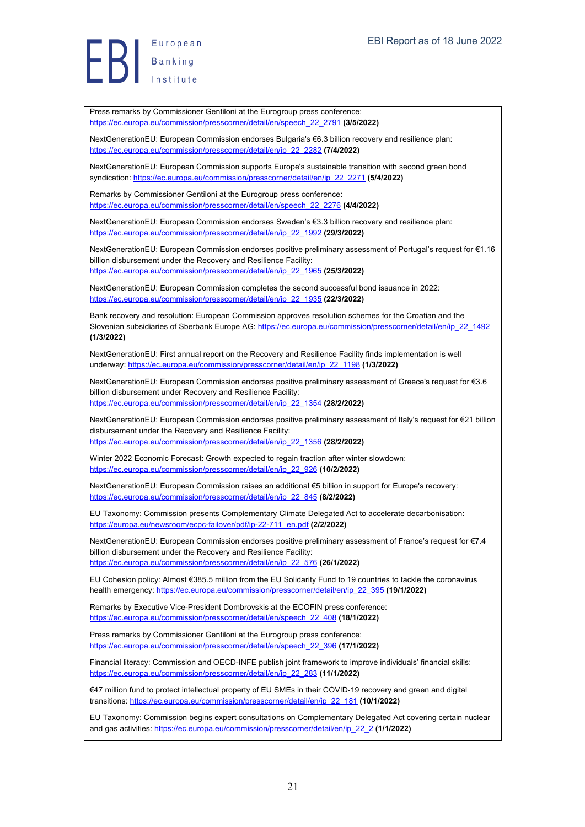Press remarks by Commissioner Gentiloni at the Eurogroup press conference: https://ec.europa.eu/commission/presscorner/detail/en/speech\_22\_2791 **(3/5/2022)**

NextGenerationEU: European Commission endorses Bulgaria's €6.3 billion recovery and resilience plan: https://ec.europa.eu/commission/presscorner/detail/en/ip\_22\_2282 **(7/4/2022)**

NextGenerationEU: European Commission supports Europe's sustainable transition with second green bond syndication: https://ec.europa.eu/commission/presscorner/detail/en/ip\_22\_2271 **(5/4/2022)**

Remarks by Commissioner Gentiloni at the Eurogroup press conference: https://ec.europa.eu/commission/presscorner/detail/en/speech\_22\_2276 **(4/4/2022)**

NextGenerationEU: European Commission endorses Sweden's €3.3 billion recovery and resilience plan: https://ec.europa.eu/commission/presscorner/detail/en/ip\_22\_1992 **(29/3/2022)**

NextGenerationEU: European Commission endorses positive preliminary assessment of Portugal's request for €1.16 billion disbursement under the Recovery and Resilience Facility: https://ec.europa.eu/commission/presscorner/detail/en/ip\_22\_1965 **(25/3/2022)**

NextGenerationEU: European Commission completes the second successful bond issuance in 2022: https://ec.europa.eu/commission/presscorner/detail/en/ip\_22\_1935 **(22/3/2022)**

Bank recovery and resolution: European Commission approves resolution schemes for the Croatian and the Slovenian subsidiaries of Sberbank Europe AG: https://ec.europa.eu/commission/presscorner/detail/en/ip\_22\_1492 **(1/3/2022)**

NextGenerationEU: First annual report on the Recovery and Resilience Facility finds implementation is well underway: https://ec.europa.eu/commission/presscorner/detail/en/ip\_22\_1198 **(1/3/2022)**

NextGenerationEU: European Commission endorses positive preliminary assessment of Greece's request for €3.6 billion disbursement under Recovery and Resilience Facility: https://ec.europa.eu/commission/presscorner/detail/en/ip\_22\_1354 **(28/2/2022)**

NextGenerationEU: European Commission endorses positive preliminary assessment of Italy's request for €21 billion disbursement under the Recovery and Resilience Facility:

https://ec.europa.eu/commission/presscorner/detail/en/ip\_22\_1356 **(28/2/2022)**

Winter 2022 Economic Forecast: Growth expected to regain traction after winter slowdown: https://ec.europa.eu/commission/presscorner/detail/en/ip\_22\_926 **(10/2/2022)**

NextGenerationEU: European Commission raises an additional €5 billion in support for Europe's recovery: https://ec.europa.eu/commission/presscorner/detail/en/ip\_22\_845 **(8/2/2022)**

EU Taxonomy: Commission presents Complementary Climate Delegated Act to accelerate decarbonisation: https://europa.eu/newsroom/ecpc-failover/pdf/ip-22-711\_en.pdf **(2/2/2022)**

NextGenerationEU: European Commission endorses positive preliminary assessment of France's request for €7.4 billion disbursement under the Recovery and Resilience Facility: https://ec.europa.eu/commission/presscorner/detail/en/ip\_22\_576 **(26/1/2022)**

EU Cohesion policy: Almost €385.5 million from the EU Solidarity Fund to 19 countries to tackle the coronavirus health emergency: https://ec.europa.eu/commission/presscorner/detail/en/ip\_22\_395 **(19/1/2022)**

Remarks by Executive Vice-President Dombrovskis at the ECOFIN press conference: https://ec.europa.eu/commission/presscorner/detail/en/speech\_22\_408 **(18/1/2022)**

Press remarks by Commissioner Gentiloni at the Eurogroup press conference: https://ec.europa.eu/commission/presscorner/detail/en/speech\_22\_396 **(17/1/2022)**

Financial literacy: Commission and OECD-INFE publish joint framework to improve individuals' financial skills: https://ec.europa.eu/commission/presscorner/detail/en/ip\_22\_283 **(11/1/2022)**

€47 million fund to protect intellectual property of EU SMEs in their COVID-19 recovery and green and digital transitions: https://ec.europa.eu/commission/presscorner/detail/en/ip\_22\_181 **(10/1/2022)**

EU Taxonomy: Commission begins expert consultations on Complementary Delegated Act covering certain nuclear and gas activities: https://ec.europa.eu/commission/presscorner/detail/en/ip\_22\_2 **(1/1/2022)**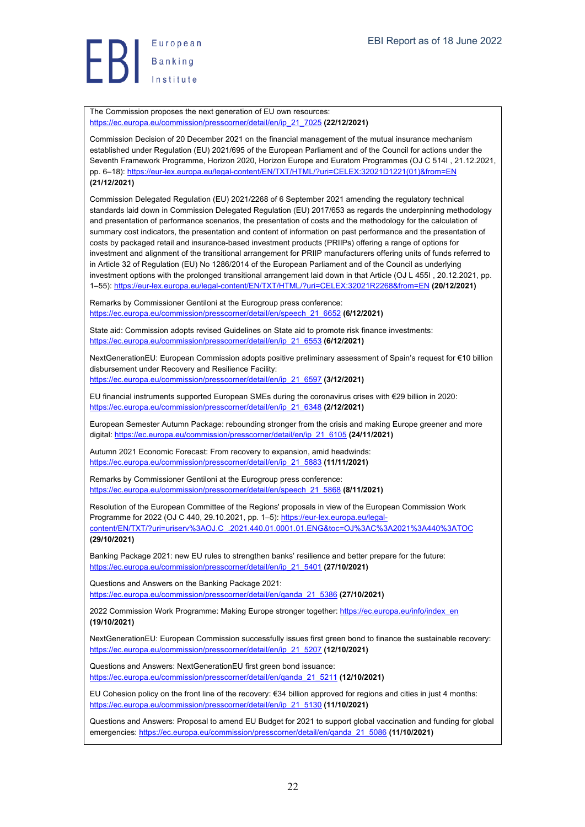European  $\left\{\right\}$  Banking

The Commission proposes the next generation of EU own resources: https://ec.europa.eu/commission/presscorner/detail/en/ip\_21\_7025 **(22/12/2021)**

Commission Decision of 20 December 2021 on the financial management of the mutual insurance mechanism established under Regulation (EU) 2021/695 of the European Parliament and of the Council for actions under the Seventh Framework Programme, Horizon 2020, Horizon Europe and Euratom Programmes (OJ C 514I , 21.12.2021, pp. 6–18): https://eur-lex.europa.eu/legal-content/EN/TXT/HTML/?uri=CELEX:32021D1221(01)&from=EN **(21/12/2021)**

Commission Delegated Regulation (EU) 2021/2268 of 6 September 2021 amending the regulatory technical standards laid down in Commission Delegated Regulation (EU) 2017/653 as regards the underpinning methodology and presentation of performance scenarios, the presentation of costs and the methodology for the calculation of summary cost indicators, the presentation and content of information on past performance and the presentation of costs by packaged retail and insurance-based investment products (PRIIPs) offering a range of options for investment and alignment of the transitional arrangement for PRIIP manufacturers offering units of funds referred to in Article 32 of Regulation (EU) No 1286/2014 of the European Parliament and of the Council as underlying investment options with the prolonged transitional arrangement laid down in that Article (OJ L 455I, 20.12.2021, pp. 1–55): https://eur-lex.europa.eu/legal-content/EN/TXT/HTML/?uri=CELEX:32021R2268&from=EN **(20/12/2021)**

Remarks by Commissioner Gentiloni at the Eurogroup press conference: https://ec.europa.eu/commission/presscorner/detail/en/speech\_21\_6652 **(6/12/2021)**

State aid: Commission adopts revised Guidelines on State aid to promote risk finance investments: https://ec.europa.eu/commission/presscorner/detail/en/ip\_21\_6553 **(6/12/2021)**

NextGenerationEU: European Commission adopts positive preliminary assessment of Spain's request for €10 billion disbursement under Recovery and Resilience Facility: https://ec.europa.eu/commission/presscorner/detail/en/ip\_21\_6597 **(3/12/2021)**

EU financial instruments supported European SMEs during the coronavirus crises with €29 billion in 2020: https://ec.europa.eu/commission/presscorner/detail/en/ip\_21\_6348 **(2/12/2021)**

European Semester Autumn Package: rebounding stronger from the crisis and making Europe greener and more digital: https://ec.europa.eu/commission/presscorner/detail/en/ip\_21\_6105 **(24/11/2021)**

Autumn 2021 Economic Forecast: From recovery to expansion, amid headwinds: https://ec.europa.eu/commission/presscorner/detail/en/ip\_21\_5883 **(11/11/2021)**

Remarks by Commissioner Gentiloni at the Eurogroup press conference: https://ec.europa.eu/commission/presscorner/detail/en/speech\_21\_5868 **(8/11/2021)**

Resolution of the European Committee of the Regions' proposals in view of the European Commission Work Programme for 2022 (OJ C 440, 29.10.2021, pp. 1-5): https://eur-lex.europa.eu/legalcontent/EN/TXT/?uri=uriserv%3AOJ.C\_.2021.440.01.0001.01.ENG&toc=OJ%3AC%3A2021%3A440%3ATOC **(29/10/2021)**

Banking Package 2021: new EU rules to strengthen banks' resilience and better prepare for the future: https://ec.europa.eu/commission/presscorner/detail/en/ip\_21\_5401 **(27/10/2021)**

Questions and Answers on the Banking Package 2021: https://ec.europa.eu/commission/presscorner/detail/en/qanda\_21\_5386 **(27/10/2021)**

2022 Commission Work Programme: Making Europe stronger together: https://ec.europa.eu/info/index\_en **(19/10/2021)**

NextGenerationEU: European Commission successfully issues first green bond to finance the sustainable recovery: https://ec.europa.eu/commission/presscorner/detail/en/ip\_21\_5207 **(12/10/2021)**

Questions and Answers: NextGenerationEU first green bond issuance: https://ec.europa.eu/commission/presscorner/detail/en/qanda\_21\_5211 **(12/10/2021)**

EU Cohesion policy on the front line of the recovery: €34 billion approved for regions and cities in just 4 months: https://ec.europa.eu/commission/presscorner/detail/en/ip\_21\_5130 **(11/10/2021)**

Questions and Answers: Proposal to amend EU Budget for 2021 to support global vaccination and funding for global emergencies: https://ec.europa.eu/commission/presscorner/detail/en/qanda\_21\_5086 **(11/10/2021)**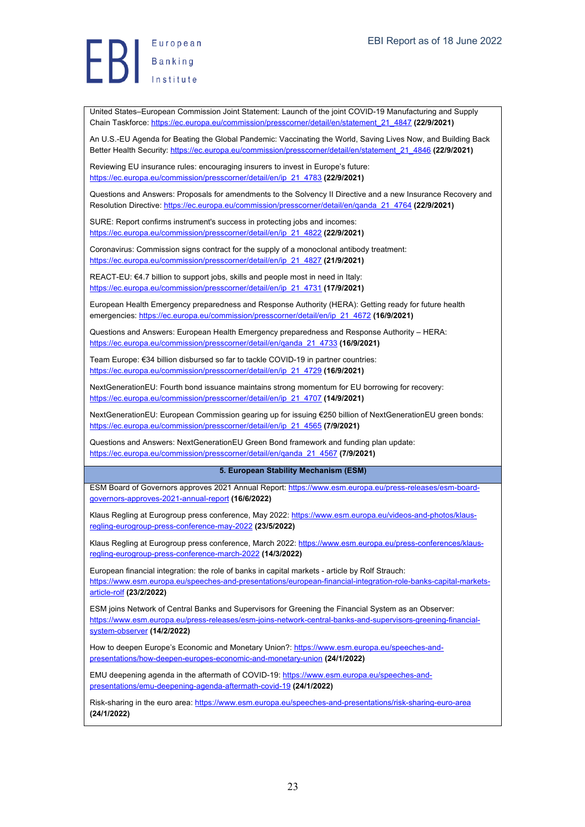United States–European Commission Joint Statement: Launch of the joint COVID-19 Manufacturing and Supply Chain Taskforce: https://ec.europa.eu/commission/presscorner/detail/en/statement\_21\_4847 **(22/9/2021)**

An U.S.-EU Agenda for Beating the Global Pandemic: Vaccinating the World, Saving Lives Now, and Building Back Better Health Security: https://ec.europa.eu/commission/presscorner/detail/en/statement\_21\_4846 **(22/9/2021)**

Reviewing EU insurance rules: encouraging insurers to invest in Europe's future: https://ec.europa.eu/commission/presscorner/detail/en/ip\_21\_4783 **(22/9/2021)**

Questions and Answers: Proposals for amendments to the Solvency II Directive and a new Insurance Recovery and Resolution Directive: https://ec.europa.eu/commission/presscorner/detail/en/qanda\_21\_4764 **(22/9/2021)**

SURE: Report confirms instrument's success in protecting jobs and incomes: https://ec.europa.eu/commission/presscorner/detail/en/ip\_21\_4822 **(22/9/2021)**

Coronavirus: Commission signs contract for the supply of a monoclonal antibody treatment: https://ec.europa.eu/commission/presscorner/detail/en/ip\_21\_4827 **(21/9/2021)**

REACT-EU: €4.7 billion to support jobs, skills and people most in need in Italy: https://ec.europa.eu/commission/presscorner/detail/en/ip\_21\_4731 **(17/9/2021)**

European Health Emergency preparedness and Response Authority (HERA): Getting ready for future health emergencies: https://ec.europa.eu/commission/presscorner/detail/en/ip\_21\_4672 **(16/9/2021)**

Questions and Answers: European Health Emergency preparedness and Response Authority – HERA: https://ec.europa.eu/commission/presscorner/detail/en/qanda\_21\_4733 **(16/9/2021)**

Team Europe: €34 billion disbursed so far to tackle COVID-19 in partner countries: https://ec.europa.eu/commission/presscorner/detail/en/ip\_21\_4729 **(16/9/2021)**

NextGenerationEU: Fourth bond issuance maintains strong momentum for EU borrowing for recovery: https://ec.europa.eu/commission/presscorner/detail/en/ip\_21\_4707 **(14/9/2021)**

NextGenerationEU: European Commission gearing up for issuing €250 billion of NextGenerationEU green bonds: https://ec.europa.eu/commission/presscorner/detail/en/ip\_21\_4565 **(7/9/2021)**

Questions and Answers: NextGenerationEU Green Bond framework and funding plan update: https://ec.europa.eu/commission/presscorner/detail/en/qanda\_21\_4567 **(7/9/2021)**

#### **5. European Stability Mechanism (ESM)**

ESM Board of Governors approves 2021 Annual Report: https://www.esm.europa.eu/press-releases/esm-boardgovernors-approves-2021-annual-report **(16/6/2022)**

Klaus Regling at Eurogroup press conference, May 2022: https://www.esm.europa.eu/videos-and-photos/klausregling-eurogroup-press-conference-may-2022 **(23/5/2022)**

Klaus Regling at Eurogroup press conference, March 2022: https://www.esm.europa.eu/press-conferences/klausregling-eurogroup-press-conference-march-2022 **(14/3/2022)**

European financial integration: the role of banks in capital markets - article by Rolf Strauch: https://www.esm.europa.eu/speeches-and-presentations/european-financial-integration-role-banks-capital-marketsarticle-rolf **(23/2/2022)**

ESM joins Network of Central Banks and Supervisors for Greening the Financial System as an Observer: https://www.esm.europa.eu/press-releases/esm-joins-network-central-banks-and-supervisors-greening-financialsystem-observer **(14/2/2022)**

How to deepen Europe's Economic and Monetary Union?: https://www.esm.europa.eu/speeches-andpresentations/how-deepen-europes-economic-and-monetary-union **(24/1/2022)**

EMU deepening agenda in the aftermath of COVID-19: https://www.esm.europa.eu/speeches-andpresentations/emu-deepening-agenda-aftermath-covid-19 **(24/1/2022)**

Risk-sharing in the euro area: https://www.esm.europa.eu/speeches-and-presentations/risk-sharing-euro-area **(24/1/2022)**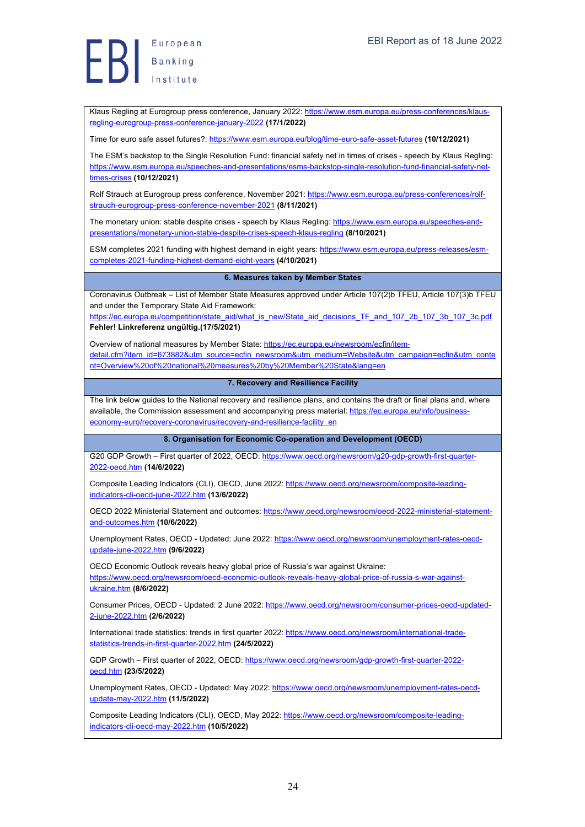Klaus Regling at Eurogroup press conference, January 2022: https://www.esm.europa.eu/press-conferences/klausregling-eurogroup-press-conference-january-2022 **(17/1/2022)**

Time for euro safe asset futures?: https://www.esm.europa.eu/blog/time-euro-safe-asset-futures **(10/12/2021)**

The ESM's backstop to the Single Resolution Fund: financial safety net in times of crises - speech by Klaus Regling: https://www.esm.europa.eu/speeches-and-presentations/esms-backstop-single-resolution-fund-financial-safety-nettimes-crises **(10/12/2021)**

Rolf Strauch at Eurogroup press conference, November 2021: https://www.esm.europa.eu/press-conferences/rolfstrauch-eurogroup-press-conference-november-2021 **(8/11/2021)**

The monetary union: stable despite crises - speech by Klaus Regling: https://www.esm.europa.eu/speeches-andpresentations/monetary-union-stable-despite-crises-speech-klaus-regling **(8/10/2021)**

ESM completes 2021 funding with highest demand in eight years: https://www.esm.europa.eu/press-releases/esmcompletes-2021-funding-highest-demand-eight-years **(4/10/2021)**

#### **6. Measures taken by Member States**

Coronavirus Outbreak – List of Member State Measures approved under Article 107(2)b TFEU, Article 107(3)b TFEU and under the Temporary State Aid Framework:

https://ec.europa.eu/competition/state\_aid/what\_is\_new/State\_aid\_decisions\_TF\_and\_107\_2b\_107\_3b\_107\_3c.pdf **Fehler! Linkreferenz ungültig.(17/5/2021)**

Overview of national measures by Member State: https://ec.europa.eu/newsroom/ecfin/item-

detail.cfm?item\_id=673882&utm\_source=ecfin\_newsroom&utm\_medium=Website&utm\_campaign=ecfin&utm\_conte nt=Overview%20of%20national%20measures%20by%20Member%20State&lang=en

#### **7. Recovery and Resilience Facility**

The link below guides to the National recovery and resilience plans, and contains the draft or final plans and, where available, the Commission assessment and accompanying press material: https://ec.europa.eu/info/businesseconomy-euro/recovery-coronavirus/recovery-and-resilience-facility\_en

#### **8. Organisation for Economic Co-operation and Development (OECD)**

G20 GDP Growth – First quarter of 2022, OECD: https://www.oecd.org/newsroom/g20-gdp-growth-first-quarter-2022-oecd.htm **(14/6/2022)**

Composite Leading Indicators (CLI), OECD, June 2022: https://www.oecd.org/newsroom/composite-leadingindicators-cli-oecd-june-2022.htm **(13/6/2022)**

OECD 2022 Ministerial Statement and outcomes: https://www.oecd.org/newsroom/oecd-2022-ministerial-statementand-outcomes.htm **(10/6/2022)**

Unemployment Rates, OECD - Updated: June 2022: https://www.oecd.org/newsroom/unemployment-rates-oecdupdate-june-2022.htm **(9/6/2022)**

OECD Economic Outlook reveals heavy global price of Russia's war against Ukraine: https://www.oecd.org/newsroom/oecd-economic-outlook-reveals-heavy-global-price-of-russia-s-war-againstukraine.htm **(8/6/2022)**

Consumer Prices, OECD - Updated: 2 June 2022: https://www.oecd.org/newsroom/consumer-prices-oecd-updated-2-june-2022.htm **(2/6/2022)**

International trade statistics: trends in first quarter 2022: https://www.oecd.org/newsroom/international-tradestatistics-trends-in-first-quarter-2022.htm **(24/5/2022)**

GDP Growth – First quarter of 2022, OECD: https://www.oecd.org/newsroom/gdp-growth-first-quarter-2022oecd.htm **(23/5/2022)**

Unemployment Rates, OECD - Updated: May 2022: https://www.oecd.org/newsroom/unemployment-rates-oecdupdate-may-2022.htm **(11/5/2022)**

Composite Leading Indicators (CLI), OECD, May 2022: https://www.oecd.org/newsroom/composite-leadingindicators-cli-oecd-may-2022.htm **(10/5/2022)**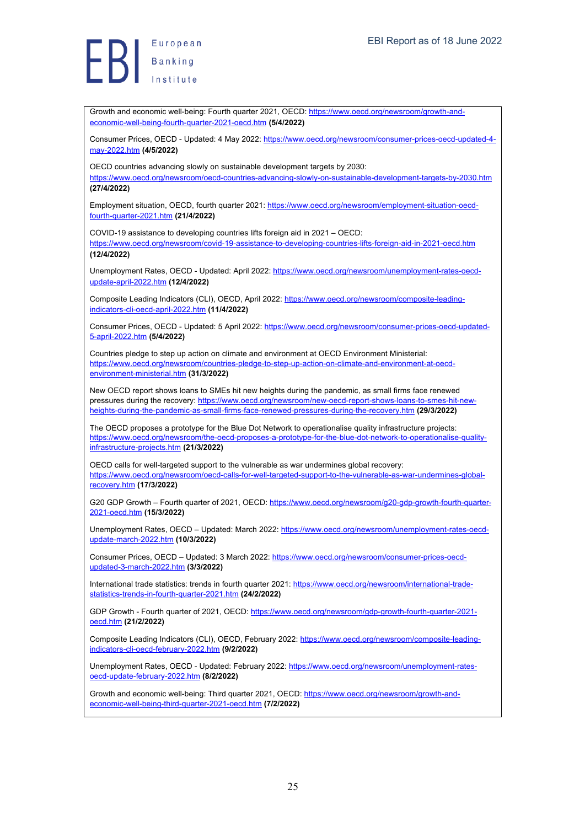European Banking<br>Banking<br>Institute

Growth and economic well-being: Fourth quarter 2021, OECD: https://www.oecd.org/newsroom/growth-andeconomic-well-being-fourth-quarter-2021-oecd.htm **(5/4/2022)**

Consumer Prices, OECD - Updated: 4 May 2022: https://www.oecd.org/newsroom/consumer-prices-oecd-updated-4may-2022.htm **(4/5/2022)**

OECD countries advancing slowly on sustainable development targets by 2030: https://www.oecd.org/newsroom/oecd-countries-advancing-slowly-on-sustainable-development-targets-by-2030.htm **(27/4/2022)**

Employment situation, OECD, fourth quarter 2021: https://www.oecd.org/newsroom/employment-situation-oecdfourth-quarter-2021.htm **(21/4/2022)**

COVID-19 assistance to developing countries lifts foreign aid in 2021 – OECD:

https://www.oecd.org/newsroom/covid-19-assistance-to-developing-countries-lifts-foreign-aid-in-2021-oecd.htm **(12/4/2022)**

Unemployment Rates, OECD - Updated: April 2022: https://www.oecd.org/newsroom/unemployment-rates-oecdupdate-april-2022.htm **(12/4/2022)**

Composite Leading Indicators (CLI), OECD, April 2022: https://www.oecd.org/newsroom/composite-leadingindicators-cli-oecd-april-2022.htm **(11/4/2022)**

Consumer Prices, OECD - Updated: 5 April 2022: https://www.oecd.org/newsroom/consumer-prices-oecd-updated-5-april-2022.htm **(5/4/2022)**

Countries pledge to step up action on climate and environment at OECD Environment Ministerial: d.org/newsroom/countries-pledge-to-step-up-action-on-climate-and-environment-at-oecdenvironment-ministerial.htm **(31/3/2022)**

New OECD report shows loans to SMEs hit new heights during the pandemic, as small firms face renewed pressures during the recovery: https://www.oecd.org/newsroom/new-oecd-report-shows-loans-to-smes-hit-newheights-during-the-pandemic-as-small-firms-face-renewed-pressures-during-the-recovery.htm **(29/3/2022)**

The OECD proposes a prototype for the Blue Dot Network to operationalise quality infrastructure projects: https://www.oecd.org/newsroom/the-oecd-proposes-a-prototype-for-the-blue-dot-network-to-operationalise-qualityinfrastructure-projects.htm **(21/3/2022)**

OECD calls for well-targeted support to the vulnerable as war undermines global recovery: https://www.oecd.org/newsroom/oecd-calls-for-well-targeted-support-to-the-vulnerable-as-war-undermines-globalrecovery.htm **(17/3/2022)**

G20 GDP Growth - Fourth quarter of 2021, OECD: https://www.oecd.org/newsroom/g20-gdp-growth-fourth-quarter-2021-oecd.htm **(15/3/2022)**

Unemployment Rates, OECD – Updated: March 2022: https://www.oecd.org/newsroom/unemployment-rates-oecdupdate-march-2022.htm **(10/3/2022)**

Consumer Prices, OECD – Updated: 3 March 2022: https://www.oecd.org/newsroom/consumer-prices-oecdupdated-3-march-2022.htm **(3/3/2022)**

International trade statistics: trends in fourth quarter 2021: https://www.oecd.org/newsroom/international-tradestatistics-trends-in-fourth-quarter-2021.htm **(24/2/2022)**

GDP Growth - Fourth quarter of 2021, OECD: https://www.oecd.org/newsroom/gdp-growth-fourth-quarter-2021 oecd.htm **(21/2/2022)**

Composite Leading Indicators (CLI), OECD, February 2022: https://www.oecd.org/newsroom/composite-leadingindicators-cli-oecd-february-2022.htm **(9/2/2022)**

Unemployment Rates, OECD - Updated: February 2022: https://www.oecd.org/newsroom/unemployment-ratesoecd-update-february-2022.htm **(8/2/2022)**

Growth and economic well-being: Third quarter 2021, OECD: https://www.oecd.org/newsroom/growth-andeconomic-well-being-third-quarter-2021-oecd.htm **(7/2/2022)**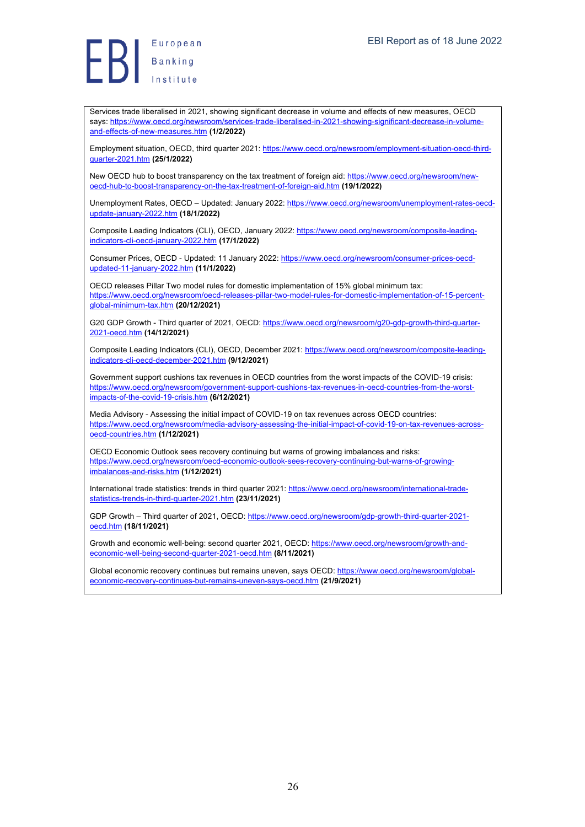Europea<br>Banking<br>Institute European

Services trade liberalised in 2021, showing significant decrease in volume and effects of new measures, OECD says: https://www.oecd.org/newsroom/services-trade-liberalised-in-2021-showing-significant-decrease-in-volumeand-effects-of-new-measures.htm **(1/2/2022)**

Employment situation, OECD, third quarter 2021: https://www.oecd.org/newsroom/employment-situation-oecd-thirdquarter-2021.htm **(25/1/2022)**

New OECD hub to boost transparency on the tax treatment of foreign aid: https://www.oecd.org/newsroom/newoecd-hub-to-boost-transparency-on-the-tax-treatment-of-foreign-aid.htm **(19/1/2022)**

Unemployment Rates, OECD – Updated: January 2022: https://www.oecd.org/newsroom/unemployment-rates-oecdupdate-january-2022.htm **(18/1/2022)**

Composite Leading Indicators (CLI), OECD, January 2022: https://www.oecd.org/newsroom/composite-leadingindicators-cli-oecd-january-2022.htm **(17/1/2022)**

Consumer Prices, OECD - Updated: 11 January 2022: https://www.oecd.org/newsroom/consumer-prices-oecdupdated-11-january-2022.htm **(11/1/2022)**

OECD releases Pillar Two model rules for domestic implementation of 15% global minimum tax: https://www.oecd.org/newsroom/oecd-releases-pillar-two-model-rules-for-domestic-implementation-of-15-percentglobal-minimum-tax.htm **(20/12/2021)**

G20 GDP Growth - Third quarter of 2021, OECD: https://www.oecd.org/newsroom/g20-gdp-growth-third-quarter-2021-oecd.htm **(14/12/2021)**

Composite Leading Indicators (CLI), OECD, December 2021: https://www.oecd.org/newsroom/composite-leadingindicators-cli-oecd-december-2021.htm **(9/12/2021)**

Government support cushions tax revenues in OECD countries from the worst impacts of the COVID-19 crisis: https://www.oecd.org/newsroom/government-support-cushions-tax-revenues-in-oecd-countries-from-the-worstimpacts-of-the-covid-19-crisis.htm **(6/12/2021)**

Media Advisory - Assessing the initial impact of COVID-19 on tax revenues across OECD countries: https://www.oecd.org/newsroom/media-advisory-assessing-the-initial-impact-of-covid-19-on-tax-revenues-acrossoecd-countries.htm **(1/12/2021)**

OECD Economic Outlook sees recovery continuing but warns of growing imbalances and risks: https://www.oecd.org/newsroom/oecd-economic-outlook-sees-recovery-continuing-but-warns-of-growingimbalances-and-risks.htm **(1/12/2021)**

International trade statistics: trends in third quarter 2021: https://www.oecd.org/newsroom/international-tradestatistics-trends-in-third-quarter-2021.htm **(23/11/2021)**

GDP Growth – Third quarter of 2021, OECD: https://www.oecd.org/newsroom/gdp-growth-third-quarter-2021 oecd.htm **(18/11/2021)**

Growth and economic well-being: second quarter 2021, OECD: https://www.oecd.org/newsroom/growth-andeconomic-well-being-second-quarter-2021-oecd.htm **(8/11/2021)**

Global economic recovery continues but remains uneven, says OECD: https://www.oecd.org/newsroom/globaleconomic-recovery-continues-but-remains-uneven-says-oecd.htm **(21/9/2021)**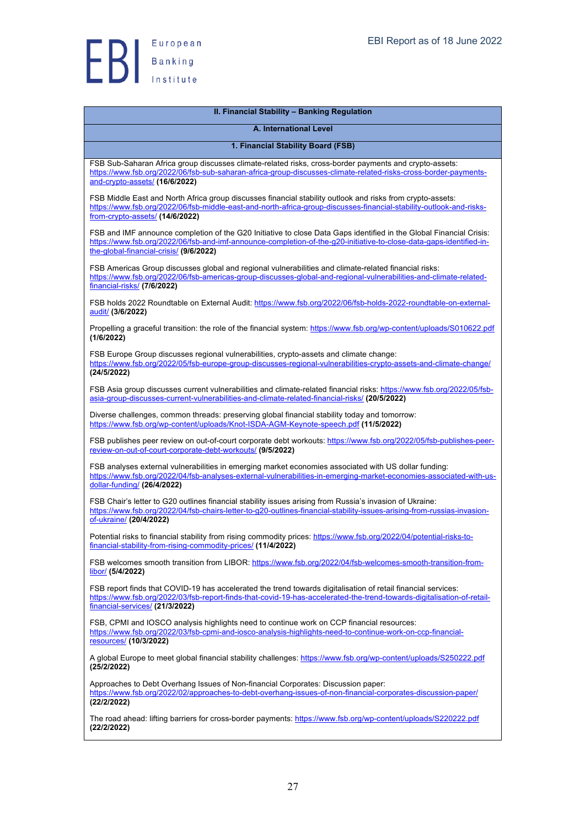

| 1. Financial Stability Board (FSB)                                                                                                                                                                                                                                                    |
|---------------------------------------------------------------------------------------------------------------------------------------------------------------------------------------------------------------------------------------------------------------------------------------|
| FSB Sub-Saharan Africa group discusses climate-related risks, cross-border payments and crypto-assets:<br>https://www.fsb.org/2022/06/fsb-sub-saharan-africa-group-discusses-climate-related-risks-cross-border-payments-<br>and-crypto-assets/ (16/6/2022)                           |
| FSB Middle East and North Africa group discusses financial stability outlook and risks from crypto-assets:<br>https://www.fsb.org/2022/06/fsb-middle-east-and-north-africa-group-discusses-financial-stability-outlook-and-risks-<br>from-crypto-assets/ (14/6/2022)                  |
| FSB and IMF announce completion of the G20 Initiative to close Data Gaps identified in the Global Financial Crisis:<br>https://www.fsb.org/2022/06/fsb-and-imf-announce-completion-of-the-q20-initiative-to-close-data-gaps-identified-in-<br>the-global-financial-crisis/ (9/6/2022) |
| FSB Americas Group discusses global and regional vulnerabilities and climate-related financial risks:<br>https://www.fsb.org/2022/06/fsb-americas-group-discusses-global-and-regional-vulnerabilities-and-climate-related-<br>financial-risks/ (7/6/2022)                             |
| FSB holds 2022 Roundtable on External Audit: https://www.fsb.org/2022/06/fsb-holds-2022-roundtable-on-external-<br>audit/ (3/6/2022)                                                                                                                                                  |
| Propelling a graceful transition: the role of the financial system: https://www.fsb.org/wp-content/uploads/S010622.pdf<br>(1/6/2022)                                                                                                                                                  |
| FSB Europe Group discusses regional vulnerabilities, crypto-assets and climate change:<br>https://www.fsb.org/2022/05/fsb-europe-group-discusses-regional-vulnerabilities-crypto-assets-and-climate-change/<br>(24/5/2022)                                                            |
| FSB Asia group discusses current vulnerabilities and climate-related financial risks: https://www.fsb.org/2022/05/fsb-<br>asia-group-discusses-current-vulnerabilities-and-climate-related-financial-risks/ (20/5/2022)                                                               |
| Diverse challenges, common threads: preserving global financial stability today and tomorrow:<br>https://www.fsb.org/wp-content/uploads/Knot-ISDA-AGM-Keynote-speech.pdf (11/5/2022)                                                                                                  |
| FSB publishes peer review on out-of-court corporate debt workouts: https://www.fsb.org/2022/05/fsb-publishes-peer-<br>review-on-out-of-court-corporate-debt-workouts/ (9/5/2022)                                                                                                      |
| FSB analyses external vulnerabilities in emerging market economies associated with US dollar funding:<br>https://www.fsb.org/2022/04/fsb-analyses-external-vulnerabilities-in-emerging-market-economies-associated-with-us-<br>dollar-funding/ (26/4/2022)                            |
| FSB Chair's letter to G20 outlines financial stability issues arising from Russia's invasion of Ukraine:<br>https://www.fsb.org/2022/04/fsb-chairs-letter-to-g20-outlines-financial-stability-issues-arising-from-russias-invasion-<br>of-ukraine/ (20/4/2022)                        |
| Potential risks to financial stability from rising commodity prices: https://www.fsb.org/2022/04/potential-risks-to-<br>financial-stability-from-rising-commodity-prices/ (11/4/2022)                                                                                                 |
| FSB welcomes smooth transition from LIBOR: https://www.fsb.org/2022/04/fsb-welcomes-smooth-transition-from-<br>libor/ (5/4/2022)                                                                                                                                                      |
| FSB report finds that COVID-19 has accelerated the trend towards digitalisation of retail financial services:<br>https://www.fsb.org/2022/03/fsb-report-finds-that-covid-19-has-accelerated-the-trend-towards-digitalisation-of-retail-<br>financial-services/ (21/3/2022)            |
| FSB, CPMI and IOSCO analysis highlights need to continue work on CCP financial resources:<br>https://www.fsb.org/2022/03/fsb-cpmi-and-iosco-analysis-highlights-need-to-continue-work-on-ccp-financial-<br>resources/ (10/3/2022)                                                     |
| A global Europe to meet global financial stability challenges: https://www.fsb.org/wp-content/uploads/S250222.pdf<br>(25/2/2022)                                                                                                                                                      |
| Approaches to Debt Overhang Issues of Non-financial Corporates: Discussion paper:<br>https://www.fsb.org/2022/02/approaches-to-debt-overhang-issues-of-non-financial-corporates-discussion-paper/<br>(22/2/2022)                                                                      |
| The road ahead: lifting barriers for cross-border payments: https://www.fsb.org/wp-content/uploads/S220222.pdf<br>(22/2/2022)                                                                                                                                                         |
|                                                                                                                                                                                                                                                                                       |

**II. Financial Stability – Banking Regulation A. International Level**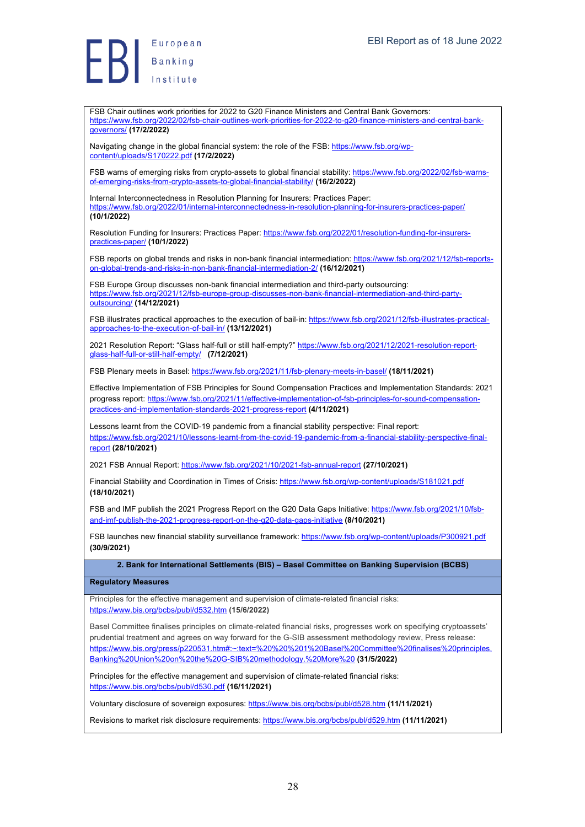FSB Chair outlines work priorities for 2022 to G20 Finance Ministers and Central Bank Governors: https://www.fsb.org/2022/02/fsb-chair-outlines-work-priorities-for-2022-to-g20-finance-ministers-and-central-bankgovernors/ **(17/2/2022)**

Navigating change in the global financial system: the role of the FSB: https://www.fsb.org/wpcontent/uploads/S170222.pdf **(17/2/2022)**

FSB warns of emerging risks from crypto-assets to global financial stability: https://www.fsb.org/2022/02/fsb-warnsof-emerging-risks-from-crypto-assets-to-global-financial-stability/ **(16/2/2022)**

Internal Interconnectedness in Resolution Planning for Insurers: Practices Paper: https://www.fsb.org/2022/01/internal-interconnectedness-in-resolution-planning-for-insurers-practices-paper/ **(10/1/2022)**

Resolution Funding for Insurers: Practices Paper: https://www.fsb.org/2022/01/resolution-funding-for-insurerspractices-paper/ **(10/1/2022)**

FSB reports on global trends and risks in non-bank financial intermediation: https://www.fsb.org/2021/12/fsb-reportson-global-trends-and-risks-in-non-bank-financial-intermediation-2/ **(16/12/2021)**

FSB Europe Group discusses non-bank financial intermediation and third-party outsourcing: https://www.fsb.org/2021/12/fsb-europe-group-discusses-non-bank-financial-intermediation-and-third-partyoutsourcing/ **(14/12/2021)**

FSB illustrates practical approaches to the execution of bail-in: https://www.fsb.org/2021/12/fsb-illustrates-practicalapproaches-to-the-execution-of-bail-in/ **(13/12/2021)**

2021 Resolution Report: "Glass half-full or still half-empty?" https://www.fsb.org/2021/12/2021-resolution-reportglass-half-full-or-still-half-empty/ **(7/12/2021)**

FSB Plenary meets in Basel: https://www.fsb.org/2021/11/fsb-plenary-meets-in-basel/ **(18/11/2021)**

Effective Implementation of FSB Principles for Sound Compensation Practices and Implementation Standards: 2021 progress report: https://www.fsb.org/2021/11/effective-implementation-of-fsb-principles-for-sound-compensationpractices-and-implementation-standards-2021-progress-report **(4/11/2021)**

Lessons learnt from the COVID-19 pandemic from a financial stability perspective: Final report: https://www.fsb.org/2021/10/lessons-learnt-from-the-covid-19-pandemic-from-a-financial-stability-perspective-finalreport **(28/10/2021)**

2021 FSB Annual Report: https://www.fsb.org/2021/10/2021-fsb-annual-report **(27/10/2021)**

Financial Stability and Coordination in Times of Crisis: https://www.fsb.org/wp-content/uploads/S181021.pdf **(18/10/2021)**

FSB and IMF publish the 2021 Progress Report on the G20 Data Gaps Initiative: https://www.fsb.org/2021/10/fsband-imf-publish-the-2021-progress-report-on-the-g20-data-gaps-initiative **(8/10/2021)**

FSB launches new financial stability surveillance framework: https://www.fsb.org/wp-content/uploads/P300921.pdf **(30/9/2021)**

**2. Bank for International Settlements (BIS) – Basel Committee on Banking Supervision (BCBS)**

#### **Regulatory Measures**

Principles for the effective management and supervision of climate-related financial risks: https://www.bis.org/bcbs/publ/d532.htm **(15/6/2022)**

Basel Committee finalises principles on climate-related financial risks, progresses work on specifying cryptoassets' prudential treatment and agrees on way forward for the G-SIB assessment methodology review, Press release: https://www.bis.org/press/p220531.htm#:~:text=%20%20%201%20Basel%20Committee%20finalises%20principles, Banking%20Union%20on%20the%20G-SIB%20methodology.%20More%20 **(31/5/2022)**

Principles for the effective management and supervision of climate-related financial risks: https://www.bis.org/bcbs/publ/d530.pdf **(16/11/2021)**

Voluntary disclosure of sovereign exposures: https://www.bis.org/bcbs/publ/d528.htm **(11/11/2021)**

Revisions to market risk disclosure requirements: https://www.bis.org/bcbs/publ/d529.htm **(11/11/2021)**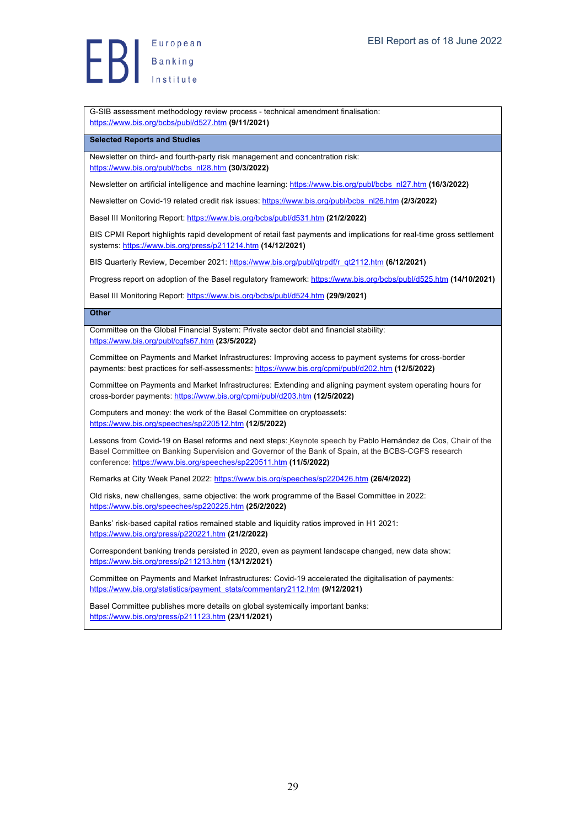European Banking<br>Banking<br>Institute

G-SIB assessment methodology review process - technical amendment finalisation: https://www.bis.org/bcbs/publ/d527.htm **(9/11/2021)**

#### **Selected Reports and Studies**

Newsletter on third- and fourth-party risk management and concentration risk: https://www.bis.org/publ/bcbs\_nl28.htm **(30/3/2022)**

Newsletter on artificial intelligence and machine learning: https://www.bis.org/publ/bcbs\_nl27.htm **(16/3/2022)**

Newsletter on Covid-19 related credit risk issues: https://www.bis.org/publ/bcbs\_nl26.htm **(2/3/2022)**

Basel III Monitoring Report: https://www.bis.org/bcbs/publ/d531.htm **(21/2/2022)**

BIS CPMI Report highlights rapid development of retail fast payments and implications for real-time gross settlement systems: https://www.bis.org/press/p211214.htm **(14/12/2021)**

BIS Quarterly Review, December 2021: https://www.bis.org/publ/qtrpdf/r\_qt2112.htm (6/12/2021)

Progress report on adoption of the Basel regulatory framework: https://www.bis.org/bcbs/publ/d525.htm (14/10/2021)

Basel III Monitoring Report: https://www.bis.org/bcbs/publ/d524.htm **(29/9/2021)**

#### **Other**

Committee on the Global Financial System: Private sector debt and financial stability: https://www.bis.org/publ/cgfs67.htm **(23/5/2022)**

Committee on Payments and Market Infrastructures: Improving access to payment systems for cross-border payments: best practices for self-assessments: https://www.bis.org/cpmi/publ/d202.htm **(12/5/2022)**

Committee on Payments and Market Infrastructures: Extending and aligning payment system operating hours for cross-border payments: https://www.bis.org/cpmi/publ/d203.htm **(12/5/2022)**

Computers and money: the work of the Basel Committee on cryptoassets: https://www.bis.org/speeches/sp220512.htm **(12/5/2022)**

Lessons from Covid-19 on Basel reforms and next steps: Keynote speech by Pablo Hernández de Cos, Chair of the Basel Committee on Banking Supervision and Governor of the Bank of Spain, at the BCBS-CGFS research conference: https://www.bis.org/speeches/sp220511.htm **(11/5/2022)**

Remarks at City Week Panel 2022: https://www.bis.org/speeches/sp220426.htm **(26/4/2022)**

Old risks, new challenges, same objective: the work programme of the Basel Committee in 2022: https://www.bis.org/speeches/sp220225.htm **(25/2/2022)**

Banks' risk-based capital ratios remained stable and liquidity ratios improved in H1 2021: https://www.bis.org/press/p220221.htm **(21/2/2022)**

Correspondent banking trends persisted in 2020, even as payment landscape changed, new data show: https://www.bis.org/press/p211213.htm **(13/12/2021)**

Committee on Payments and Market Infrastructures: Covid-19 accelerated the digitalisation of payments: https://www.bis.org/statistics/payment\_stats/commentary2112.htm **(9/12/2021)**

Basel Committee publishes more details on global systemically important banks: https://www.bis.org/press/p211123.htm **(23/11/2021)**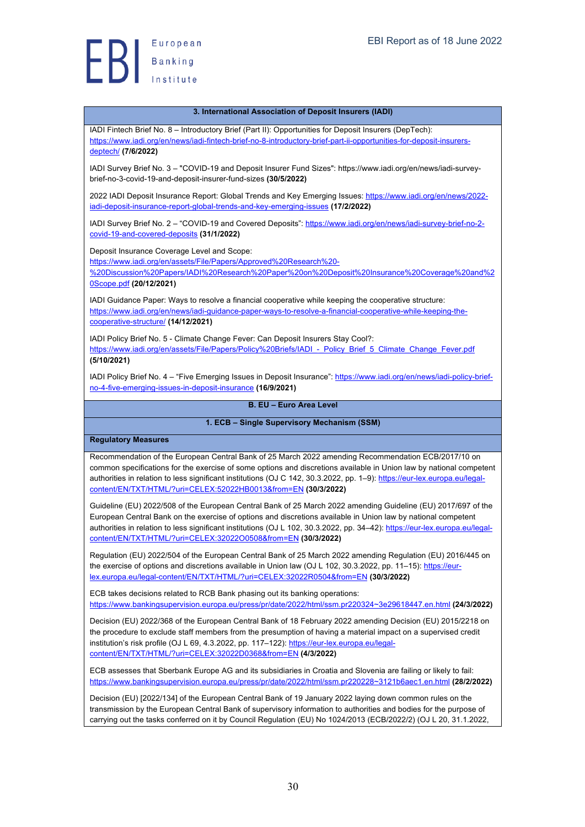

#### **3. International Association of Deposit Insurers (IADI)**

IADI Fintech Brief No. 8 – Introductory Brief (Part II): Opportunities for Deposit Insurers (DepTech): https://www.iadi.org/en/news/iadi-fintech-brief-no-8-introductory-brief-part-ii-opportunities-for-deposit-insurersdeptech/ **(7/6/2022)**

IADI Survey Brief No. 3 – "COVID-19 and Deposit Insurer Fund Sizes": https://www.iadi.org/en/news/iadi-surveybrief-no-3-covid-19-and-deposit-insurer-fund-sizes **(30/5/2022)**

2022 IADI Deposit Insurance Report: Global Trends and Key Emerging Issues: https://www.iadi.org/en/news/2022 iadi-deposit-insurance-report-global-trends-and-key-emerging-issues **(17/2/2022)**

IADI Survey Brief No. 2 – "COVID-19 and Covered Deposits": https://www.iadi.org/en/news/iadi-survey-brief-no-2 covid-19-and-covered-deposits **(31/1/2022)**

Deposit Insurance Coverage Level and Scope:

https://www.iadi.org/en/assets/File/Papers/Approved%20Research%20-

%20Discussion%20Papers/IADI%20Research%20Paper%20on%20Deposit%20Insurance%20Coverage%20and%2 0Scope.pdf **(20/12/2021)**

IADI Guidance Paper: Ways to resolve a financial cooperative while keeping the cooperative structure: https://www.iadi.org/en/news/iadi-guidance-paper-ways-to-resolve-a-financial-cooperative-while-keeping-thecooperative-structure/ **(14/12/2021)**

IADI Policy Brief No. 5 - Climate Change Fever: Can Deposit Insurers Stay Cool?: https://www.iadi.org/en/assets/File/Papers/Policy%20Briefs/IADI - Policy\_Brief\_5\_Climate\_Change\_Fever.pdf **(5/10/2021)**

IADI Policy Brief No. 4 - "Five Emerging Issues in Deposit Insurance": https://www.iadi.org/en/news/iadi-policy-briefno-4-five-emerging-issues-in-deposit-insurance **(16/9/2021)**

#### **B. EU – Euro Area Level**

#### **1. ECB – Single Supervisory Mechanism (SSM)**

**Regulatory Measures**

Recommendation of the European Central Bank of 25 March 2022 amending Recommendation ECB/2017/10 on common specifications for the exercise of some options and discretions available in Union law by national competent authorities in relation to less significant institutions (OJ C 142, 30.3.2022, pp. 1-9): https://eur-lex.europa.eu/legalcontent/EN/TXT/HTML/?uri=CELEX:52022HB0013&from=EN **(30/3/2022)**

Guideline (EU) 2022/508 of the European Central Bank of 25 March 2022 amending Guideline (EU) 2017/697 of the European Central Bank on the exercise of options and discretions available in Union law by national competent authorities in relation to less significant institutions (OJ L 102, 30.3.2022, pp. 34-42): https://eur-lex.europa.eu/legalcontent/EN/TXT/HTML/?uri=CELEX:32022O0508&from=EN **(30/3/2022)**

Regulation (EU) 2022/504 of the European Central Bank of 25 March 2022 amending Regulation (EU) 2016/445 on the exercise of options and discretions available in Union law (OJ L 102, 30.3.2022, pp. 11–15): https://eurlex.europa.eu/legal-content/EN/TXT/HTML/?uri=CELEX:32022R0504&from=EN **(30/3/2022)**

ECB takes decisions related to RCB Bank phasing out its banking operations: https://www.bankingsupervision.europa.eu/press/pr/date/2022/html/ssm.pr220324~3e29618447.en.html **(24/3/2022)**

Decision (EU) 2022/368 of the European Central Bank of 18 February 2022 amending Decision (EU) 2015/2218 on the procedure to exclude staff members from the presumption of having a material impact on a supervised credit institution's risk profile (OJ L 69, 4.3.2022, pp. 117–122): https://eur-lex.europa.eu/legalcontent/EN/TXT/HTML/?uri=CELEX:32022D0368&from=EN **(4/3/2022)**

ECB assesses that Sberbank Europe AG and its subsidiaries in Croatia and Slovenia are failing or likely to fail: https://www.bankingsupervision.europa.eu/press/pr/date/2022/html/ssm.pr220228~3121b6aec1.en.html **(28/2/2022)**

Decision (EU) [2022/134] of the European Central Bank of 19 January 2022 laying down common rules on the transmission by the European Central Bank of supervisory information to authorities and bodies for the purpose of carrying out the tasks conferred on it by Council Regulation (EU) No 1024/2013 (ECB/2022/2) (OJ L 20, 31.1.2022,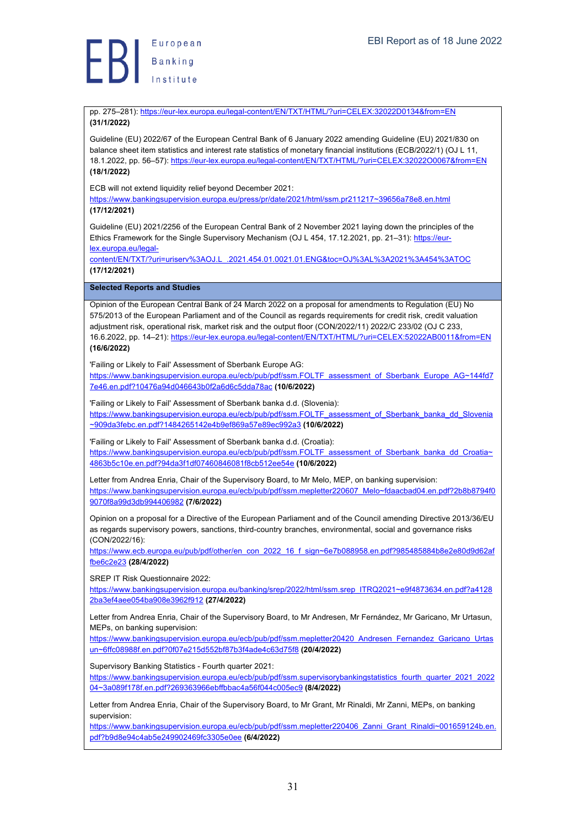pp. 275–281): https://eur-lex.europa.eu/legal-content/EN/TXT/HTML/?uri=CELEX:32022D0134&from=EN **(31/1/2022)**

Guideline (EU) 2022/67 of the European Central Bank of 6 January 2022 amending Guideline (EU) 2021/830 on balance sheet item statistics and interest rate statistics of monetary financial institutions (ECB/2022/1) (OJ L 11, 18.1.2022, pp. 56–57): https://eur-lex.europa.eu/legal-content/EN/TXT/HTML/?uri=CELEX:32022O0067&from=EN **(18/1/2022)**

ECB will not extend liquidity relief beyond December 2021:

https://www.bankingsupervision.europa.eu/press/pr/date/2021/html/ssm.pr211217~39656a78e8.en.html **(17/12/2021)**

Guideline (EU) 2021/2256 of the European Central Bank of 2 November 2021 laying down the principles of the Ethics Framework for the Single Supervisory Mechanism (OJ L 454, 17.12.2021, pp. 21–31): https://eurlex.europa.eu/legal-

content/EN/TXT/?uri=uriserv%3AOJ.L\_.2021.454.01.0021.01.ENG&toc=OJ%3AL%3A2021%3A454%3ATOC **(17/12/2021)**

**Selected Reports and Studies**

Opinion of the European Central Bank of 24 March 2022 on a proposal for amendments to Regulation (EU) No 575/2013 of the European Parliament and of the Council as regards requirements for credit risk, credit valuation adjustment risk, operational risk, market risk and the output floor (CON/2022/11) 2022/C 233/02 (OJ C 233, 16.6.2022, pp. 14–21): https://eur-lex.europa.eu/legal-content/EN/TXT/HTML/?uri=CELEX:52022AB0011&from=EN **(16/6/2022)**

'Failing or Likely to Fail' Assessment of Sberbank Europe AG:

https://www.bankingsupervision.europa.eu/ecb/pub/pdf/ssm.FOLTF\_assessment\_of\_Sberbank\_Europe\_AG~144fd7 7e46.en.pdf?10476a94d046643b0f2a6d6c5dda78ac **(10/6/2022)**

'Failing or Likely to Fail' Assessment of Sberbank banka d.d. (Slovenia):

https://www.bankingsupervision.europa.eu/ecb/pub/pdf/ssm.FOLTF\_assessment\_of\_Sberbank\_banka\_dd\_Slovenia ~909da3febc.en.pdf?1484265142e4b9ef869a57e89ec992a3 **(10/6/2022)**

'Failing or Likely to Fail' Assessment of Sberbank banka d.d. (Croatia): https://www.bankingsupervision.europa.eu/ecb/pub/pdf/ssm.FOLTF\_assessment\_of\_Sberbank\_banka\_dd\_Croatia~ 4863b5c10e.en.pdf?94da3f1df07460846081f8cb512ee54e **(10/6/2022)**

Letter from Andrea Enria, Chair of the Supervisory Board, to Mr Melo, MEP, on banking supervision: https://www.bankingsupervision.europa.eu/ecb/pub/pdf/ssm.mepletter220607\_Melo~fdaacbad04.en.pdf?2b8b8794f0 9070f8a99d3db994406982 **(7/6/2022)**

Opinion on a proposal for a Directive of the European Parliament and of the Council amending Directive 2013/36/EU as regards supervisory powers, sanctions, third-country branches, environmental, social and governance risks (CON/2022/16):

https://www.ecb.europa.eu/pub/pdf/other/en\_con\_2022\_16\_f\_sign~6e7b088958.en.pdf?985485884b8e2e80d9d62af fbe6c2e23 **(28/4/2022)**

SREP IT Risk Questionnaire 2022:

https://www.bankingsupervision.europa.eu/banking/srep/2022/html/ssm.srep\_ITRQ2021~e9f4873634.en.pdf?a4128 2ba3ef4aee054ba908e3962f912 **(27/4/2022)**

Letter from Andrea Enria, Chair of the Supervisory Board, to Mr Andresen, Mr Fernández, Mr Garicano, Mr Urtasun, MEPs, on banking supervision:

https://www.bankingsupervision.europa.eu/ecb/pub/pdf/ssm.mepletter20420\_Andresen\_Fernandez\_Garicano\_Urtas un~6ffc08988f.en.pdf?0f07e215d552bf87b3f4ade4c63d75f8 **(20/4/2022)**

Supervisory Banking Statistics - Fourth quarter 2021:

https://www.bankingsupervision.europa.eu/ecb/pub/pdf/ssm.supervisorybankingstatistics\_fourth\_quarter\_2021\_2022 04~3a089f178f.en.pdf?269363966ebffbbac4a56f044c005ec9 **(8/4/2022)**

Letter from Andrea Enria, Chair of the Supervisory Board, to Mr Grant, Mr Rinaldi, Mr Zanni, MEPs, on banking supervision:

https://www.bankingsupervision.europa.eu/ecb/pub/pdf/ssm.mepletter220406\_Zanni\_Grant\_Rinaldi~001659124b.en. pdf?b9d8e94c4ab5e249902469fc3305e0ee **(6/4/2022)**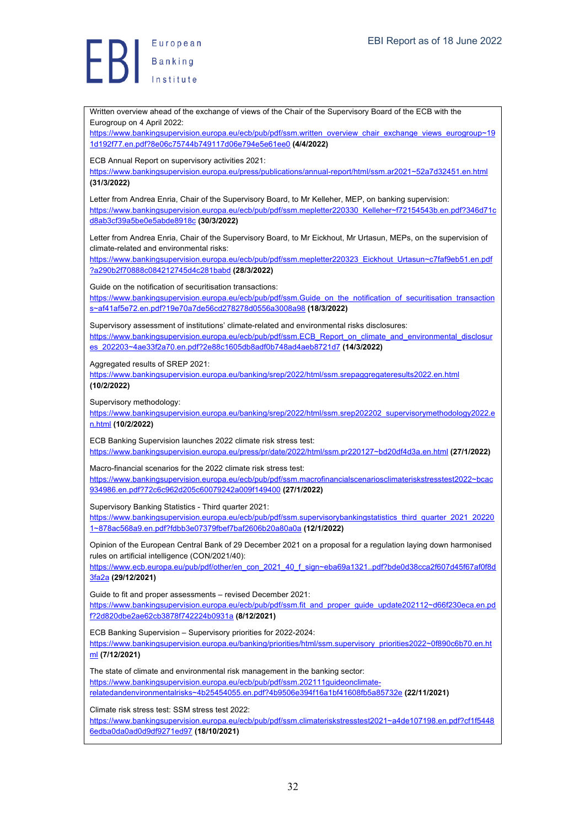Written overview ahead of the exchange of views of the Chair of the Supervisory Board of the ECB with the Eurogroup on 4 April 2022: https://www.bankingsupervision.europa.eu/ecb/pub/pdf/ssm.written\_overview\_chair\_exchange\_views\_eurogroup~19 1d192f77.en.pdf?8e06c75744b749117d06e794e5e61ee0 **(4/4/2022)** ECB Annual Report on supervisory activities 2021: https://www.bankingsupervision.europa.eu/press/publications/annual-report/html/ssm.ar2021~52a7d32451.en.html **(31/3/2022)** Letter from Andrea Enria, Chair of the Supervisory Board, to Mr Kelleher, MEP, on banking supervision: https://www.bankingsupervision.europa.eu/ecb/pub/pdf/ssm.mepletter220330\_Kelleher~f72154543b.en.pdf?346d71c d8ab3cf39a5be0e5abde8918c **(30/3/2022)** Letter from Andrea Enria, Chair of the Supervisory Board, to Mr Eickhout, Mr Urtasun, MEPs, on the supervision of climate-related and environmental risks: https://www.bankingsupervision.europa.eu/ecb/pub/pdf/ssm.mepletter220323\_Eickhout\_Urtasun~c7faf9eb51.en.pdf ?a290b2f70888c084212745d4c281babd **(28/3/2022)** Guide on the notification of securitisation transactions: https://www.bankingsupervision.europa.eu/ecb/pub/pdf/ssm.Guide\_on\_the\_notification\_of\_securitisation\_transaction s~af41af5e72.en.pdf?19e70a7de56cd278278d0556a3008a98 **(18/3/2022)** Supervisory assessment of institutions' climate-related and environmental risks disclosures: https://www.bankingsupervision.europa.eu/ecb/pub/pdf/ssm.ECB\_Report\_on\_climate\_and\_environmental\_disclosur es\_202203~4ae33f2a70.en.pdf?2e88c1605db8adf0b748ad4aeb8721d7 **(14/3/2022)** Aggregated results of SREP 2021: https://www.bankingsupervision.europa.eu/banking/srep/2022/html/ssm.srepaggregateresults2022.en.html **(10/2/2022)** Supervisory methodology: https://www.bankingsupervision.europa.eu/banking/srep/2022/html/ssm.srep202202\_supervisorymethodology2022.e n.html **(10/2/2022)** ECB Banking Supervision launches 2022 climate risk stress test: https://www.bankingsupervision.europa.eu/press/pr/date/2022/html/ssm.pr220127~bd20df4d3a.en.html **(27/1/2022)** Macro-financial scenarios for the 2022 climate risk stress test: https://www.bankingsupervision.europa.eu/ecb/pub/pdf/ssm.macrofinancialscenariosclimateriskstresstest2022~bcac 934986.en.pdf?72c6c962d205c60079242a009f149400 **(27/1/2022)** Supervisory Banking Statistics - Third quarter 2021: https://www.bankingsupervision.europa.eu/ecb/pub/pdf/ssm.supervisorybankingstatistics\_third\_quarter\_2021\_20220 1~878ac568a9.en.pdf?fdbb3e07379fbef7baf2606b20a80a0a **(12/1/2022)** Opinion of the European Central Bank of 29 December 2021 on a proposal for a regulation laying down harmonised rules on artificial intelligence (CON/2021/40): https://www.ecb.europa.eu/pub/pdf/other/en\_con\_2021\_40\_f\_sign~eba69a1321..pdf?bde0d38cca2f607d45f67af0f8d 3fa2a **(29/12/2021)** Guide to fit and proper assessments – revised December 2021: https://www.bankingsupervision.europa.eu/ecb/pub/pdf/ssm.fit\_and\_proper\_guide\_update202112~d66f230eca.en.pd f?2d820dbe2ae62cb3878f742224b0931a **(8/12/2021)** ECB Banking Supervision – Supervisory priorities for 2022-2024: https://www.bankingsupervision.europa.eu/banking/priorities/html/ssm.supervisory\_priorities2022~0f890c6b70.en.ht ml **(7/12/2021)** The state of climate and environmental risk management in the banking sector: https://www.bankingsupervision.europa.eu/ecb/pub/pdf/ssm.202111guideonclimaterelatedandenvironmentalrisks~4b25454055.en.pdf?4b9506e394f16a1bf41608fb5a85732e **(22/11/2021)** Climate risk stress test: SSM stress test 2022: https://www.bankingsupervision.europa.eu/ecb/pub/pdf/ssm.climateriskstresstest2021~a4de107198.en.pdf?cf1f5448 6edba0da0ad0d9df9271ed97 **(18/10/2021)**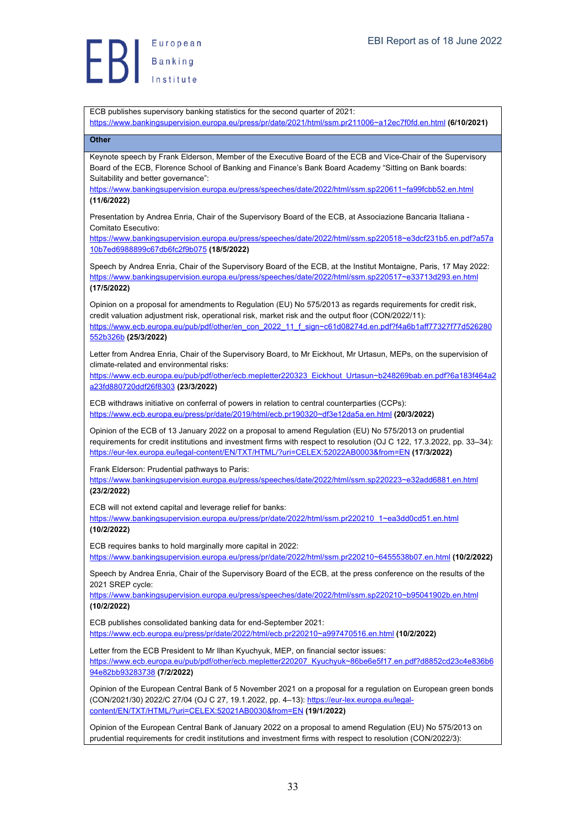ECB publishes supervisory banking statistics for the second quarter of 2021:

https://www.bankingsupervision.europa.eu/press/pr/date/2021/html/ssm.pr211006~a12ec7f0fd.en.html **(6/10/2021)**

### **Other**

Keynote speech by Frank Elderson, Member of the Executive Board of the ECB and Vice-Chair of the Supervisory Board of the ECB, Florence School of Banking and Finance's Bank Board Academy "Sitting on Bank boards: Suitability and better governance":

https://www.bankingsupervision.europa.eu/press/speeches/date/2022/html/ssm.sp220611~fa99fcbb52.en.html **(11/6/2022)**

Presentation by Andrea Enria, Chair of the Supervisory Board of the ECB, at Associazione Bancaria Italiana - Comitato Esecutivo:

https://www.bankingsupervision.europa.eu/press/speeches/date/2022/html/ssm.sp220518~e3dcf231b5.en.pdf?a57a 10b7ed6988899c67db6fc2f9b075 **(18/5/2022)**

Speech by Andrea Enria, Chair of the Supervisory Board of the ECB, at the Institut Montaigne, Paris, 17 May 2022: https://www.bankingsupervision.europa.eu/press/speeches/date/2022/html/ssm.sp220517~e33713d293.en.html **(17/5/2022)**

Opinion on a proposal for amendments to Regulation (EU) No 575/2013 as regards requirements for credit risk, credit valuation adjustment risk, operational risk, market risk and the output floor (CON/2022/11): https://www.ecb.europa.eu/pub/pdf/other/en\_con\_2022\_11\_f\_sign~c61d08274d.en.pdf?f4a6b1aff77327f77d526280 552b326b **(25/3/2022)**

Letter from Andrea Enria, Chair of the Supervisory Board, to Mr Eickhout, Mr Urtasun, MEPs, on the supervision of climate-related and environmental risks:

https://www.ecb.europa.eu/pub/pdf/other/ecb.mepletter220323\_Eickhout\_Urtasun~b248269bab.en.pdf?6a183f464a2 a23fd880720ddf26f8303 **(23/3/2022)**

ECB withdraws initiative on conferral of powers in relation to central counterparties (CCPs): https://www.ecb.europa.eu/press/pr/date/2019/html/ecb.pr190320~df3e12da5a.en.html **(20/3/2022)**

Opinion of the ECB of 13 January 2022 on a proposal to amend Regulation (EU) No 575/2013 on prudential requirements for credit institutions and investment firms with respect to resolution (OJ C 122, 17.3.2022, pp. 33–34): https://eur-lex.europa.eu/legal-content/EN/TXT/HTML/?uri=CELEX:52022AB0003&from=EN **(17/3/2022)**

Frank Elderson: Prudential pathways to Paris:

https://www.bankingsupervision.europa.eu/press/speeches/date/2022/html/ssm.sp220223~e32add6881.en.html **(23/2/2022)**

ECB will not extend capital and leverage relief for banks:

https://www.bankingsupervision.europa.eu/press/pr/date/2022/html/ssm.pr220210\_1~ea3dd0cd51.en.html **(10/2/2022)**

ECB requires banks to hold marginally more capital in 2022:

https://www.bankingsupervision.europa.eu/press/pr/date/2022/html/ssm.pr220210~6455538b07.en.html **(10/2/2022)**

Speech by Andrea Enria, Chair of the Supervisory Board of the ECB, at the press conference on the results of the 2021 SREP cycle:

https://www.bankingsupervision.europa.eu/press/speeches/date/2022/html/ssm.sp220210~b95041902b.en.html **(10/2/2022)**

ECB publishes consolidated banking data for end-September 2021: https://www.ecb.europa.eu/press/pr/date/2022/html/ecb.pr220210~a997470516.en.html **(10/2/2022)**

Letter from the ECB President to Mr Ilhan Kyuchyuk, MEP, on financial sector issues: https://www.ecb.europa.eu/pub/pdf/other/ecb.mepletter220207\_Kyuchyuk~86be6e5f17.en.pdf?d8852cd23c4e836b6 94e82bb93283738 **(7/2/2022)**

Opinion of the European Central Bank of 5 November 2021 on a proposal for a regulation on European green bonds (CON/2021/30) 2022/C 27/04 (OJ C 27, 19.1.2022, pp. 4–13): https://eur-lex.europa.eu/legalcontent/EN/TXT/HTML/?uri=CELEX:52021AB0030&from=EN **(19/1/2022)**

Opinion of the European Central Bank of January 2022 on a proposal to amend Regulation (EU) No 575/2013 on prudential requirements for credit institutions and investment firms with respect to resolution (CON/2022/3):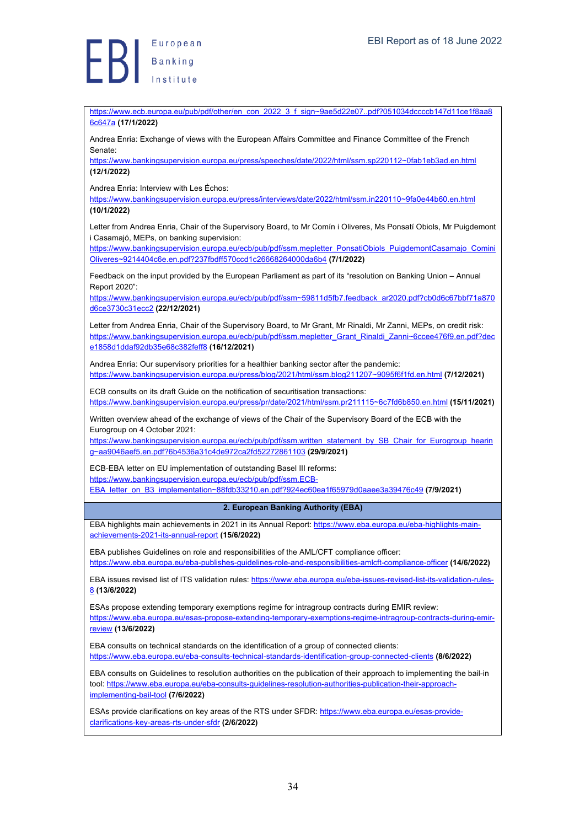European Europea<br>Banking

https://www.ecb.europa.eu/pub/pdf/other/en\_con\_2022\_3\_f\_sign~9ae5d22e07..pdf?051034dccccb147d11ce1f8aa8 6c647a **(17/1/2022)**

Andrea Enria: Exchange of views with the European Affairs Committee and Finance Committee of the French Senate:

https://www.bankingsupervision.europa.eu/press/speeches/date/2022/html/ssm.sp220112~0fab1eb3ad.en.html **(12/1/2022)**

Andrea Enria: Interview with Les Échos:

https://www.bankingsupervision.europa.eu/press/interviews/date/2022/html/ssm.in220110~9fa0e44b60.en.html **(10/1/2022)**

Letter from Andrea Enria, Chair of the Supervisory Board, to Mr Comín i Oliveres, Ms Ponsatí Obiols, Mr Puigdemont i Casamajó, MEPs, on banking supervision:

https://www.bankingsupervision.europa.eu/ecb/pub/pdf/ssm.mepletter\_PonsatiObiols\_PuigdemontCasamajo\_Comini Oliveres~9214404c6e.en.pdf?237fbdff570ccd1c26668264000da6b4 **(7/1/2022)**

Feedback on the input provided by the European Parliament as part of its "resolution on Banking Union – Annual Report 2020":

https://www.bankingsupervision.europa.eu/ecb/pub/pdf/ssm~59811d5fb7.feedback\_ar2020.pdf?cb0d6c67bbf71a870 d6ce3730c31ecc2 **(22/12/2021)**

Letter from Andrea Enria, Chair of the Supervisory Board, to Mr Grant, Mr Rinaldi, Mr Zanni, MEPs, on credit risk: https://www.bankingsupervision.europa.eu/ecb/pub/pdf/ssm.mepletter\_Grant\_Rinaldi\_Zanni~6ccee476f9.en.pdf?dec e1858d1ddaf92db35e68c382feff8 **(16/12/2021)**

Andrea Enria: Our supervisory priorities for a healthier banking sector after the pandemic: https://www.bankingsupervision.europa.eu/press/blog/2021/html/ssm.blog211207~9095f6f1fd.en.html **(7/12/2021)**

ECB consults on its draft Guide on the notification of securitisation transactions: https://www.bankingsupervision.europa.eu/press/pr/date/2021/html/ssm.pr211115~6c7fd6b850.en.html **(15/11/2021)**

Written overview ahead of the exchange of views of the Chair of the Supervisory Board of the ECB with the Eurogroup on 4 October 2021:

https://www.bankingsupervision.europa.eu/ecb/pub/pdf/ssm.written\_statement\_by\_SB\_Chair\_for\_Eurogroup\_hearin g~aa9046aef5.en.pdf?6b4536a31c4de972ca2fd52272861103 **(29/9/2021)**

ECB-EBA letter on EU implementation of outstanding Basel III reforms: https://www.bankingsupervision.europa.eu/ecb/pub/pdf/ssm.ECB-

EBA\_letter\_on\_B3\_implementation~88fdb33210.en.pdf?924ec60ea1f65979d0aaee3a39476c49 **(7/9/2021)**

**2. European Banking Authority (EBA)**

EBA highlights main achievements in 2021 in its Annual Report: https://www.eba.europa.eu/eba-highlights-mainachievements-2021-its-annual-report **(15/6/2022)**

EBA publishes Guidelines on role and responsibilities of the AML/CFT compliance officer: https://www.eba.europa.eu/eba-publishes-guidelines-role-and-responsibilities-amlcft-compliance-officer **(14/6/2022)**

EBA issues revised list of ITS validation rules: https://www.eba.europa.eu/eba-issues-revised-list-its-validation-rules-8 **(13/6/2022)**

ESAs propose extending temporary exemptions regime for intragroup contracts during EMIR review: https://www.eba.europa.eu/esas-propose-extending-temporary-exemptions-regime-intragroup-contracts-during-emir-

review **(13/6/2022)**

EBA consults on technical standards on the identification of a group of connected clients: https://www.eba.europa.eu/eba-consults-technical-standards-identification-group-connected-clients **(8/6/2022)**

EBA consults on Guidelines to resolution authorities on the publication of their approach to implementing the bail-in tool: https://www.eba.europa.eu/eba-consults-guidelines-resolution-authorities-publication-their-approachimplementing-bail-tool **(7/6/2022)**

ESAs provide clarifications on key areas of the RTS under SFDR: https://www.eba.europa.eu/esas-provideclarifications-key-areas-rts-under-sfdr **(2/6/2022)**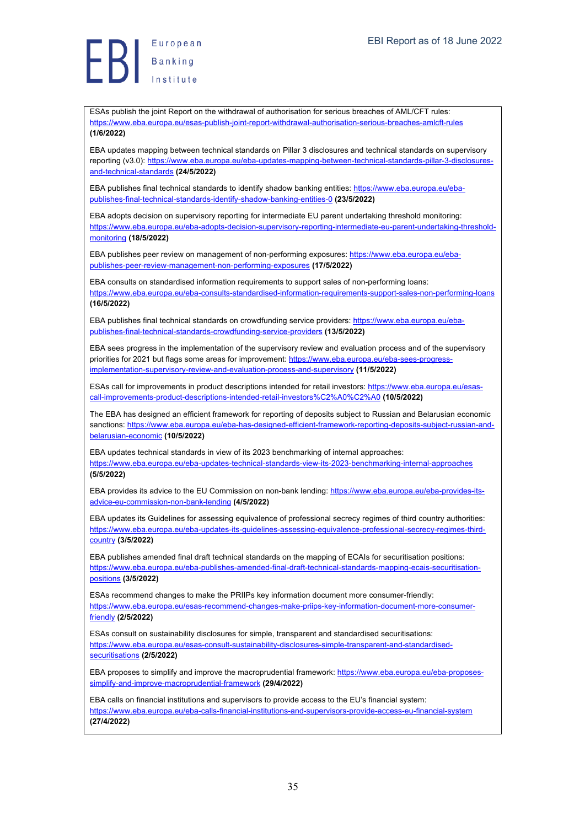ESAs publish the joint Report on the withdrawal of authorisation for serious breaches of AML/CFT rules: https://www.eba.europa.eu/esas-publish-joint-report-withdrawal-authorisation-serious-breaches-amlcft-rules **(1/6/2022)**

EBA updates mapping between technical standards on Pillar 3 disclosures and technical standards on supervisory reporting (v3.0): https://www.eba.europa.eu/eba-updates-mapping-between-technical-standards-pillar-3-disclosuresand-technical-standards **(24/5/2022)**

EBA publishes final technical standards to identify shadow banking entities: https://www.eba.europa.eu/ebapublishes-final-technical-standards-identify-shadow-banking-entities-0 **(23/5/2022)**

EBA adopts decision on supervisory reporting for intermediate EU parent undertaking threshold monitoring: https://www.eba.europa.eu/eba-adopts-decision-supervisory-reporting-intermediate-eu-parent-undertaking-thresholdmonitoring **(18/5/2022)**

EBA publishes peer review on management of non-performing exposures: https://www.eba.europa.eu/ebapublishes-peer-review-management-non-performing-exposures **(17/5/2022)**

EBA consults on standardised information requirements to support sales of non-performing loans: https://www.eba.europa.eu/eba-consults-standardised-information-requirements-support-sales-non-performing-loans **(16/5/2022)**

EBA publishes final technical standards on crowdfunding service providers: https://www.eba.europa.eu/ebapublishes-final-technical-standards-crowdfunding-service-providers **(13/5/2022)**

EBA sees progress in the implementation of the supervisory review and evaluation process and of the supervisory priorities for 2021 but flags some areas for improvement: https://www.eba.europa.eu/eba-sees-progressimplementation-supervisory-review-and-evaluation-process-and-supervisory **(11/5/2022)**

ESAs call for improvements in product descriptions intended for retail investors: https://www.eba.europa.eu/esascall-improvements-product-descriptions-intended-retail-investors%C2%A0%C2%A0 **(10/5/2022)**

The EBA has designed an efficient framework for reporting of deposits subject to Russian and Belarusian economic sanctions: https://www.eba.europa.eu/eba-has-designed-efficient-framework-reporting-deposits-subject-russian-andbelarusian-economic **(10/5/2022)**

EBA updates technical standards in view of its 2023 benchmarking of internal approaches: https://www.eba.europa.eu/eba-updates-technical-standards-view-its-2023-benchmarking-internal-approaches **(5/5/2022)**

EBA provides its advice to the EU Commission on non-bank lending: https://www.eba.europa.eu/eba-provides-itsadvice-eu-commission-non-bank-lending **(4/5/2022)**

EBA updates its Guidelines for assessing equivalence of professional secrecy regimes of third country authorities: https://www.eba.europa.eu/eba-updates-its-guidelines-assessing-equivalence-professional-secrecy-regimes-thirdcountry **(3/5/2022)**

EBA publishes amended final draft technical standards on the mapping of ECAIs for securitisation positions: https://www.eba.europa.eu/eba-publishes-amended-final-draft-technical-standards-mapping-ecais-securitisationpositions **(3/5/2022)**

ESAs recommend changes to make the PRIIPs key information document more consumer-friendly: https://www.eba.europa.eu/esas-recommend-changes-make-priips-key-information-document-more-consumerfriendly **(2/5/2022)**

ESAs consult on sustainability disclosures for simple, transparent and standardised securitisations: https://www.eba.europa.eu/esas-consult-sustainability-disclosures-simple-transparent-and-standardisedsecuritisations **(2/5/2022)**

EBA proposes to simplify and improve the macroprudential framework: https://www.eba.europa.eu/eba-proposessimplify-and-improve-macroprudential-framework **(29/4/2022)**

EBA calls on financial institutions and supervisors to provide access to the EU's financial system: https://www.eba.europa.eu/eba-calls-financial-institutions-and-supervisors-provide-access-eu-financial-system **(27/4/2022)**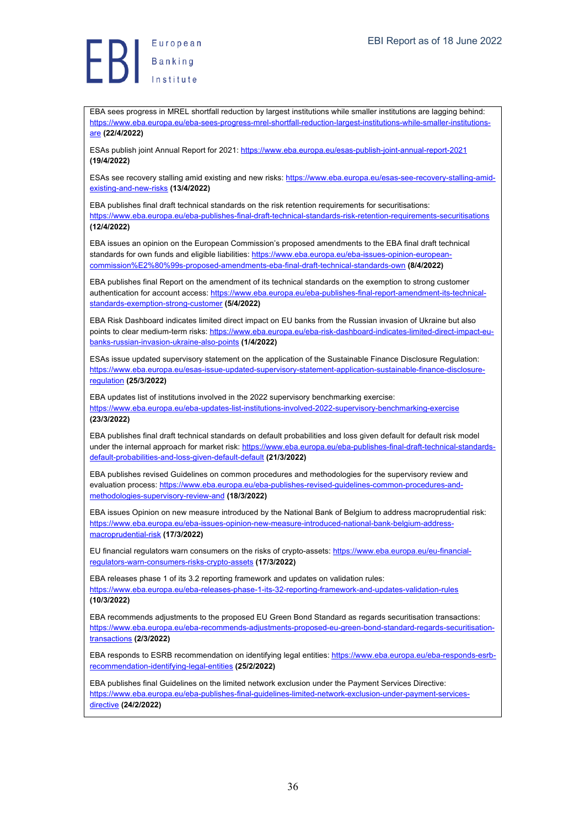EBA sees progress in MREL shortfall reduction by largest institutions while smaller institutions are lagging behind: https://www.eba.europa.eu/eba-sees-progress-mrel-shortfall-reduction-largest-institutions-while-smaller-institutionsare **(22/4/2022)**

ESAs publish joint Annual Report for 2021: https://www.eba.europa.eu/esas-publish-joint-annual-report-2021 **(19/4/2022)**

ESAs see recovery stalling amid existing and new risks: https://www.eba.europa.eu/esas-see-recovery-stalling-amidexisting-and-new-risks **(13/4/2022)**

EBA publishes final draft technical standards on the risk retention requirements for securitisations: https://www.eba.europa.eu/eba-publishes-final-draft-technical-standards-risk-retention-requirements-securitisations **(12/4/2022)**

EBA issues an opinion on the European Commission's proposed amendments to the EBA final draft technical standards for own funds and eligible liabilities: https://www.eba.europa.eu/eba-issues-opinion-europeancommission%E2%80%99s-proposed-amendments-eba-final-draft-technical-standards-own **(8/4/2022)**

EBA publishes final Report on the amendment of its technical standards on the exemption to strong customer authentication for account access: https://www.eba.europa.eu/eba-publishes-final-report-amendment-its-technicalstandards-exemption-strong-customer **(5/4/2022)**

EBA Risk Dashboard indicates limited direct impact on EU banks from the Russian invasion of Ukraine but also points to clear medium-term risks: https://www.eba.europa.eu/eba-risk-dashboard-indicates-limited-direct-impact-eubanks-russian-invasion-ukraine-also-points **(1/4/2022)**

ESAs issue updated supervisory statement on the application of the Sustainable Finance Disclosure Regulation: https://www.eba.europa.eu/esas-issue-updated-supervisory-statement-application-sustainable-finance-disclosureregulation **(25/3/2022)**

EBA updates list of institutions involved in the 2022 supervisory benchmarking exercise: https://www.eba.europa.eu/eba-updates-list-institutions-involved-2022-supervisory-benchmarking-exercise

#### **(23/3/2022)**

EBA publishes final draft technical standards on default probabilities and loss given default for default risk model under the internal approach for market risk: https://www.eba.europa.eu/eba-publishes-final-draft-technical-standardsdefault-probabilities-and-loss-given-default-default **(21/3/2022)**

EBA publishes revised Guidelines on common procedures and methodologies for the supervisory review and evaluation process: https://www.eba.europa.eu/eba-publishes-revised-quidelines-common-procedures-andmethodologies-supervisory-review-and **(18/3/2022)**

EBA issues Opinion on new measure introduced by the National Bank of Belgium to address macroprudential risk: https://www.eba.europa.eu/eba-issues-opinion-new-measure-introduced-national-bank-belgium-addressmacroprudential-risk **(17/3/2022)**

EU financial regulators warn consumers on the risks of crypto-assets: https://www.eba.europa.eu/eu-financialregulators-warn-consumers-risks-crypto-assets **(17/3/2022)**

EBA releases phase 1 of its 3.2 reporting framework and updates on validation rules: https://www.eba.europa.eu/eba-releases-phase-1-its-32-reporting-framework-and-updates-validation-rules **(10/3/2022)**

EBA recommends adjustments to the proposed EU Green Bond Standard as regards securitisation transactions: https://www.eba.europa.eu/eba-recommends-adjustments-proposed-eu-green-bond-standard-regards-securitisationtransactions **(2/3/2022)**

EBA responds to ESRB recommendation on identifying legal entities: https://www.eba.europa.eu/eba-responds-esrbrecommendation-identifying-legal-entities **(25/2/2022)**

EBA publishes final Guidelines on the limited network exclusion under the Payment Services Directive: https://www.eba.europa.eu/eba-publishes-final-guidelines-limited-network-exclusion-under-payment-servicesdirective **(24/2/2022)**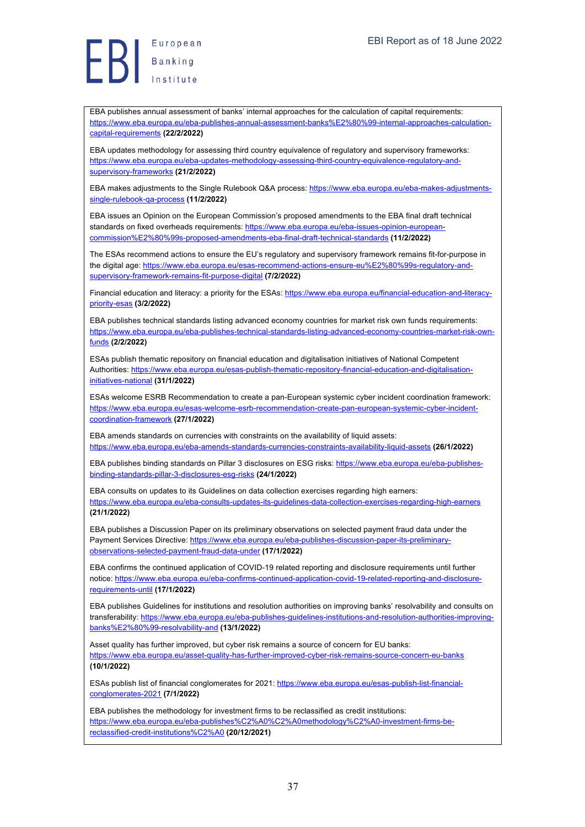EBA publishes annual assessment of banks' internal approaches for the calculation of capital requirements: https://www.eba.europa.eu/eba-publishes-annual-assessment-banks%E2%80%99-internal-approaches-calculationcapital-requirements **(22/2/2022)**

EBA updates methodology for assessing third country equivalence of regulatory and supervisory frameworks: https://www.eba.europa.eu/eba-updates-methodology-assessing-third-country-equivalence-regulatory-andsupervisory-frameworks **(21/2/2022)**

EBA makes adjustments to the Single Rulebook Q&A process: https://www.eba.europa.eu/eba-makes-adjustmentssingle-rulebook-qa-process **(11/2/2022)**

EBA issues an Opinion on the European Commission's proposed amendments to the EBA final draft technical standards on fixed overheads requirements: https://www.eba.europa.eu/eba-issues-opinion-europeancommission%E2%80%99s-proposed-amendments-eba-final-draft-technical-standards **(11/2/2022)**

The ESAs recommend actions to ensure the EU's regulatory and supervisory framework remains fit-for-purpose in the digital age: https://www.eba.europa.eu/esas-recommend-actions-ensure-eu%E2%80%99s-regulatory-andsupervisory-framework-remains-fit-purpose-digital **(7/2/2022)**

Financial education and literacy: a priority for the ESAs: https://www.eba.europa.eu/financial-education-and-literacypriority-esas **(3/2/2022)**

EBA publishes technical standards listing advanced economy countries for market risk own funds requirements: https://www.eba.europa.eu/eba-publishes-technical-standards-listing-advanced-economy-countries-market-risk-ownfunds **(2/2/2022)**

ESAs publish thematic repository on financial education and digitalisation initiatives of National Competent Authorities: https://www.eba.europa.eu/esas-publish-thematic-repository-financial-education-and-digitalisationinitiatives-national **(31/1/2022)**

ESAs welcome ESRB Recommendation to create a pan-European systemic cyber incident coordination framework: https://www.eba.europa.eu/esas-welcome-esrb-recommendation-create-pan-european-systemic-cyber-incidentcoordination-framework **(27/1/2022)**

EBA amends standards on currencies with constraints on the availability of liquid assets: https://www.eba.europa.eu/eba-amends-standards-currencies-constraints-availability-liquid-assets **(26/1/2022)**

EBA publishes binding standards on Pillar 3 disclosures on ESG risks: https://www.eba.europa.eu/eba-publishesbinding-standards-pillar-3-disclosures-esg-risks **(24/1/2022)**

EBA consults on updates to its Guidelines on data collection exercises regarding high earners: https://www.eba.europa.eu/eba-consults-updates-its-guidelines-data-collection-exercises-regarding-high-earners **(21/1/2022)**

EBA publishes a Discussion Paper on its preliminary observations on selected payment fraud data under the Payment Services Directive: https://www.eba.europa.eu/eba-publishes-discussion-paper-its-preliminaryobservations-selected-payment-fraud-data-under **(17/1/2022)**

EBA confirms the continued application of COVID-19 related reporting and disclosure requirements until further notice: https://www.eba.europa.eu/eba-confirms-continued-application-covid-19-related-reporting-and-disclosurerequirements-until **(17/1/2022)**

EBA publishes Guidelines for institutions and resolution authorities on improving banks' resolvability and consults on transferability: https://www.eba.europa.eu/eba-publishes-guidelines-institutions-and-resolution-authorities-improvingbanks%E2%80%99-resolvability-and **(13/1/2022)**

Asset quality has further improved, but cyber risk remains a source of concern for EU banks: https://www.eba.europa.eu/asset-quality-has-further-improved-cyber-risk-remains-source-concern-eu-banks **(10/1/2022)**

ESAs publish list of financial conglomerates for 2021: https://www.eba.europa.eu/esas-publish-list-financialconglomerates-2021 **(7/1/2022)**

EBA publishes the methodology for investment firms to be reclassified as credit institutions: https://www.eba.europa.eu/eba-publishes%C2%A0%C2%A0methodology%C2%A0-investment-firms-bereclassified-credit-institutions%C2%A0 **(20/12/2021)**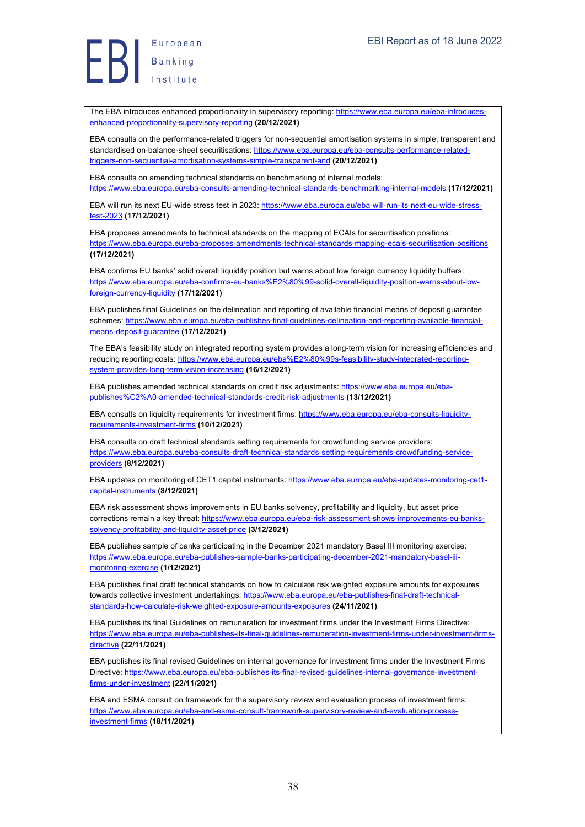Europea<br>Banking<br>Institute European

The EBA introduces enhanced proportionality in supervisory reporting: https://www.eba.europa.eu/eba-introducesenhanced-proportionality-supervisory-reporting **(20/12/2021)**

EBA consults on the performance-related triggers for non-sequential amortisation systems in simple, transparent and standardised on-balance-sheet securitisations: https://www.eba.europa.eu/eba-consults-performance-relatedtriggers-non-sequential-amortisation-systems-simple-transparent-and **(20/12/2021)**

EBA consults on amending technical standards on benchmarking of internal models: https://www.eba.europa.eu/eba-consults-amending-technical-standards-benchmarking-internal-models **(17/12/2021)**

EBA will run its next EU-wide stress test in 2023: https://www.eba.europa.eu/eba-will-run-its-next-eu-wide-stresstest-2023 **(17/12/2021)**

EBA proposes amendments to technical standards on the mapping of ECAIs for securitisation positions: https://www.eba.europa.eu/eba-proposes-amendments-technical-standards-mapping-ecais-securitisation-positions **(17/12/2021)**

EBA confirms EU banks' solid overall liquidity position but warns about low foreign currency liquidity buffers: https://www.eba.europa.eu/eba-confirms-eu-banks%E2%80%99-solid-overall-liquidity-position-warns-about-lowforeign-currency-liquidity **(17/12/2021)**

EBA publishes final Guidelines on the delineation and reporting of available financial means of deposit guarantee schemes: https://www.eba.europa.eu/eba-publishes-final-guidelines-delineation-and-reporting-available-financialmeans-deposit-guarantee **(17/12/2021)**

The EBA's feasibility study on integrated reporting system provides a long-term vision for increasing efficiencies and reducing reporting costs: https://www.eba.europa.eu/eba%E2%80%99s-feasibility-study-integrated-reportingsystem-provides-long-term-vision-increasing **(16/12/2021)**

EBA publishes amended technical standards on credit risk adjustments: https://www.eba.europa.eu/ebapublishes%C2%A0-amended-technical-standards-credit-risk-adjustments **(13/12/2021)**

EBA consults on liquidity requirements for investment firms: https://www.eba.europa.eu/eba-consults-liquidityrequirements-investment-firms **(10/12/2021)**

EBA consults on draft technical standards setting requirements for crowdfunding service providers: https://www.eba.europa.eu/eba-consults-draft-technical-standards-setting-requirements-crowdfunding-serviceproviders **(8/12/2021)**

EBA updates on monitoring of CET1 capital instruments: https://www.eba.europa.eu/eba-updates-monitoring-cet1 capital-instruments **(8/12/2021)**

EBA risk assessment shows improvements in EU banks solvency, profitability and liquidity, but asset price corrections remain a key threat: https://www.eba.europa.eu/eba-risk-assessment-shows-improvements-eu-bankssolvency-profitability-and-liquidity-asset-price **(3/12/2021)**

EBA publishes sample of banks participating in the December 2021 mandatory Basel III monitoring exercise: https://www.eba.europa.eu/eba-publishes-sample-banks-participating-december-2021-mandatory-basel-iiimonitoring-exercise **(1/12/2021)**

EBA publishes final draft technical standards on how to calculate risk weighted exposure amounts for exposures towards collective investment undertakings: https://www.eba.europa.eu/eba-publishes-final-draft-technicalstandards-how-calculate-risk-weighted-exposure-amounts-exposures **(24/11/2021)**

EBA publishes its final Guidelines on remuneration for investment firms under the Investment Firms Directive: https://www.eba.europa.eu/eba-publishes-its-final-guidelines-remuneration-investment-firms-under-investment-firmsdirective **(22/11/2021)**

EBA publishes its final revised Guidelines on internal governance for investment firms under the Investment Firms Directive: https://www.eba.europa.eu/eba-publishes-its-final-revised-guidelines-internal-governance-investmentfirms-under-investment **(22/11/2021)**

EBA and ESMA consult on framework for the supervisory review and evaluation process of investment firms: https://www.eba.europa.eu/eba-and-esma-consult-framework-supervisory-review-and-evaluation-processinvestment-firms **(18/11/2021)**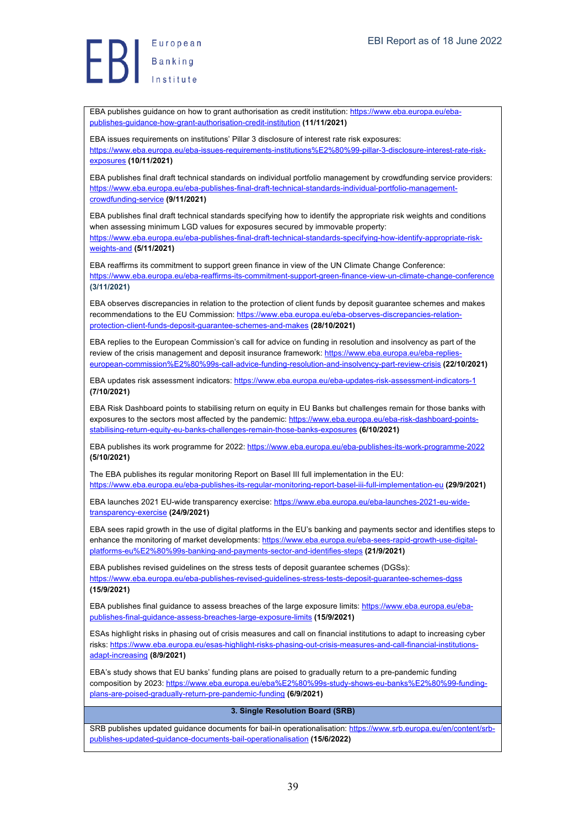EBA publishes guidance on how to grant authorisation as credit institution: https://www.eba.europa.eu/ebapublishes-guidance-how-grant-authorisation-credit-institution **(11/11/2021)**

EBA issues requirements on institutions' Pillar 3 disclosure of interest rate risk exposures: https://www.eba.europa.eu/eba-issues-requirements-institutions%E2%80%99-pillar-3-disclosure-interest-rate-riskexposures **(10/11/2021)**

EBA publishes final draft technical standards on individual portfolio management by crowdfunding service providers: https://www.eba.europa.eu/eba-publishes-final-draft-technical-standards-individual-portfolio-managementcrowdfunding-service **(9/11/2021)**

EBA publishes final draft technical standards specifying how to identify the appropriate risk weights and conditions when assessing minimum LGD values for exposures secured by immovable property: https://www.eba.europa.eu/eba-publishes-final-draft-technical-standards-specifying-how-identify-appropriate-riskweights-and **(5/11/2021)**

EBA reaffirms its commitment to support green finance in view of the UN Climate Change Conference: https://www.eba.europa.eu/eba-reaffirms-its-commitment-support-green-finance-view-un-climate-change-conference **(3/11/2021)**

EBA observes discrepancies in relation to the protection of client funds by deposit guarantee schemes and makes recommendations to the EU Commission: https://www.eba.europa.eu/eba-observes-discrepancies-relationprotection-client-funds-deposit-guarantee-schemes-and-makes **(28/10/2021)**

EBA replies to the European Commission's call for advice on funding in resolution and insolvency as part of the review of the crisis management and deposit insurance framework: https://www.eba.europa.eu/eba-replies european-commission%E2%80%99s-call-advice-funding-resolution-and-insolvency-part-review-crisis **(22/10/2021)**

EBA updates risk assessment indicators: https://www.eba.europa.eu/eba-updates-risk-assessment-indicators-1 **(7/10/2021)**

EBA Risk Dashboard points to stabilising return on equity in EU Banks but challenges remain for those banks with exposures to the sectors most affected by the pandemic: https://www.eba.europa.eu/eba-risk-dashboard-pointsstabilising-return-equity-eu-banks-challenges-remain-those-banks-exposures **(6/10/2021)**

EBA publishes its work programme for 2022: https://www.eba.europa.eu/eba-publishes-its-work-programme-2022 **(5/10/2021)**

The EBA publishes its regular monitoring Report on Basel III full implementation in the EU: https://www.eba.europa.eu/eba-publishes-its-regular-monitoring-report-basel-iii-full-implementation-eu **(29/9/2021)**

EBA launches 2021 EU-wide transparency exercise: https://www.eba.europa.eu/eba-launches-2021-eu-widetransparency-exercise **(24/9/2021)**

EBA sees rapid growth in the use of digital platforms in the EU's banking and payments sector and identifies steps to enhance the monitoring of market developments: https://www.eba.europa.eu/eba-sees-rapid-growth-use-digitalplatforms-eu%E2%80%99s-banking-and-payments-sector-and-identifies-steps **(21/9/2021)**

EBA publishes revised guidelines on the stress tests of deposit guarantee schemes (DGSs): https://www.eba.europa.eu/eba-publishes-revised-guidelines-stress-tests-deposit-guarantee-schemes-dgss **(15/9/2021)**

EBA publishes final guidance to assess breaches of the large exposure limits: https://www.eba.europa.eu/ebapublishes-final-guidance-assess-breaches-large-exposure-limits **(15/9/2021)**

ESAs highlight risks in phasing out of crisis measures and call on financial institutions to adapt to increasing cyber risks: https://www.eba.europa.eu/esas-highlight-risks-phasing-out-crisis-measures-and-call-financial-institutionsadapt-increasing **(8/9/2021)**

EBA's study shows that EU banks' funding plans are poised to gradually return to a pre-pandemic funding composition by 2023: https://www.eba.europa.eu/eba%E2%80%99s-study-shows-eu-banks%E2%80%99-fundingplans-are-poised-gradually-return-pre-pandemic-funding **(6/9/2021)**

#### **3. Single Resolution Board (SRB)**

SRB publishes updated guidance documents for bail-in operationalisation: https://www.srb.europa.eu/en/content/srbpublishes-updated-guidance-documents-bail-operationalisation **(15/6/2022)**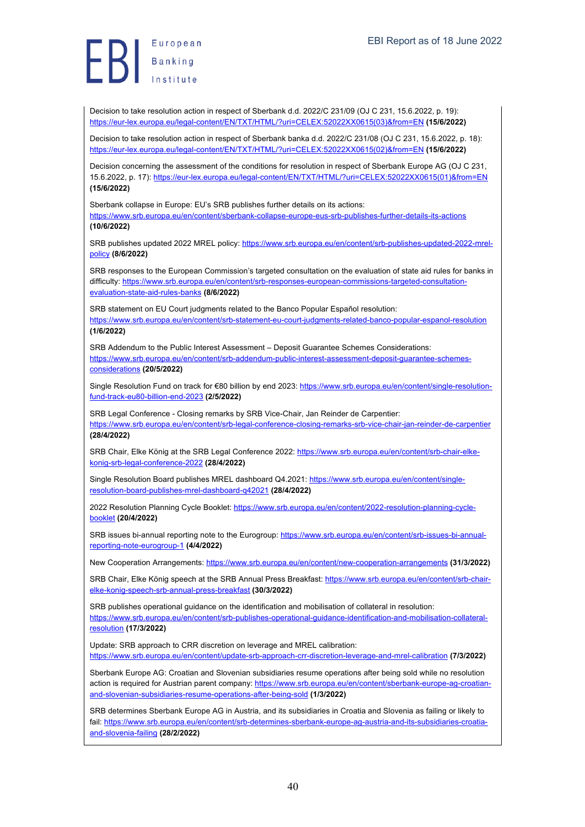Decision to take resolution action in respect of Sberbank d.d. 2022/C 231/09 (OJ C 231, 15.6.2022, p. 19): https://eur-lex.europa.eu/legal-content/EN/TXT/HTML/?uri=CELEX:52022XX0615(03)&from=EN **(15/6/2022)**

Decision to take resolution action in respect of Sberbank banka d.d. 2022/C 231/08 (OJ C 231, 15.6.2022, p. 18): https://eur-lex.europa.eu/legal-content/EN/TXT/HTML/?uri=CELEX:52022XX0615(02)&from=EN **(15/6/2022)**

Decision concerning the assessment of the conditions for resolution in respect of Sberbank Europe AG (OJ C 231, 15.6.2022, p. 17): https://eur-lex.europa.eu/legal-content/EN/TXT/HTML/?uri=CELEX:52022XX0615(01)&from=EN **(15/6/2022)**

Sberbank collapse in Europe: EU's SRB publishes further details on its actions: https://www.srb.europa.eu/en/content/sberbank-collapse-europe-eus-srb-publishes-further-details-its-actions **(10/6/2022)**

SRB publishes updated 2022 MREL policy: https://www.srb.europa.eu/en/content/srb-publishes-updated-2022-mrelpolicy **(8/6/2022)**

SRB responses to the European Commission's targeted consultation on the evaluation of state aid rules for banks in difficulty: https://www.srb.europa.eu/en/content/srb-responses-european-commissions-targeted-consultationevaluation-state-aid-rules-banks **(8/6/2022)**

SRB statement on EU Court judgments related to the Banco Popular Español resolution: https://www.srb.europa.eu/en/content/srb-statement-eu-court-judgments-related-banco-popular-espanol-resolution **(1/6/2022)**

SRB Addendum to the Public Interest Assessment – Deposit Guarantee Schemes Considerations: https://www.srb.europa.eu/en/content/srb-addendum-public-interest-assessment-deposit-guarantee-schemesconsiderations **(20/5/2022)**

Single Resolution Fund on track for €80 billion by end 2023: https://www.srb.europa.eu/en/content/single-resolutionfund-track-eu80-billion-end-2023 **(2/5/2022)**

SRB Legal Conference - Closing remarks by SRB Vice-Chair, Jan Reinder de Carpentier: https://www.srb.europa.eu/en/content/srb-legal-conference-closing-remarks-srb-vice-chair-jan-reinder-de-carpentier **(28/4/2022)**

SRB Chair, Elke König at the SRB Legal Conference 2022: https://www.srb.europa.eu/en/content/srb-chair-elkekonig-srb-legal-conference-2022 **(28/4/2022)**

Single Resolution Board publishes MREL dashboard Q4.2021: https://www.srb.europa.eu/en/content/singleresolution-board-publishes-mrel-dashboard-q42021 **(28/4/2022)**

2022 Resolution Planning Cycle Booklet: https://www.srb.europa.eu/en/content/2022-resolution-planning-cyclebooklet **(20/4/2022)**

SRB issues bi-annual reporting note to the Eurogroup: https://www.srb.europa.eu/en/content/srb-issues-bi-annualreporting-note-eurogroup-1 **(4/4/2022)**

New Cooperation Arrangements: https://www.srb.europa.eu/en/content/new-cooperation-arrangements **(31/3/2022)**

SRB Chair, Elke König speech at the SRB Annual Press Breakfast: https://www.srb.europa.eu/en/content/srb-chairelke-konig-speech-srb-annual-press-breakfast **(30/3/2022)**

SRB publishes operational guidance on the identification and mobilisation of collateral in resolution: https://www.srb.europa.eu/en/content/srb-publishes-operational-guidance-identification-and-mobilisation-collateralresolution **(17/3/2022)**

Update: SRB approach to CRR discretion on leverage and MREL calibration: https://www.srb.europa.eu/en/content/update-srb-approach-crr-discretion-leverage-and-mrel-calibration **(7/3/2022)**

Sberbank Europe AG: Croatian and Slovenian subsidiaries resume operations after being sold while no resolution action is required for Austrian parent company: https://www.srb.europa.eu/en/content/sberbank-europe-ag-croatianand-slovenian-subsidiaries-resume-operations-after-being-sold **(1/3/2022)**

SRB determines Sberbank Europe AG in Austria, and its subsidiaries in Croatia and Slovenia as failing or likely to fail: https://www.srb.europa.eu/en/content/srb-determines-sberbank-europe-ag-austria-and-its-subsidiaries-croatiaand-slovenia-failing **(28/2/2022)**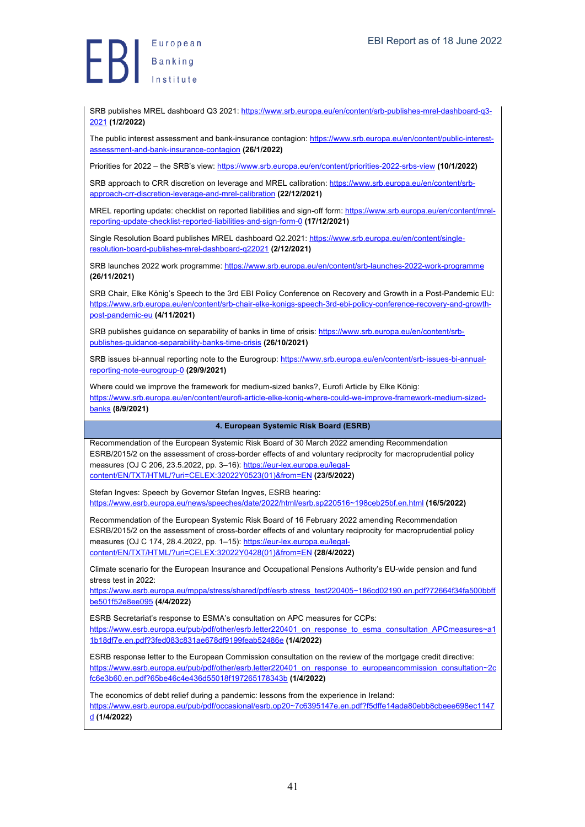European  $\left\{\begin{array}{c} \begin{array}{c} \begin{array}{c} \text{22.12} \\ \text{Banking} \end{array} \\ \text{24.12} \end{array}\right. \end{array}$ 

SRB publishes MREL dashboard Q3 2021: https://www.srb.europa.eu/en/content/srb-publishes-mrel-dashboard-q3-2021 **(1/2/2022)**

The public interest assessment and bank-insurance contagion: https://www.srb.europa.eu/en/content/public-interestassessment-and-bank-insurance-contagion **(26/1/2022)**

Priorities for 2022 – the SRB's view: https://www.srb.europa.eu/en/content/priorities-2022-srbs-view **(10/1/2022)**

SRB approach to CRR discretion on leverage and MREL calibration: https://www.srb.europa.eu/en/content/srbapproach-crr-discretion-leverage-and-mrel-calibration **(22/12/2021)**

MREL reporting update: checklist on reported liabilities and sign-off form: https://www.srb.europa.eu/en/content/mrelreporting-update-checklist-reported-liabilities-and-sign-form-0 **(17/12/2021)**

Single Resolution Board publishes MREL dashboard Q2.2021: https://www.srb.europa.eu/en/content/singleresolution-board-publishes-mrel-dashboard-q22021 **(2/12/2021)**

SRB launches 2022 work programme: https://www.srb.europa.eu/en/content/srb-launches-2022-work-programme **(26/11/2021)**

SRB Chair, Elke König's Speech to the 3rd EBI Policy Conference on Recovery and Growth in a Post-Pandemic EU: https://www.srb.europa.eu/en/content/srb-chair-elke-konigs-speech-3rd-ebi-policy-conference-recovery-and-growthpost-pandemic-eu **(4/11/2021)**

SRB publishes guidance on separability of banks in time of crisis: https://www.srb.europa.eu/en/content/srbpublishes-guidance-separability-banks-time-crisis **(26/10/2021)**

SRB issues bi-annual reporting note to the Eurogroup: https://www.srb.europa.eu/en/content/srb-issues-bi-annualreporting-note-eurogroup-0 **(29/9/2021)**

Where could we improve the framework for medium-sized banks?, Eurofi Article by Elke König: https://www.srb.europa.eu/en/content/eurofi-article-elke-konig-where-could-we-improve-framework-medium-sizedbanks **(8/9/2021)**

#### **4. European Systemic Risk Board (ESRB)**

Recommendation of the European Systemic Risk Board of 30 March 2022 amending Recommendation ESRB/2015/2 on the assessment of cross-border effects of and voluntary reciprocity for macroprudential policy measures (OJ C 206, 23.5.2022, pp. 3-16): https://eur-lex.europa.eu/legalcontent/EN/TXT/HTML/?uri=CELEX:32022Y0523(01)&from=EN **(23/5/2022)**

Stefan Ingves: Speech by Governor Stefan Ingves, ESRB hearing: https://www.esrb.europa.eu/news/speeches/date/2022/html/esrb.sp220516~198ceb25bf.en.html **(16/5/2022)**

Recommendation of the European Systemic Risk Board of 16 February 2022 amending Recommendation ESRB/2015/2 on the assessment of cross-border effects of and voluntary reciprocity for macroprudential policy measures (OJ C 174, 28.4.2022, pp. 1-15): https://eur-lex.europa.eu/legalcontent/EN/TXT/HTML/?uri=CELEX:32022Y0428(01)&from=EN **(28/4/2022)**

Climate scenario for the European Insurance and Occupational Pensions Authority's EU-wide pension and fund stress test in 2022:

https://www.esrb.europa.eu/mppa/stress/shared/pdf/esrb.stress\_test220405~186cd02190.en.pdf?72664f34fa500bbff be501f52e8ee095 **(4/4/2022)**

ESRB Secretariat's response to ESMA's consultation on APC measures for CCPs: https://www.esrb.europa.eu/pub/pdf/other/esrb.letter220401\_on\_response\_to\_esma\_consultation\_APCmeasures~a1 1b18df7e.en.pdf?3fed083c831ae678df9199feab52486e **(1/4/2022)**

ESRB response letter to the European Commission consultation on the review of the mortgage credit directive: https://www.esrb.europa.eu/pub/pdf/other/esrb.letter220401\_on\_response\_to\_europeancommission\_consultation~2c fc6e3b60.en.pdf?65be46c4e436d55018f197265178343b **(1/4/2022)**

The economics of debt relief during a pandemic: lessons from the experience in Ireland:

https://www.esrb.europa.eu/pub/pdf/occasional/esrb.op20~7c6395147e.en.pdf?f5dffe14ada80ebb8cbeee698ec1147 d **(1/4/2022)**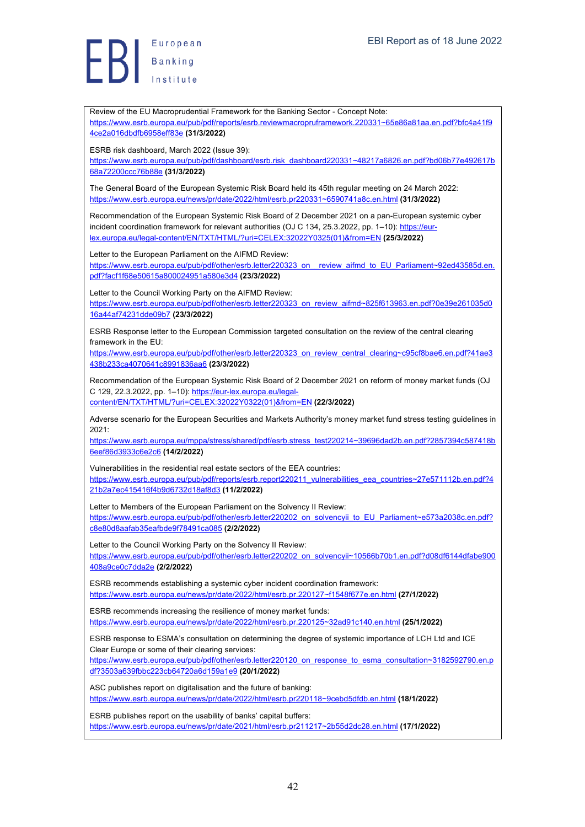European  $\left\{\right\}$  Banking

Review of the EU Macroprudential Framework for the Banking Sector - Concept Note: https://www.esrb.europa.eu/pub/pdf/reports/esrb.reviewmacropruframework.220331~65e86a81aa.en.pdf?bfc4a41f9 4ce2a016dbdfb6958eff83e **(31/3/2022)** ESRB risk dashboard, March 2022 (Issue 39): https://www.esrb.europa.eu/pub/pdf/dashboard/esrb.risk\_dashboard220331~48217a6826.en.pdf?bd06b77e492617b 68a72200ccc76b88e **(31/3/2022)** The General Board of the European Systemic Risk Board held its 45th regular meeting on 24 March 2022: https://www.esrb.europa.eu/news/pr/date/2022/html/esrb.pr220331~6590741a8c.en.html **(31/3/2022)** Recommendation of the European Systemic Risk Board of 2 December 2021 on a pan-European systemic cyber incident coordination framework for relevant authorities (OJ C 134, 25.3.2022, pp. 1-10): https://eurlex.europa.eu/legal-content/EN/TXT/HTML/?uri=CELEX:32022Y0325(01)&from=EN **(25/3/2022)** Letter to the European Parliament on the AIFMD Review: https://www.esrb.europa.eu/pub/pdf/other/esrb.letter220323\_on\_\_review\_aifmd\_to\_EU\_Parliament~92ed43585d.en. pdf?facf1f68e50615a800024951a580e3d4 **(23/3/2022)** Letter to the Council Working Party on the AIFMD Review: https://www.esrb.europa.eu/pub/pdf/other/esrb.letter220323\_on\_review\_aifmd~825f613963.en.pdf?0e39e261035d0 16a44af74231dde09b7 **(23/3/2022)** ESRB Response letter to the European Commission targeted consultation on the review of the central clearing framework in the EU: https://www.esrb.europa.eu/pub/pdf/other/esrb.letter220323\_on\_review\_central\_clearing~c95cf8bae6.en.pdf?41ae3 438b233ca4070641c8991836aa6 **(23/3/2022)** Recommendation of the European Systemic Risk Board of 2 December 2021 on reform of money market funds (OJ C 129, 22.3.2022, pp. 1–10): https://eur-lex.europa.eu/legalcontent/EN/TXT/HTML/?uri=CELEX:32022Y0322(01)&from=EN **(22/3/2022)** Adverse scenario for the European Securities and Markets Authority's money market fund stress testing guidelines in 2021: https://www.esrb.europa.eu/mppa/stress/shared/pdf/esrb.stress\_test220214~39696dad2b.en.pdf?2857394c587418b 6eef86d3933c6e2c6 **(14/2/2022)** Vulnerabilities in the residential real estate sectors of the EEA countries: https://www.esrb.europa.eu/pub/pdf/reports/esrb.report220211\_vulnerabilities\_eea\_countries~27e571112b.en.pdf?4 21b2a7ec415416f4b9d6732d18af8d3 **(11/2/2022)** Letter to Members of the European Parliament on the Solvency II Review: https://www.esrb.europa.eu/pub/pdf/other/esrb.letter220202\_on\_solvencyii\_to\_EU\_Parliament~e573a2038c.en.pdf? c8e80d8aafab35eafbde9f78491ca085 **(2/2/2022)** Letter to the Council Working Party on the Solvency II Review: https://www.esrb.europa.eu/pub/pdf/other/esrb.letter220202\_on\_solvencyii~10566b70b1.en.pdf?d08df6144dfabe900 408a9ce0c7dda2e **(2/2/2022)** ESRB recommends establishing a systemic cyber incident coordination framework: https://www.esrb.europa.eu/news/pr/date/2022/html/esrb.pr.220127~f1548f677e.en.html **(27/1/2022)** ESRB recommends increasing the resilience of money market funds: https://www.esrb.europa.eu/news/pr/date/2022/html/esrb.pr.220125~32ad91c140.en.html **(25/1/2022)** ESRB response to ESMA's consultation on determining the degree of systemic importance of LCH Ltd and ICE Clear Europe or some of their clearing services: https://www.esrb.europa.eu/pub/pdf/other/esrb.letter220120\_on\_response\_to\_esma\_consultation~3182592790.en.p df?3503a639fbbc223cb64720a6d159a1e9 **(20/1/2022)** ASC publishes report on digitalisation and the future of banking: https://www.esrb.europa.eu/news/pr/date/2022/html/esrb.pr220118~9cebd5dfdb.en.html **(18/1/2022)** ESRB publishes report on the usability of banks' capital buffers: https://www.esrb.europa.eu/news/pr/date/2021/html/esrb.pr211217~2b55d2dc28.en.html **(17/1/2022)**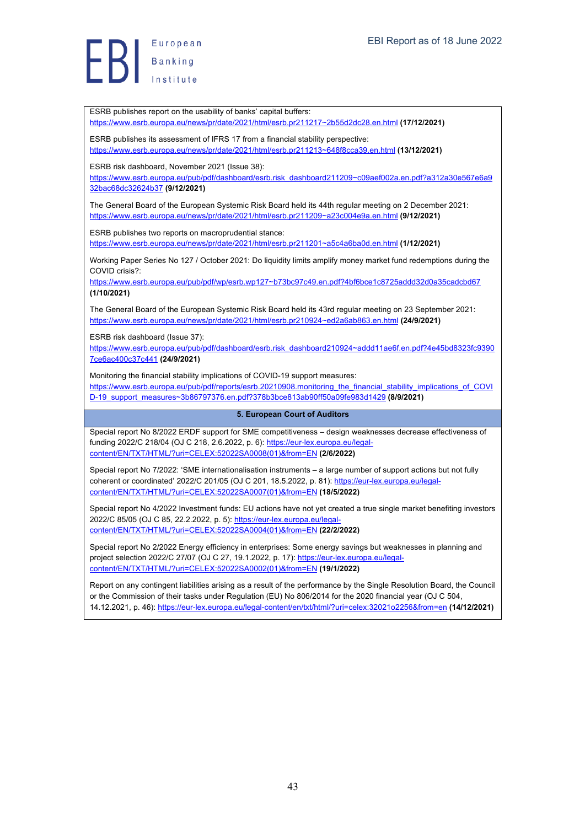ESRB publishes report on the usability of banks' capital buffers: https://www.esrb.europa.eu/news/pr/date/2021/html/esrb.pr211217~2b55d2dc28.en.html **(17/12/2021)** ESRB publishes its assessment of IFRS 17 from a financial stability perspective: https://www.esrb.europa.eu/news/pr/date/2021/html/esrb.pr211213~648f8cca39.en.html **(13/12/2021)** ESRB risk dashboard, November 2021 (Issue 38): https://www.esrb.europa.eu/pub/pdf/dashboard/esrb.risk\_dashboard211209~c09aef002a.en.pdf?a312a30e567e6a9 32bac68dc32624b37 **(9/12/2021)** The General Board of the European Systemic Risk Board held its 44th regular meeting on 2 December 2021: https://www.esrb.europa.eu/news/pr/date/2021/html/esrb.pr211209~a23c004e9a.en.html **(9/12/2021)** ESRB publishes two reports on macroprudential stance: https://www.esrb.europa.eu/news/pr/date/2021/html/esrb.pr211201~a5c4a6ba0d.en.html **(1/12/2021)** Working Paper Series No 127 / October 2021: Do liquidity limits amplify money market fund redemptions during the COVID crisis?: https://www.esrb.europa.eu/pub/pdf/wp/esrb.wp127~b73bc97c49.en.pdf?4bf6bce1c8725addd32d0a35cadcbd67 **(1/10/2021)** The General Board of the European Systemic Risk Board held its 43rd regular meeting on 23 September 2021: https://www.esrb.europa.eu/news/pr/date/2021/html/esrb.pr210924~ed2a6ab863.en.html **(24/9/2021)** ESRB risk dashboard (Issue 37): https://www.esrb.europa.eu/pub/pdf/dashboard/esrb.risk\_dashboard210924~addd11ae6f.en.pdf?4e45bd8323fc9390 7ce6ac400c37c441 **(24/9/2021)** Monitoring the financial stability implications of COVID-19 support measures: https://www.esrb.europa.eu/pub/pdf/reports/esrb.20210908.monitoring\_the\_financial\_stability\_implications\_of\_COVI D-19\_support\_measures~3b86797376.en.pdf?378b3bce813ab90ff50a09fe983d1429 **(8/9/2021) 5. European Court of Auditors** Special report No 8/2022 ERDF support for SME competitiveness – design weaknesses decrease effectiveness of funding 2022/C 218/04 (OJ C 218, 2.6.2022, p. 6): https://eur-lex.europa.eu/legalcontent/EN/TXT/HTML/?uri=CELEX:52022SA0008(01)&from=EN **(2/6/2022)** Special report No 7/2022: 'SME internationalisation instruments – a large number of support actions but not fully coherent or coordinated' 2022/C 201/05 (OJ C 201, 18.5.2022, p. 81): https://eur-lex.europa.eu/legalcontent/EN/TXT/HTML/?uri=CELEX:52022SA0007(01)&from=EN **(18/5/2022)** Special report No 4/2022 Investment funds: EU actions have not yet created a true single market benefiting investors 2022/C 85/05 (OJ C 85, 22.2.2022, p. 5): https://eur-lex.europa.eu/legalcontent/EN/TXT/HTML/?uri=CELEX:52022SA0004(01)&from=EN **(22/2/2022)** Special report No 2/2022 Energy efficiency in enterprises: Some energy savings but weaknesses in planning and project selection 2022/C 27/07 (OJ C 27, 19.1.2022, p. 17): https://eur-lex.europa.eu/legalcontent/EN/TXT/HTML/?uri=CELEX:52022SA0002(01)&from=EN **(19/1/2022)** Report on any contingent liabilities arising as a result of the performance by the Single Resolution Board, the Council or the Commission of their tasks under Regulation (EU) No 806/2014 for the 2020 financial year (OJ C 504, 14.12.2021, p. 46): https://eur-lex.europa.eu/legal-content/en/txt/html/?uri=celex:32021o2256&from=en **(14/12/2021)**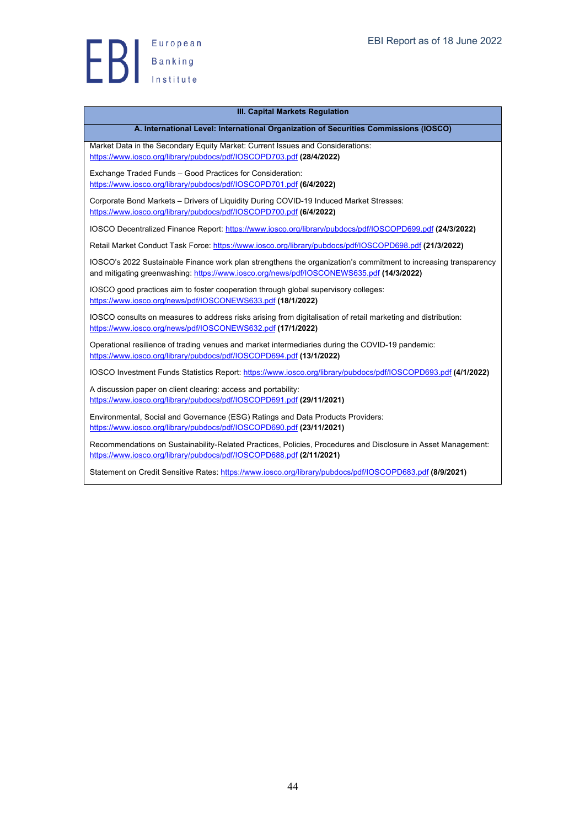

#### **III. Capital Markets Regulation**

#### **A. International Level: International Organization of Securities Commissions (IOSCO)**

Market Data in the Secondary Equity Market: Current Issues and Considerations: https://www.iosco.org/library/pubdocs/pdf/IOSCOPD703.pdf **(28/4/2022)**

Exchange Traded Funds – Good Practices for Consideration: https://www.iosco.org/library/pubdocs/pdf/IOSCOPD701.pdf **(6/4/2022)**

Corporate Bond Markets – Drivers of Liquidity During COVID-19 Induced Market Stresses: https://www.iosco.org/library/pubdocs/pdf/IOSCOPD700.pdf **(6/4/2022)**

IOSCO Decentralized Finance Report: https://www.iosco.org/library/pubdocs/pdf/IOSCOPD699.pdf **(24/3/2022)**

Retail Market Conduct Task Force: https://www.iosco.org/library/pubdocs/pdf/IOSCOPD698.pdf **(21/3/2022)**

IOSCO's 2022 Sustainable Finance work plan strengthens the organization's commitment to increasing transparency and mitigating greenwashing: https://www.iosco.org/news/pdf/IOSCONEWS635.pdf **(14/3/2022)**

IOSCO good practices aim to foster cooperation through global supervisory colleges: https://www.iosco.org/news/pdf/IOSCONEWS633.pdf **(18/1/2022)**

IOSCO consults on measures to address risks arising from digitalisation of retail marketing and distribution: https://www.iosco.org/news/pdf/IOSCONEWS632.pdf **(17/1/2022)**

Operational resilience of trading venues and market intermediaries during the COVID-19 pandemic: https://www.iosco.org/library/pubdocs/pdf/IOSCOPD694.pdf **(13/1/2022)**

IOSCO Investment Funds Statistics Report: https://www.iosco.org/library/pubdocs/pdf/IOSCOPD693.pdf **(4/1/2022)**

A discussion paper on client clearing: access and portability: https://www.iosco.org/library/pubdocs/pdf/IOSCOPD691.pdf **(29/11/2021)**

Environmental, Social and Governance (ESG) Ratings and Data Products Providers: https://www.iosco.org/library/pubdocs/pdf/IOSCOPD690.pdf **(23/11/2021)**

Recommendations on Sustainability-Related Practices, Policies, Procedures and Disclosure in Asset Management: https://www.iosco.org/library/pubdocs/pdf/IOSCOPD688.pdf **(2/11/2021)**

Statement on Credit Sensitive Rates: https://www.iosco.org/library/pubdocs/pdf/IOSCOPD683.pdf **(8/9/2021)**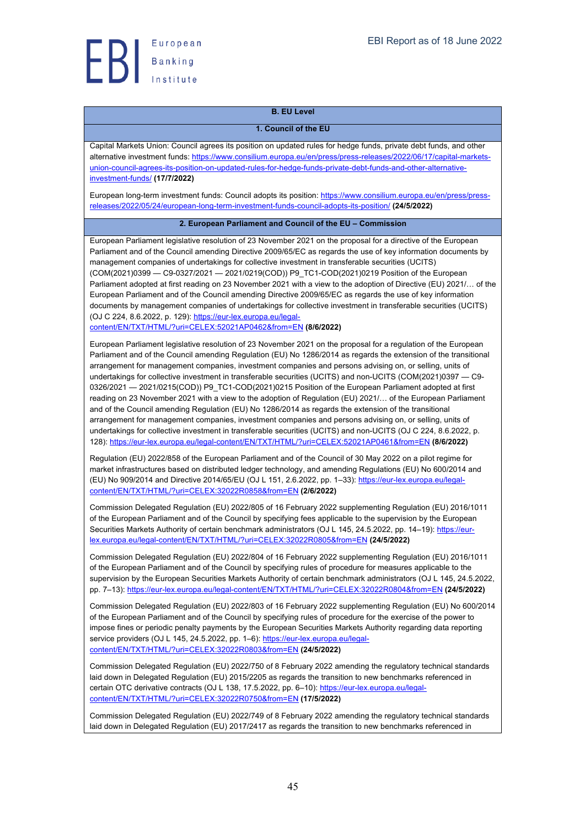

# **B. EU Level**

#### **1. Council of the EU**

Capital Markets Union: Council agrees its position on updated rules for hedge funds, private debt funds, and other alternative investment funds: https://www.consilium.europa.eu/en/press/press-releases/2022/06/17/capital-marketsunion-council-agrees-its-position-on-updated-rules-for-hedge-funds-private-debt-funds-and-other-alternativeinvestment-funds/ **(17/7/2022)**

European long-term investment funds: Council adopts its position: https://www.consilium.europa.eu/en/press/pressreleases/2022/05/24/european-long-term-investment-funds-council-adopts-its-position/ **(24/5/2022)**

#### **2. European Parliament and Council of the EU – Commission**

European Parliament legislative resolution of 23 November 2021 on the proposal for a directive of the European Parliament and of the Council amending Directive 2009/65/EC as regards the use of key information documents by management companies of undertakings for collective investment in transferable securities (UCITS) (COM(2021)0399 — C9-0327/2021 — 2021/0219(COD)) P9\_TC1-COD(2021)0219 Position of the European Parliament adopted at first reading on 23 November 2021 with a view to the adoption of Directive (EU) 2021/… of the European Parliament and of the Council amending Directive 2009/65/EC as regards the use of key information documents by management companies of undertakings for collective investment in transferable securities (UCITS) (OJ C 224, 8.6.2022, p. 129): https://eur-lex.europa.eu/legal-

content/EN/TXT/HTML/?uri=CELEX:52021AP0462&from=EN **(8/6/2022)**

European Parliament legislative resolution of 23 November 2021 on the proposal for a regulation of the European Parliament and of the Council amending Regulation (EU) No 1286/2014 as regards the extension of the transitional arrangement for management companies, investment companies and persons advising on, or selling, units of undertakings for collective investment in transferable securities (UCITS) and non-UCITS (COM(2021)0397 — C9- 0326/2021 — 2021/0215(COD)) P9\_TC1-COD(2021)0215 Position of the European Parliament adopted at first reading on 23 November 2021 with a view to the adoption of Regulation (EU) 2021/… of the European Parliament and of the Council amending Regulation (EU) No 1286/2014 as regards the extension of the transitional arrangement for management companies, investment companies and persons advising on, or selling, units of undertakings for collective investment in transferable securities (UCITS) and non-UCITS (OJ C 224, 8.6.2022, p. 128): https://eur-lex.europa.eu/legal-content/EN/TXT/HTML/?uri=CELEX:52021AP0461&from=EN **(8/6/2022)**

Regulation (EU) 2022/858 of the European Parliament and of the Council of 30 May 2022 on a pilot regime for market infrastructures based on distributed ledger technology, and amending Regulations (EU) No 600/2014 and (EU) No 909/2014 and Directive 2014/65/EU (OJ L 151, 2.6.2022, pp. 1–33): https://eur-lex.europa.eu/legalcontent/EN/TXT/HTML/?uri=CELEX:32022R0858&from=EN **(2/6/2022)**

Commission Delegated Regulation (EU) 2022/805 of 16 February 2022 supplementing Regulation (EU) 2016/1011 of the European Parliament and of the Council by specifying fees applicable to the supervision by the European Securities Markets Authority of certain benchmark administrators (OJ L 145, 24.5.2022, pp. 14–19): https://eurlex.europa.eu/legal-content/EN/TXT/HTML/?uri=CELEX:32022R0805&from=EN **(24/5/2022)**

Commission Delegated Regulation (EU) 2022/804 of 16 February 2022 supplementing Regulation (EU) 2016/1011 of the European Parliament and of the Council by specifying rules of procedure for measures applicable to the supervision by the European Securities Markets Authority of certain benchmark administrators (OJ L 145, 24.5.2022, pp. 7–13): https://eur-lex.europa.eu/legal-content/EN/TXT/HTML/?uri=CELEX:32022R0804&from=EN **(24/5/2022)**

Commission Delegated Regulation (EU) 2022/803 of 16 February 2022 supplementing Regulation (EU) No 600/2014 of the European Parliament and of the Council by specifying rules of procedure for the exercise of the power to impose fines or periodic penalty payments by the European Securities Markets Authority regarding data reporting service providers (OJ L 145, 24.5.2022, pp. 1-6): https://eur-lex.europa.eu/legalcontent/EN/TXT/HTML/?uri=CELEX:32022R0803&from=EN **(24/5/2022)**

Commission Delegated Regulation (EU) 2022/750 of 8 February 2022 amending the regulatory technical standards laid down in Delegated Regulation (EU) 2015/2205 as regards the transition to new benchmarks referenced in certain OTC derivative contracts (OJ L 138, 17.5.2022, pp. 6-10): https://eur-lex.europa.eu/legalcontent/EN/TXT/HTML/?uri=CELEX:32022R0750&from=EN **(17/5/2022)**

Commission Delegated Regulation (EU) 2022/749 of 8 February 2022 amending the regulatory technical standards laid down in Delegated Regulation (EU) 2017/2417 as regards the transition to new benchmarks referenced in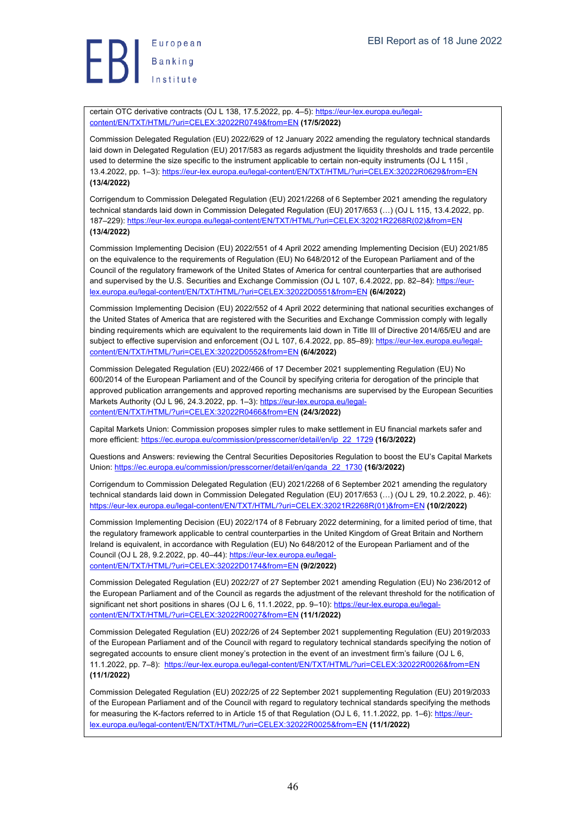# European Europea<br>Banking

certain OTC derivative contracts (OJ L 138, 17.5.2022, pp. 4-5): https://eur-lex.europa.eu/legalcontent/EN/TXT/HTML/?uri=CELEX:32022R0749&from=EN **(17/5/2022)**

Commission Delegated Regulation (EU) 2022/629 of 12 January 2022 amending the regulatory technical standards laid down in Delegated Regulation (EU) 2017/583 as regards adjustment the liquidity thresholds and trade percentile used to determine the size specific to the instrument applicable to certain non-equity instruments (OJ L 115I , 13.4.2022, pp. 1–3): https://eur-lex.europa.eu/legal-content/EN/TXT/HTML/?uri=CELEX:32022R0629&from=EN **(13/4/2022)**

Corrigendum to Commission Delegated Regulation (EU) 2021/2268 of 6 September 2021 amending the regulatory technical standards laid down in Commission Delegated Regulation (EU) 2017/653 (…) (OJ L 115, 13.4.2022, pp. 187–229): https://eur-lex.europa.eu/legal-content/EN/TXT/HTML/?uri=CELEX:32021R2268R(02)&from=EN **(13/4/2022)**

Commission Implementing Decision (EU) 2022/551 of 4 April 2022 amending Implementing Decision (EU) 2021/85 on the equivalence to the requirements of Regulation (EU) No 648/2012 of the European Parliament and of the Council of the regulatory framework of the United States of America for central counterparties that are authorised and supervised by the U.S. Securities and Exchange Commission (OJ L 107, 6.4.2022, pp. 82–84): https://eurlex.europa.eu/legal-content/EN/TXT/HTML/?uri=CELEX:32022D0551&from=EN **(6/4/2022)**

Commission Implementing Decision (EU) 2022/552 of 4 April 2022 determining that national securities exchanges of the United States of America that are registered with the Securities and Exchange Commission comply with legally binding requirements which are equivalent to the requirements laid down in Title III of Directive 2014/65/EU and are subject to effective supervision and enforcement (OJ L 107, 6.4.2022, pp. 85–89): https://eur-lex.europa.eu/legalcontent/EN/TXT/HTML/?uri=CELEX:32022D0552&from=EN **(6/4/2022)**

Commission Delegated Regulation (EU) 2022/466 of 17 December 2021 supplementing Regulation (EU) No 600/2014 of the European Parliament and of the Council by specifying criteria for derogation of the principle that approved publication arrangements and approved reporting mechanisms are supervised by the European Securities Markets Authority (OJ L 96, 24.3.2022, pp. 1-3): https://eur-lex.europa.eu/legalcontent/EN/TXT/HTML/?uri=CELEX:32022R0466&from=EN **(24/3/2022)**

Capital Markets Union: Commission proposes simpler rules to make settlement in EU financial markets safer and more efficient: https://ec.europa.eu/commission/presscorner/detail/en/ip\_22\_1729 **(16/3/2022)**

Questions and Answers: reviewing the Central Securities Depositories Regulation to boost the EU's Capital Markets Union: https://ec.europa.eu/commission/presscorner/detail/en/qanda\_22\_1730 **(16/3/2022)**

Corrigendum to Commission Delegated Regulation (EU) 2021/2268 of 6 September 2021 amending the regulatory technical standards laid down in Commission Delegated Regulation (EU) 2017/653 (…) (OJ L 29, 10.2.2022, p. 46): https://eur-lex.europa.eu/legal-content/EN/TXT/HTML/?uri=CELEX:32021R2268R(01)&from=EN **(10/2/2022)**

Commission Implementing Decision (EU) 2022/174 of 8 February 2022 determining, for a limited period of time, that the regulatory framework applicable to central counterparties in the United Kingdom of Great Britain and Northern Ireland is equivalent, in accordance with Regulation (EU) No 648/2012 of the European Parliament and of the Council (OJ L 28, 9.2.2022, pp. 40–44): https://eur-lex.europa.eu/legalcontent/EN/TXT/HTML/?uri=CELEX:32022D0174&from=EN **(9/2/2022)**

Commission Delegated Regulation (EU) 2022/27 of 27 September 2021 amending Regulation (EU) No 236/2012 of the European Parliament and of the Council as regards the adjustment of the relevant threshold for the notification of significant net short positions in shares (OJ L 6, 11.1.2022, pp. 9–10): https://eur-lex.europa.eu/legalcontent/EN/TXT/HTML/?uri=CELEX:32022R0027&from=EN **(11/1/2022)**

Commission Delegated Regulation (EU) 2022/26 of 24 September 2021 supplementing Regulation (EU) 2019/2033 of the European Parliament and of the Council with regard to regulatory technical standards specifying the notion of segregated accounts to ensure client money's protection in the event of an investment firm's failure (OJ L 6, 11.1.2022, pp. 7–8): https://eur-lex.europa.eu/legal-content/EN/TXT/HTML/?uri=CELEX:32022R0026&from=EN **(11/1/2022)**

Commission Delegated Regulation (EU) 2022/25 of 22 September 2021 supplementing Regulation (EU) 2019/2033 of the European Parliament and of the Council with regard to regulatory technical standards specifying the methods for measuring the K-factors referred to in Article 15 of that Regulation (OJ L 6, 11.1.2022, pp. 1–6): https://eurlex.europa.eu/legal-content/EN/TXT/HTML/?uri=CELEX:32022R0025&from=EN **(11/1/2022)**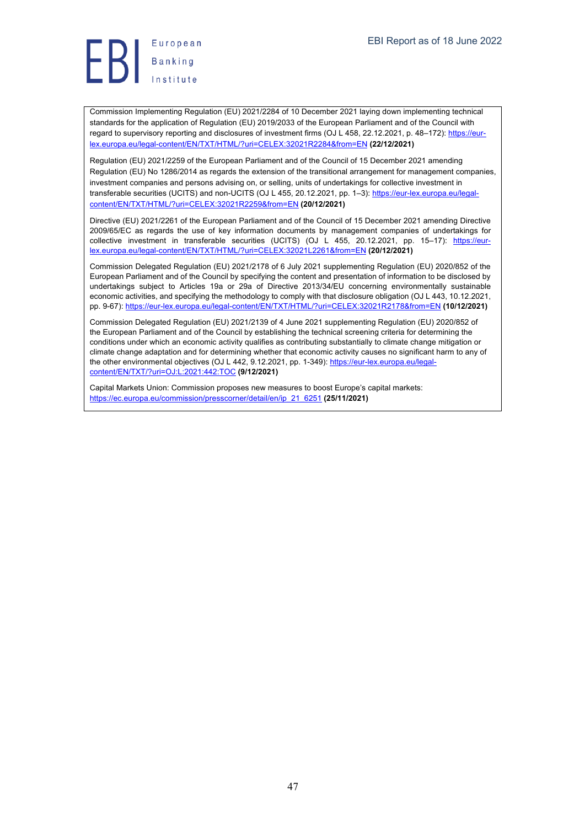

Commission Implementing Regulation (EU) 2021/2284 of 10 December 2021 laying down implementing technical standards for the application of Regulation (EU) 2019/2033 of the European Parliament and of the Council with regard to supervisory reporting and disclosures of investment firms (OJ L 458, 22.12.2021, p. 48–172): https://eurlex.europa.eu/legal-content/EN/TXT/HTML/?uri=CELEX:32021R2284&from=EN **(22/12/2021)**

Regulation (EU) 2021/2259 of the European Parliament and of the Council of 15 December 2021 amending Regulation (EU) No 1286/2014 as regards the extension of the transitional arrangement for management companies, investment companies and persons advising on, or selling, units of undertakings for collective investment in transferable securities (UCITS) and non-UCITS (OJ L 455, 20.12.2021, pp. 1–3): https://eur-lex.europa.eu/legalcontent/EN/TXT/HTML/?uri=CELEX:32021R2259&from=EN **(20/12/2021)**

Directive (EU) 2021/2261 of the European Parliament and of the Council of 15 December 2021 amending Directive 2009/65/EC as regards the use of key information documents by management companies of undertakings for collective investment in transferable securities (UCITS) (OJ L 455, 20.12.2021, pp. 15–17): https://eurlex.europa.eu/legal-content/EN/TXT/HTML/?uri=CELEX:32021L2261&from=EN **(20/12/2021)**

Commission Delegated Regulation (EU) 2021/2178 of 6 July 2021 supplementing Regulation (EU) 2020/852 of the European Parliament and of the Council by specifying the content and presentation of information to be disclosed by undertakings subject to Articles 19a or 29a of Directive 2013/34/EU concerning environmentally sustainable economic activities, and specifying the methodology to comply with that disclosure obligation (OJ L 443, 10.12.2021, pp. 9-67): https://eur-lex.europa.eu/legal-content/EN/TXT/HTML/?uri=CELEX:32021R2178&from=EN **(10/12/2021)**

Commission Delegated Regulation (EU) 2021/2139 of 4 June 2021 supplementing Regulation (EU) 2020/852 of the European Parliament and of the Council by establishing the technical screening criteria for determining the conditions under which an economic activity qualifies as contributing substantially to climate change mitigation or climate change adaptation and for determining whether that economic activity causes no significant harm to any of the other environmental objectives (OJ L 442, 9.12.2021, pp. 1-349): https://eur-lex.europa.eu/legalcontent/EN/TXT/?uri=OJ:L:2021:442:TOC **(9/12/2021)**

Capital Markets Union: Commission proposes new measures to boost Europe's capital markets: https://ec.europa.eu/commission/presscorner/detail/en/ip\_21\_6251 **(25/11/2021)**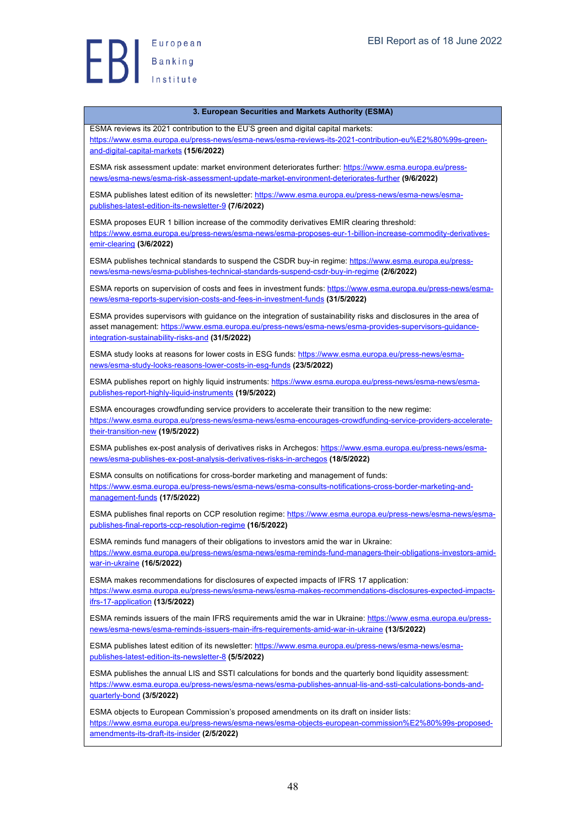European Banking<br>Banking<br>Institute

#### **3. European Securities and Markets Authority (ESMA)**

ESMA reviews its 2021 contribution to the EU'S green and digital capital markets: https://www.esma.europa.eu/press-news/esma-news/esma-reviews-its-2021-contribution-eu%E2%80%99s-greenand-digital-capital-markets **(15/6/2022)**

ESMA risk assessment update: market environment deteriorates further: https://www.esma.europa.eu/pressnews/esma-news/esma-risk-assessment-update-market-environment-deteriorates-further **(9/6/2022)**

ESMA publishes latest edition of its newsletter: https://www.esma.europa.eu/press-news/esma-news/esmapublishes-latest-edition-its-newsletter-9 **(7/6/2022)**

ESMA proposes EUR 1 billion increase of the commodity derivatives EMIR clearing threshold: https://www.esma.europa.eu/press-news/esma-news/esma-proposes-eur-1-billion-increase-commodity-derivativesemir-clearing **(3/6/2022)**

ESMA publishes technical standards to suspend the CSDR buy-in regime: https://www.esma.europa.eu/pressnews/esma-news/esma-publishes-technical-standards-suspend-csdr-buy-in-regime **(2/6/2022)**

ESMA reports on supervision of costs and fees in investment funds: https://www.esma.europa.eu/press-news/esmanews/esma-reports-supervision-costs-and-fees-in-investment-funds **(31/5/2022)**

ESMA provides supervisors with guidance on the integration of sustainability risks and disclosures in the area of asset management: https://www.esma.europa.eu/press-news/esma-news/esma-provides-supervisors-guidanceintegration-sustainability-risks-and **(31/5/2022)**

ESMA study looks at reasons for lower costs in ESG funds: https://www.esma.europa.eu/press-news/esmanews/esma-study-looks-reasons-lower-costs-in-esg-funds **(23/5/2022)**

ESMA publishes report on highly liquid instruments: https://www.esma.europa.eu/press-news/esma-news/esmapublishes-report-highly-liquid-instruments **(19/5/2022)**

ESMA encourages crowdfunding service providers to accelerate their transition to the new regime: https://www.esma.europa.eu/press-news/esma-news/esma-encourages-crowdfunding-service-providers-acceleratetheir-transition-new **(19/5/2022)**

ESMA publishes ex-post analysis of derivatives risks in Archegos: https://www.esma.europa.eu/press-news/esmanews/esma-publishes-ex-post-analysis-derivatives-risks-in-archegos **(18/5/2022)**

ESMA consults on notifications for cross-border marketing and management of funds: https://www.esma.europa.eu/press-news/esma-news/esma-consults-notifications-cross-border-marketing-andmanagement-funds **(17/5/2022)**

ESMA publishes final reports on CCP resolution regime: https://www.esma.europa.eu/press-news/esma-news/esmapublishes-final-reports-ccp-resolution-regime **(16/5/2022)**

ESMA reminds fund managers of their obligations to investors amid the war in Ukraine: https://www.esma.europa.eu/press-news/esma-news/esma-reminds-fund-managers-their-obligations-investors-amidwar-in-ukraine **(16/5/2022)**

ESMA makes recommendations for disclosures of expected impacts of IFRS 17 application: https://www.esma.europa.eu/press-news/esma-news/esma-makes-recommendations-disclosures-expected-impactsifrs-17-application **(13/5/2022)**

ESMA reminds issuers of the main IFRS requirements amid the war in Ukraine: https://www.esma.europa.eu/pressnews/esma-news/esma-reminds-issuers-main-ifrs-requirements-amid-war-in-ukraine **(13/5/2022)**

ESMA publishes latest edition of its newsletter: https://www.esma.europa.eu/press-news/esma-news/esmapublishes-latest-edition-its-newsletter-8 **(5/5/2022)**

ESMA publishes the annual LIS and SSTI calculations for bonds and the quarterly bond liquidity assessment: https://www.esma.europa.eu/press-news/esma-news/esma-publishes-annual-lis-and-ssti-calculations-bonds-andquarterly-bond **(3/5/2022)**

ESMA objects to European Commission's proposed amendments on its draft on insider lists: https://www.esma.europa.eu/press-news/esma-news/esma-objects-european-commission%E2%80%99s-proposedamendments-its-draft-its-insider **(2/5/2022)**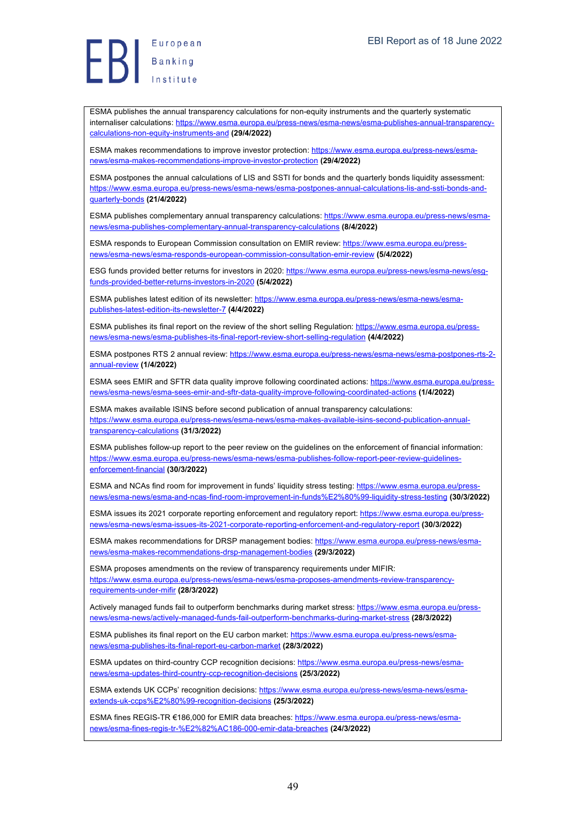ESMA publishes the annual transparency calculations for non-equity instruments and the quarterly systematic internaliser calculations: https://www.esma.europa.eu/press-news/esma-news/esma-publishes-annual-transparencycalculations-non-equity-instruments-and **(29/4/2022)**

ESMA makes recommendations to improve investor protection: https://www.esma.europa.eu/press-news/esmanews/esma-makes-recommendations-improve-investor-protection **(29/4/2022)**

ESMA postpones the annual calculations of LIS and SSTI for bonds and the quarterly bonds liquidity assessment: https://www.esma.europa.eu/press-news/esma-news/esma-postpones-annual-calculations-lis-and-ssti-bonds-andquarterly-bonds **(21/4/2022)**

ESMA publishes complementary annual transparency calculations: https://www.esma.europa.eu/press-news/esmanews/esma-publishes-complementary-annual-transparency-calculations **(8/4/2022)**

ESMA responds to European Commission consultation on EMIR review: https://www.esma.europa.eu/pressnews/esma-news/esma-responds-european-commission-consultation-emir-review **(5/4/2022)**

ESG funds provided better returns for investors in 2020: https://www.esma.europa.eu/press-news/esma-news/esgfunds-provided-better-returns-investors-in-2020 **(5/4/2022)**

ESMA publishes latest edition of its newsletter: https://www.esma.europa.eu/press-news/esma-news/esmapublishes-latest-edition-its-newsletter-7 **(4/4/2022)**

ESMA publishes its final report on the review of the short selling Regulation: https://www.esma.europa.eu/pressnews/esma-news/esma-publishes-its-final-report-review-short-selling-regulation **(4/4/2022)**

ESMA postpones RTS 2 annual review: https://www.esma.europa.eu/press-news/esma-news/esma-postpones-rts-2annual-review **(1/4/2022)**

ESMA sees EMIR and SFTR data quality improve following coordinated actions: https://www.esma.europa.eu/pressnews/esma-news/esma-sees-emir-and-sftr-data-quality-improve-following-coordinated-actions **(1/4/2022)**

ESMA makes available ISINS before second publication of annual transparency calculations: https://www.esma.europa.eu/press-news/esma-news/esma-makes-available-isins-second-publication-annualtransparency-calculations **(31/3/2022)**

ESMA publishes follow-up report to the peer review on the guidelines on the enforcement of financial information: https://www.esma.europa.eu/press-news/esma-news/esma-publishes-follow-report-peer-review-quidelinesenforcement-financial **(30/3/2022)**

ESMA and NCAs find room for improvement in funds' liquidity stress testing: https://www.esma.europa.eu/pressnews/esma-news/esma-and-ncas-find-room-improvement-in-funds%E2%80%99-liquidity-stress-testing **(30/3/2022)**

ESMA issues its 2021 corporate reporting enforcement and regulatory report: https://www.esma.europa.eu/pressnews/esma-news/esma-issues-its-2021-corporate-reporting-enforcement-and-regulatory-report **(30/3/2022)**

ESMA makes recommendations for DRSP management bodies: https://www.esma.europa.eu/press-news/esmanews/esma-makes-recommendations-drsp-management-bodies **(29/3/2022)**

ESMA proposes amendments on the review of transparency requirements under MIFIR: https://www.esma.europa.eu/press-news/esma-news/esma-proposes-amendments-review-transparencyrequirements-under-mifir **(28/3/2022)**

Actively managed funds fail to outperform benchmarks during market stress: https://www.esma.europa.eu/pressnews/esma-news/actively-managed-funds-fail-outperform-benchmarks-during-market-stress **(28/3/2022)**

ESMA publishes its final report on the EU carbon market: https://www.esma.europa.eu/press-news/esmanews/esma-publishes-its-final-report-eu-carbon-market **(28/3/2022)**

ESMA updates on third-country CCP recognition decisions: https://www.esma.europa.eu/press-news/esmanews/esma-updates-third-country-ccp-recognition-decisions **(25/3/2022)**

ESMA extends UK CCPs' recognition decisions: https://www.esma.europa.eu/press-news/esma-news/esmaextends-uk-ccps%E2%80%99-recognition-decisions **(25/3/2022)**

ESMA fines REGIS-TR €186,000 for EMIR data breaches: https://www.esma.europa.eu/press-news/esmanews/esma-fines-regis-tr-%E2%82%AC186-000-emir-data-breaches **(24/3/2022)**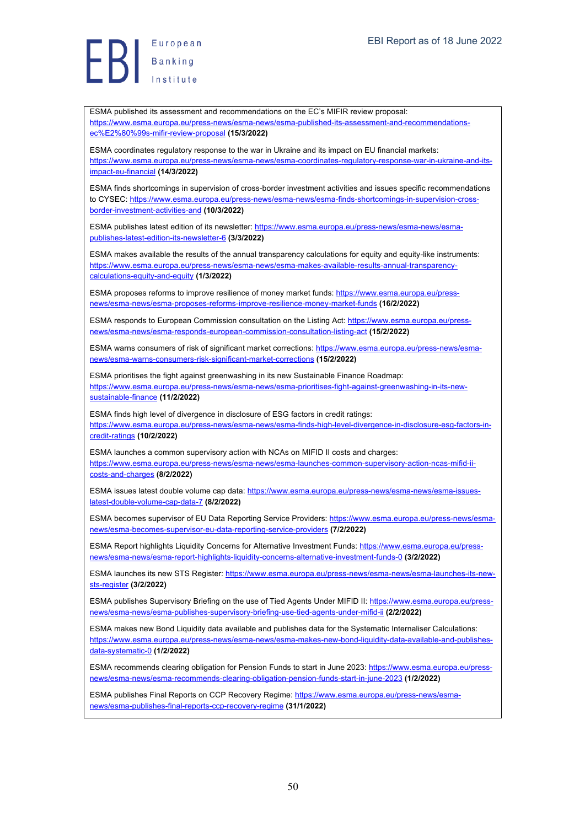European  $\left\{\right\}$  Banking

ESMA published its assessment and recommendations on the EC's MIFIR review proposal: https://www.esma.europa.eu/press-news/esma-news/esma-published-its-assessment-and-recommendationsec%E2%80%99s-mifir-review-proposal **(15/3/2022)**

ESMA coordinates regulatory response to the war in Ukraine and its impact on EU financial markets: https://www.esma.europa.eu/press-news/esma-news/esma-coordinates-regulatory-response-war-in-ukraine-and-itsimpact-eu-financial **(14/3/2022)**

ESMA finds shortcomings in supervision of cross-border investment activities and issues specific recommendations to CYSEC: https://www.esma.europa.eu/press-news/esma-news/esma-finds-shortcomings-in-supervision-crossborder-investment-activities-and **(10/3/2022)**

ESMA publishes latest edition of its newsletter: https://www.esma.europa.eu/press-news/esma-news/esmapublishes-latest-edition-its-newsletter-6 **(3/3/2022)**

ESMA makes available the results of the annual transparency calculations for equity and equity-like instruments: https://www.esma.europa.eu/press-news/esma-news/esma-makes-available-results-annual-transparencycalculations-equity-and-equity **(1/3/2022)**

ESMA proposes reforms to improve resilience of money market funds: https://www.esma.europa.eu/pressnews/esma-news/esma-proposes-reforms-improve-resilience-money-market-funds **(16/2/2022)**

ESMA responds to European Commission consultation on the Listing Act: https://www.esma.europa.eu/pressnews/esma-news/esma-responds-european-commission-consultation-listing-act **(15/2/2022)**

ESMA warns consumers of risk of significant market corrections: https://www.esma.europa.eu/press-news/esmanews/esma-warns-consumers-risk-significant-market-corrections **(15/2/2022)**

ESMA prioritises the fight against greenwashing in its new Sustainable Finance Roadmap: https://www.esma.europa.eu/press-news/esma-news/esma-prioritises-fight-against-greenwashing-in-its-newsustainable-finance **(11/2/2022)**

ESMA finds high level of divergence in disclosure of ESG factors in credit ratings: https://www.esma.europa.eu/press-news/esma-news/esma-finds-high-level-divergence-in-disclosure-esg-factors-incredit-ratings **(10/2/2022)**

ESMA launches a common supervisory action with NCAs on MIFID II costs and charges: https://www.esma.europa.eu/press-news/esma-news/esma-launches-common-supervisory-action-ncas-mifid-iicosts-and-charges **(8/2/2022)**

ESMA issues latest double volume cap data: https://www.esma.europa.eu/press-news/esma-news/esma-issueslatest-double-volume-cap-data-7 **(8/2/2022)**

ESMA becomes supervisor of EU Data Reporting Service Providers: https://www.esma.europa.eu/press-news/esmanews/esma-becomes-supervisor-eu-data-reporting-service-providers **(7/2/2022)**

ESMA Report highlights Liquidity Concerns for Alternative Investment Funds: https://www.esma.europa.eu/pressnews/esma-news/esma-report-highlights-liquidity-concerns-alternative-investment-funds-0 **(3/2/2022)**

ESMA launches its new STS Register: https://www.esma.europa.eu/press-news/esma-news/esma-launches-its-newsts-register **(3/2/2022)**

ESMA publishes Supervisory Briefing on the use of Tied Agents Under MIFID II: https://www.esma.europa.eu/pressnews/esma-news/esma-publishes-supervisory-briefing-use-tied-agents-under-mifid-ii **(2/2/2022)**

ESMA makes new Bond Liquidity data available and publishes data for the Systematic Internaliser Calculations: https://www.esma.europa.eu/press-news/esma-news/esma-makes-new-bond-liquidity-data-available-and-publishesdata-systematic-0 **(1/2/2022)**

ESMA recommends clearing obligation for Pension Funds to start in June 2023: https://www.esma.europa.eu/pressnews/esma-news/esma-recommends-clearing-obligation-pension-funds-start-in-june-2023 **(1/2/2022)**

ESMA publishes Final Reports on CCP Recovery Regime: https://www.esma.europa.eu/press-news/esmanews/esma-publishes-final-reports-ccp-recovery-regime **(31/1/2022)**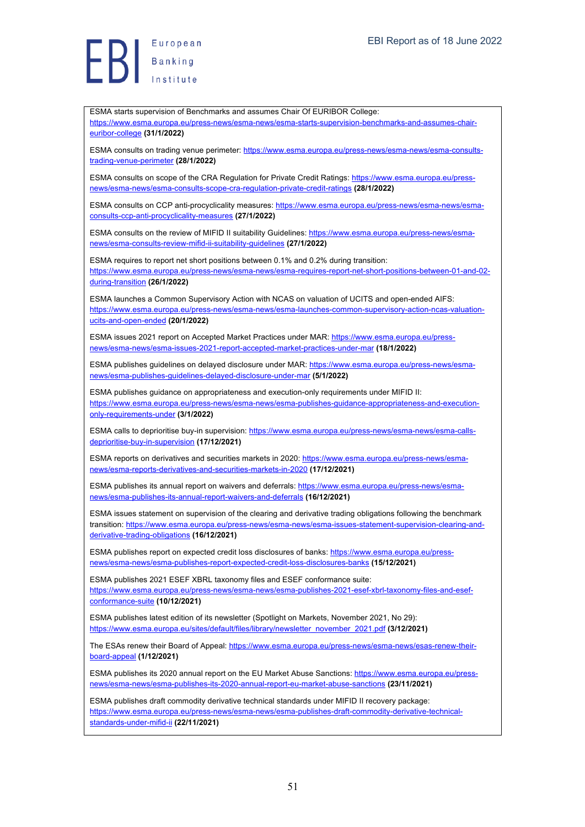euribor-college **(31/1/2022)**

ESMA starts supervision of Benchmarks and assumes Chair Of EURIBOR College:

https://www.esma.europa.eu/press-news/esma-news/esma-starts-supervision-benchmarks-and-assumes-chair-

ESMA consults on trading venue perimeter: https://www.esma.europa.eu/press-news/esma-news/esma-consultstrading-venue-perimeter **(28/1/2022)** ESMA consults on scope of the CRA Regulation for Private Credit Ratings: https://www.esma.europa.eu/pressnews/esma-news/esma-consults-scope-cra-regulation-private-credit-ratings **(28/1/2022)** ESMA consults on CCP anti-procyclicality measures: https://www.esma.europa.eu/press-news/esma-news/esmaconsults-ccp-anti-procyclicality-measures **(27/1/2022)** ESMA consults on the review of MIFID II suitability Guidelines: https://www.esma.europa.eu/press-news/esmanews/esma-consults-review-mifid-ii-suitability-guidelines **(27/1/2022)** ESMA requires to report net short positions between 0.1% and 0.2% during transition: https://www.esma.europa.eu/press-news/esma-news/esma-requires-report-net-short-positions-between-01-and-02 during-transition **(26/1/2022)** ESMA launches a Common Supervisory Action with NCAS on valuation of UCITS and open-ended AIFS: https://www.esma.europa.eu/press-news/esma-news/esma-launches-common-supervisory-action-ncas-valuationucits-and-open-ended **(20/1/2022)** ESMA issues 2021 report on Accepted Market Practices under MAR: https://www.esma.europa.eu/pressnews/esma-news/esma-issues-2021-report-accepted-market-practices-under-mar **(18/1/2022)** ESMA publishes guidelines on delayed disclosure under MAR: https://www.esma.europa.eu/press-news/esmanews/esma-publishes-guidelines-delayed-disclosure-under-mar **(5/1/2022)** ESMA publishes guidance on appropriateness and execution-only requirements under MIFID II: https://www.esma.europa.eu/press-news/esma-news/esma-publishes-guidance-appropriateness-and-executiononly-requirements-under **(3/1/2022)** ESMA calls to deprioritise buy-in supervision: https://www.esma.europa.eu/press-news/esma-news/esma-callsdeprioritise-buy-in-supervision **(17/12/2021)** ESMA reports on derivatives and securities markets in 2020: https://www.esma.europa.eu/press-news/esmanews/esma-reports-derivatives-and-securities-markets-in-2020 **(17/12/2021)** ESMA publishes its annual report on waivers and deferrals: https://www.esma.europa.eu/press-news/esmanews/esma-publishes-its-annual-report-waivers-and-deferrals **(16/12/2021)** ESMA issues statement on supervision of the clearing and derivative trading obligations following the benchmark transition: https://www.esma.europa.eu/press-news/esma-news/esma-issues-statement-supervision-clearing-andderivative-trading-obligations **(16/12/2021)** ESMA publishes report on expected credit loss disclosures of banks: https://www.esma.europa.eu/pressnews/esma-news/esma-publishes-report-expected-credit-loss-disclosures-banks **(15/12/2021)** ESMA publishes 2021 ESEF XBRL taxonomy files and ESEF conformance suite: https://www.esma.europa.eu/press-news/esma-news/esma-publishes-2021-esef-xbrl-taxonomy-files-and-esefconformance-suite **(10/12/2021)** ESMA publishes latest edition of its newsletter (Spotlight on Markets, November 2021, No 29): https://www.esma.europa.eu/sites/default/files/library/newsletter\_november\_2021.pdf **(3/12/2021)** The ESAs renew their Board of Appeal: https://www.esma.europa.eu/press-news/esma-news/esas-renew-theirboard-appeal **(1/12/2021)** ESMA publishes its 2020 annual report on the EU Market Abuse Sanctions: https://www.esma.europa.eu/pressnews/esma-news/esma-publishes-its-2020-annual-report-eu-market-abuse-sanctions **(23/11/2021)** ESMA publishes draft commodity derivative technical standards under MIFID II recovery package: https://www.esma.europa.eu/press-news/esma-news/esma-publishes-draft-commodity-derivative-technicalstandards-under-mifid-ii **(22/11/2021)**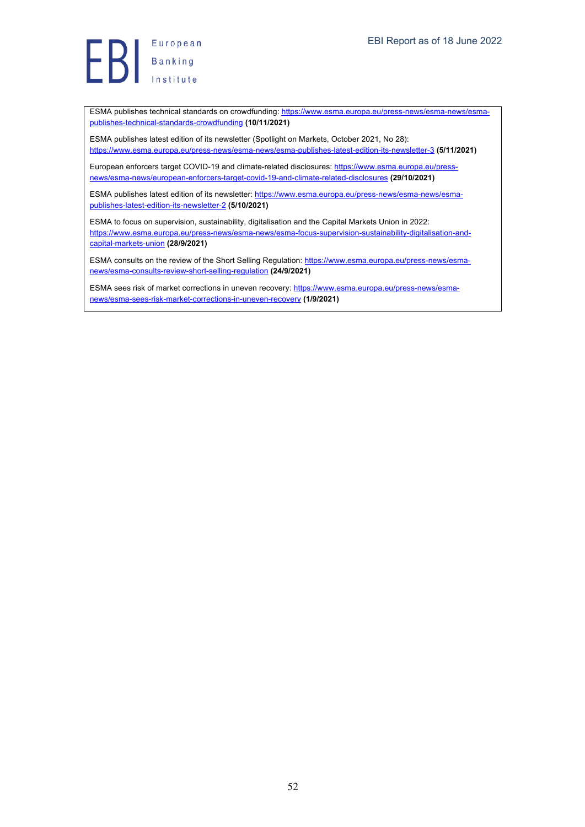ESMA publishes technical standards on crowdfunding: https://www.esma.europa.eu/press-news/esma-news/esmapublishes-technical-standards-crowdfunding **(10/11/2021)**

ESMA publishes latest edition of its newsletter (Spotlight on Markets, October 2021, No 28): https://www.esma.europa.eu/press-news/esma-news/esma-publishes-latest-edition-its-newsletter-3 **(5/11/2021)**

European enforcers target COVID-19 and climate-related disclosures: https://www.esma.europa.eu/pressnews/esma-news/european-enforcers-target-covid-19-and-climate-related-disclosures **(29/10/2021)**

ESMA publishes latest edition of its newsletter: https://www.esma.europa.eu/press-news/esma-news/esmapublishes-latest-edition-its-newsletter-2 **(5/10/2021)**

ESMA to focus on supervision, sustainability, digitalisation and the Capital Markets Union in 2022: https://www.esma.europa.eu/press-news/esma-news/esma-focus-supervision-sustainability-digitalisation-andcapital-markets-union **(28/9/2021)**

ESMA consults on the review of the Short Selling Regulation: https://www.esma.europa.eu/press-news/esmanews/esma-consults-review-short-selling-regulation **(24/9/2021)**

ESMA sees risk of market corrections in uneven recovery: https://www.esma.europa.eu/press-news/esmanews/esma-sees-risk-market-corrections-in-uneven-recovery **(1/9/2021)**